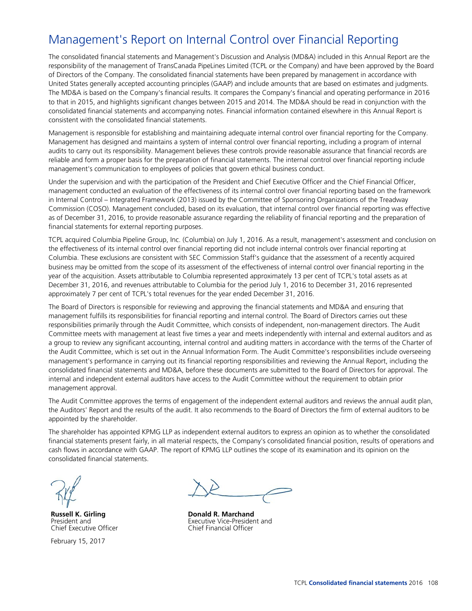## Management's Report on Internal Control over Financial Reporting

The consolidated financial statements and Management's Discussion and Analysis (MD&A) included in this Annual Report are the responsibility of the management of TransCanada PipeLines Limited (TCPL or the Company) and have been approved by the Board of Directors of the Company. The consolidated financial statements have been prepared by management in accordance with United States generally accepted accounting principles (GAAP) and include amounts that are based on estimates and judgments. The MD&A is based on the Company's financial results. It compares the Company's financial and operating performance in 2016 to that in 2015, and highlights significant changes between 2015 and 2014. The MD&A should be read in conjunction with the consolidated financial statements and accompanying notes. Financial information contained elsewhere in this Annual Report is consistent with the consolidated financial statements.

Management is responsible for establishing and maintaining adequate internal control over financial reporting for the Company. Management has designed and maintains a system of internal control over financial reporting, including a program of internal audits to carry out its responsibility. Management believes these controls provide reasonable assurance that financial records are reliable and form a proper basis for the preparation of financial statements. The internal control over financial reporting include management's communication to employees of policies that govern ethical business conduct.

Under the supervision and with the participation of the President and Chief Executive Officer and the Chief Financial Officer, management conducted an evaluation of the effectiveness of its internal control over financial reporting based on the framework in Internal Control – Integrated Framework (2013) issued by the Committee of Sponsoring Organizations of the Treadway Commission (COSO). Management concluded, based on its evaluation, that internal control over financial reporting was effective as of December 31, 2016, to provide reasonable assurance regarding the reliability of financial reporting and the preparation of financial statements for external reporting purposes.

TCPL acquired Columbia Pipeline Group, Inc. (Columbia) on July 1, 2016. As a result, management's assessment and conclusion on the effectiveness of its internal control over financial reporting did not include internal controls over financial reporting at Columbia. These exclusions are consistent with SEC Commission Staff's guidance that the assessment of a recently acquired business may be omitted from the scope of its assessment of the effectiveness of internal control over financial reporting in the year of the acquisition. Assets attributable to Columbia represented approximately 13 per cent of TCPL's total assets as at December 31, 2016, and revenues attributable to Columbia for the period July 1, 2016 to December 31, 2016 represented approximately 7 per cent of TCPL's total revenues for the year ended December 31, 2016.

The Board of Directors is responsible for reviewing and approving the financial statements and MD&A and ensuring that management fulfills its responsibilities for financial reporting and internal control. The Board of Directors carries out these responsibilities primarily through the Audit Committee, which consists of independent, non-management directors. The Audit Committee meets with management at least five times a year and meets independently with internal and external auditors and as a group to review any significant accounting, internal control and auditing matters in accordance with the terms of the Charter of the Audit Committee, which is set out in the Annual Information Form. The Audit Committee's responsibilities include overseeing management's performance in carrying out its financial reporting responsibilities and reviewing the Annual Report, including the consolidated financial statements and MD&A, before these documents are submitted to the Board of Directors for approval. The internal and independent external auditors have access to the Audit Committee without the requirement to obtain prior management approval.

The Audit Committee approves the terms of engagement of the independent external auditors and reviews the annual audit plan, the Auditors' Report and the results of the audit. It also recommends to the Board of Directors the firm of external auditors to be appointed by the shareholder.

The shareholder has appointed KPMG LLP as independent external auditors to express an opinion as to whether the consolidated financial statements present fairly, in all material respects, the Company's consolidated financial position, results of operations and cash flows in accordance with GAAP. The report of KPMG LLP outlines the scope of its examination and its opinion on the consolidated financial statements.

**Russell K. Girling** President and Chief Executive Officer

February 15, 2017

**Donald R. Marchand** Executive Vice-President and Chief Financial Officer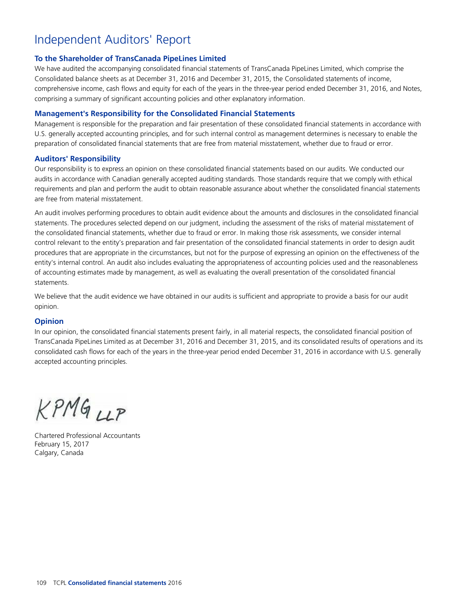## Independent Auditors' Report

#### **To the Shareholder of TransCanada PipeLines Limited**

We have audited the accompanying consolidated financial statements of TransCanada PipeLines Limited, which comprise the Consolidated balance sheets as at December 31, 2016 and December 31, 2015, the Consolidated statements of income, comprehensive income, cash flows and equity for each of the years in the three-year period ended December 31, 2016, and Notes, comprising a summary of significant accounting policies and other explanatory information.

#### **Management's Responsibility for the Consolidated Financial Statements**

Management is responsible for the preparation and fair presentation of these consolidated financial statements in accordance with U.S. generally accepted accounting principles, and for such internal control as management determines is necessary to enable the preparation of consolidated financial statements that are free from material misstatement, whether due to fraud or error.

#### **Auditors' Responsibility**

Our responsibility is to express an opinion on these consolidated financial statements based on our audits. We conducted our audits in accordance with Canadian generally accepted auditing standards. Those standards require that we comply with ethical requirements and plan and perform the audit to obtain reasonable assurance about whether the consolidated financial statements are free from material misstatement.

An audit involves performing procedures to obtain audit evidence about the amounts and disclosures in the consolidated financial statements. The procedures selected depend on our judgment, including the assessment of the risks of material misstatement of the consolidated financial statements, whether due to fraud or error. In making those risk assessments, we consider internal control relevant to the entity's preparation and fair presentation of the consolidated financial statements in order to design audit procedures that are appropriate in the circumstances, but not for the purpose of expressing an opinion on the effectiveness of the entity's internal control. An audit also includes evaluating the appropriateness of accounting policies used and the reasonableness of accounting estimates made by management, as well as evaluating the overall presentation of the consolidated financial statements.

We believe that the audit evidence we have obtained in our audits is sufficient and appropriate to provide a basis for our audit opinion.

#### **Opinion**

In our opinion, the consolidated financial statements present fairly, in all material respects, the consolidated financial position of TransCanada PipeLines Limited as at December 31, 2016 and December 31, 2015, and its consolidated results of operations and its consolidated cash flows for each of the years in the three-year period ended December 31, 2016 in accordance with U.S. generally accepted accounting principles.

KPMG 4P

Chartered Professional Accountants February 15, 2017 Calgary, Canada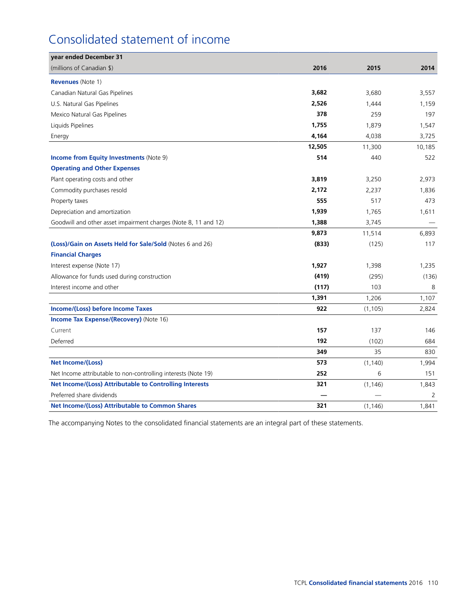# Consolidated statement of income

| year ended December 31                                          |        |          |        |
|-----------------------------------------------------------------|--------|----------|--------|
| (millions of Canadian \$)                                       | 2016   | 2015     | 2014   |
| <b>Revenues</b> (Note 1)                                        |        |          |        |
| Canadian Natural Gas Pipelines                                  | 3,682  | 3,680    | 3,557  |
| U.S. Natural Gas Pipelines                                      | 2,526  | 1,444    | 1,159  |
| Mexico Natural Gas Pipelines                                    | 378    | 259      | 197    |
| Liquids Pipelines                                               | 1,755  | 1,879    | 1,547  |
| Energy                                                          | 4,164  | 4,038    | 3,725  |
|                                                                 | 12,505 | 11,300   | 10,185 |
| <b>Income from Equity Investments (Note 9)</b>                  | 514    | 440      | 522    |
| <b>Operating and Other Expenses</b>                             |        |          |        |
| Plant operating costs and other                                 | 3,819  | 3,250    | 2,973  |
| Commodity purchases resold                                      | 2,172  | 2,237    | 1,836  |
| Property taxes                                                  | 555    | 517      | 473    |
| Depreciation and amortization                                   | 1,939  | 1,765    | 1,611  |
| Goodwill and other asset impairment charges (Note 8, 11 and 12) | 1,388  | 3,745    |        |
|                                                                 | 9,873  | 11,514   | 6,893  |
| (Loss)/Gain on Assets Held for Sale/Sold (Notes 6 and 26)       | (833)  | (125)    | 117    |
| <b>Financial Charges</b>                                        |        |          |        |
| Interest expense (Note 17)                                      | 1,927  | 1,398    | 1,235  |
| Allowance for funds used during construction                    | (419)  | (295)    | (136)  |
| Interest income and other                                       | (117)  | 103      | 8      |
|                                                                 | 1,391  | 1,206    | 1,107  |
| Income/(Loss) before Income Taxes                               | 922    | (1, 105) | 2,824  |
| <b>Income Tax Expense/(Recovery)</b> (Note 16)                  |        |          |        |
| Current                                                         | 157    | 137      | 146    |
| Deferred                                                        | 192    | (102)    | 684    |
|                                                                 | 349    | 35       | 830    |
| Net Income/(Loss)                                               | 573    | (1, 140) | 1,994  |
| Net Income attributable to non-controlling interests (Note 19)  | 252    | 6        | 151    |
| <b>Net Income/(Loss) Attributable to Controlling Interests</b>  | 321    | (1, 146) | 1,843  |
| Preferred share dividends                                       |        |          | 2      |
| <b>Net Income/(Loss) Attributable to Common Shares</b>          | 321    | (1, 146) | 1,841  |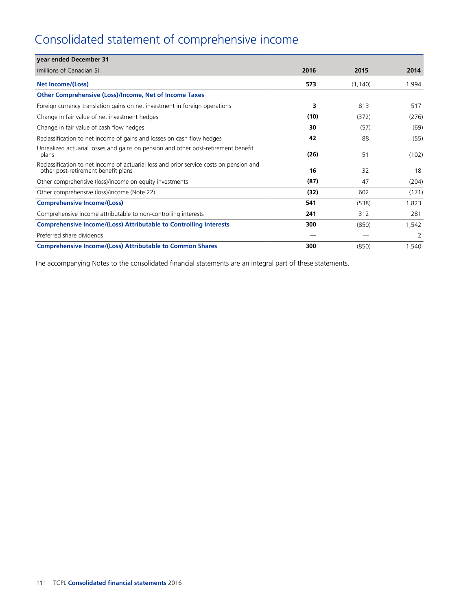# Consolidated statement of comprehensive income

| year ended December 31                                                                                                         |      |          |       |
|--------------------------------------------------------------------------------------------------------------------------------|------|----------|-------|
| (millions of Canadian \$)                                                                                                      | 2016 | 2015     | 2014  |
| <b>Net Income/(Loss)</b>                                                                                                       | 573  | (1, 140) | 1,994 |
| <b>Other Comprehensive (Loss)/Income, Net of Income Taxes</b>                                                                  |      |          |       |
| Foreign currency translation gains on net investment in foreign operations                                                     | 3    | 813      | 517   |
| Change in fair value of net investment hedges                                                                                  | (10) | (372)    | (276) |
| Change in fair value of cash flow hedges                                                                                       | 30   | (57)     | (69)  |
| Reclassification to net income of gains and losses on cash flow hedges                                                         | 42   | 88       | (55)  |
| Unrealized actuarial losses and gains on pension and other post-retirement benefit<br>plans                                    | (26) | 51       | (102) |
| Reclassification to net income of actuarial loss and prior service costs on pension and<br>other post-retirement benefit plans | 16   | 32       | 18    |
| Other comprehensive (loss)/income on equity investments                                                                        | (87) | 47       | (204) |
| Other comprehensive (loss)/income (Note 22)                                                                                    | (32) | 602      | (171) |
| <b>Comprehensive Income/(Loss)</b>                                                                                             | 541  | (538)    | 1,823 |
| Comprehensive income attributable to non-controlling interests                                                                 | 241  | 312      | 281   |
| <b>Comprehensive Income/(Loss) Attributable to Controlling Interests</b>                                                       | 300  | (850)    | 1,542 |
| Preferred share dividends                                                                                                      |      |          | 2     |
| <b>Comprehensive Income/(Loss) Attributable to Common Shares</b>                                                               | 300  | (850)    | 1,540 |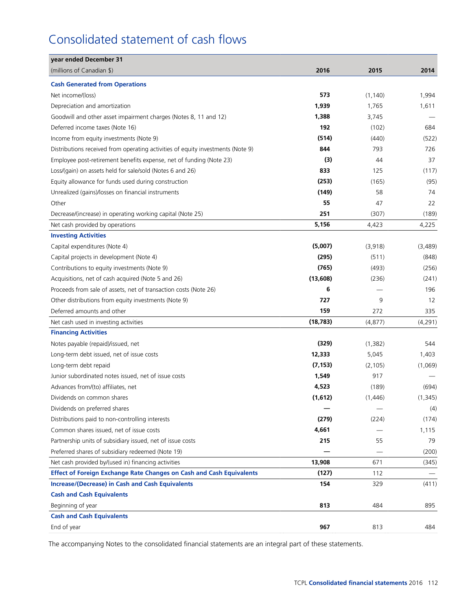# Consolidated statement of cash flows

| year ended December 31                                                          |           |          |          |
|---------------------------------------------------------------------------------|-----------|----------|----------|
| (millions of Canadian \$)                                                       | 2016      | 2015     | 2014     |
| <b>Cash Generated from Operations</b>                                           |           |          |          |
| Net income/(loss)                                                               | 573       | (1, 140) | 1,994    |
| Depreciation and amortization                                                   | 1,939     | 1,765    | 1,611    |
| Goodwill and other asset impairment charges (Notes 8, 11 and 12)                | 1,388     | 3,745    |          |
| Deferred income taxes (Note 16)                                                 | 192       | (102)    | 684      |
| Income from equity investments (Note 9)                                         | (514)     | (440)    | (522)    |
| Distributions received from operating activities of equity investments (Note 9) | 844       | 793      | 726      |
| Employee post-retirement benefits expense, net of funding (Note 23)             | (3)       | 44       | 37       |
| Loss/(gain) on assets held for sale/sold (Notes 6 and 26)                       | 833       | 125      | (117)    |
| Equity allowance for funds used during construction                             | (253)     | (165)    | (95)     |
| Unrealized (gains)/losses on financial instruments                              | (149)     | 58       | 74       |
| Other                                                                           | 55        | 47       | 22       |
| Decrease/(increase) in operating working capital (Note 25)                      | 251       | (307)    | (189)    |
| Net cash provided by operations                                                 | 5,156     | 4,423    | 4,225    |
| <b>Investing Activities</b>                                                     |           |          |          |
| Capital expenditures (Note 4)                                                   | (5,007)   | (3,918)  | (3,489)  |
| Capital projects in development (Note 4)                                        | (295)     | (511)    | (848)    |
| Contributions to equity investments (Note 9)                                    | (765)     | (493)    | (256)    |
| Acquisitions, net of cash acquired (Note 5 and 26)                              | (13,608)  | (236)    | (241)    |
| Proceeds from sale of assets, net of transaction costs (Note 26)                | 6         |          | 196      |
| Other distributions from equity investments (Note 9)                            | 727       | 9        | 12       |
| Deferred amounts and other                                                      | 159       | 272      | 335      |
| Net cash used in investing activities                                           | (18, 783) | (4, 877) | (4, 291) |
| <b>Financing Activities</b>                                                     |           |          |          |
| Notes payable (repaid)/issued, net                                              | (329)     | (1, 382) | 544      |
| Long-term debt issued, net of issue costs                                       | 12,333    | 5,045    | 1,403    |
| Long-term debt repaid                                                           | (7, 153)  | (2, 105) | (1,069)  |
| Junior subordinated notes issued, net of issue costs                            | 1,549     | 917      |          |
| Advances from/(to) affiliates, net                                              | 4,523     | (189)    | (694)    |
| Dividends on common shares                                                      | (1,612)   | (1,446)  | (1, 345) |
| Dividends on preferred shares                                                   |           |          | (4)      |
| Distributions paid to non-controlling interests                                 | (279)     | (224)    | (174)    |
| Common shares issued, net of issue costs                                        | 4,661     |          | 1,115    |
| Partnership units of subsidiary issued, net of issue costs                      | 215       | 55       | 79       |
| Preferred shares of subsidiary redeemed (Note 19)                               |           |          | (200)    |
| Net cash provided by/(used in) financing activities                             | 13,908    | 671      | (345)    |
| <b>Effect of Foreign Exchange Rate Changes on Cash and Cash Equivalents</b>     | (127)     | 112      |          |
| <b>Increase/(Decrease) in Cash and Cash Equivalents</b>                         | 154       | 329      | (411)    |
| <b>Cash and Cash Equivalents</b>                                                |           |          |          |
| Beginning of year                                                               | 813       | 484      | 895      |
| <b>Cash and Cash Equivalents</b>                                                |           |          |          |
| End of year                                                                     | 967       | 813      | 484      |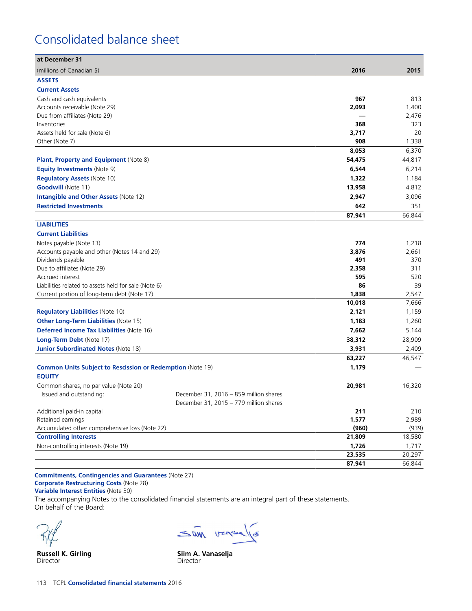## Consolidated balance sheet

| at December 31                                                    |        |        |
|-------------------------------------------------------------------|--------|--------|
| (millions of Canadian \$)                                         | 2016   | 2015   |
| <b>ASSETS</b>                                                     |        |        |
| <b>Current Assets</b>                                             |        |        |
| Cash and cash equivalents                                         | 967    | 813    |
| Accounts receivable (Note 29)                                     | 2,093  | 1,400  |
| Due from affiliates (Note 29)                                     |        | 2,476  |
| Inventories                                                       | 368    | 323    |
| Assets held for sale (Note 6)                                     | 3,717  | 20     |
| Other (Note 7)                                                    | 908    | 1,338  |
|                                                                   | 8,053  | 6,370  |
| <b>Plant, Property and Equipment</b> (Note 8)                     | 54,475 | 44,817 |
| Equity Investments (Note 9)                                       | 6,544  | 6,214  |
| <b>Regulatory Assets (Note 10)</b>                                | 1,322  | 1,184  |
| <b>Goodwill (Note 11)</b>                                         | 13,958 | 4,812  |
| <b>Intangible and Other Assets (Note 12)</b>                      | 2,947  | 3,096  |
| <b>Restricted Investments</b>                                     | 642    | 351    |
|                                                                   | 87,941 | 66,844 |
| <b>LIABILITIES</b>                                                |        |        |
| <b>Current Liabilities</b>                                        |        |        |
| Notes payable (Note 13)                                           | 774    | 1,218  |
| Accounts payable and other (Notes 14 and 29)                      | 3.876  | 2,661  |
| Dividends payable                                                 | 491    | 370    |
| Due to affiliates (Note 29)                                       | 2,358  | 311    |
| Accrued interest                                                  | 595    | 520    |
| Liabilities related to assets held for sale (Note 6)              | 86     | 39     |
| Current portion of long-term debt (Note 17)                       | 1,838  | 2,547  |
|                                                                   | 10,018 | 7,666  |
| <b>Regulatory Liabilities (Note 10)</b>                           | 2,121  | 1,159  |
| <b>Other Long-Term Liabilities (Note 15)</b>                      | 1,183  | 1,260  |
| Deferred Income Tax Liabilities (Note 16)                         | 7,662  | 5,144  |
| Long-Term Debt (Note 17)                                          | 38,312 | 28,909 |
| <b>Junior Subordinated Notes (Note 18)</b>                        | 3,931  | 2,409  |
|                                                                   | 63,227 | 46,547 |
| <b>Common Units Subject to Rescission or Redemption (Note 19)</b> | 1,179  |        |
| <b>EQUITY</b>                                                     |        |        |
| Common shares, no par value (Note 20)                             | 20,981 | 16,320 |
| Issued and outstanding:<br>December 31, 2016 - 859 million shares |        |        |
| December 31, 2015 - 779 million shares                            |        |        |
| Additional paid-in capital                                        | 211    | 210    |
| Retained earnings                                                 | 1,577  | 2,989  |
| Accumulated other comprehensive loss (Note 22)                    | (960)  | (939)  |
| <b>Controlling Interests</b>                                      | 21,809 | 18,580 |
| Non-controlling interests (Note 19)                               | 1,726  | 1,717  |
|                                                                   | 23,535 | 20,297 |
|                                                                   | 87,941 | 66,844 |

**Commitments, Contingencies and Guarantees** (Note 27) **Corporate Restructuring Costs** (Note 28) **Variable Interest Entities** (Note 30) The accompanying Notes to the consolidated financial statements are an integral part of these statements. On behalf of the Board:

**Russell K. Girling** Director

 $\leq$   $\sin$   $\arctan$ 

**Siim A. Vanaselja** Director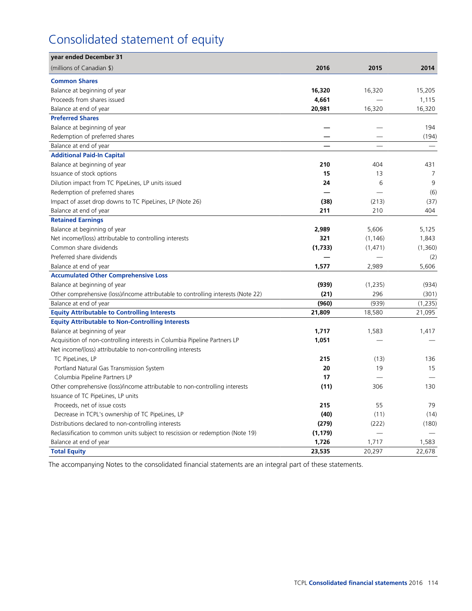# Consolidated statement of equity

| year ended December 31                                                            |          |          |         |
|-----------------------------------------------------------------------------------|----------|----------|---------|
| (millions of Canadian \$)                                                         | 2016     | 2015     | 2014    |
| <b>Common Shares</b>                                                              |          |          |         |
| Balance at beginning of year                                                      | 16,320   | 16,320   | 15,205  |
| Proceeds from shares issued                                                       | 4,661    |          | 1,115   |
| Balance at end of year                                                            | 20,981   | 16,320   | 16,320  |
| <b>Preferred Shares</b>                                                           |          |          |         |
| Balance at beginning of year                                                      |          |          | 194     |
| Redemption of preferred shares                                                    |          |          | (194)   |
| Balance at end of year                                                            |          |          |         |
| <b>Additional Paid-In Capital</b>                                                 |          |          |         |
| Balance at beginning of year                                                      | 210      | 404      | 431     |
| Issuance of stock options                                                         | 15       | 13       | 7       |
| Dilution impact from TC PipeLines, LP units issued                                | 24       | 6        | 9       |
| Redemption of preferred shares                                                    |          |          | (6)     |
| Impact of asset drop downs to TC PipeLines, LP (Note 26)                          | (38)     | (213)    | (37)    |
| Balance at end of year                                                            | 211      | 210      | 404     |
| <b>Retained Earnings</b>                                                          |          |          |         |
| Balance at beginning of year                                                      | 2,989    | 5,606    | 5,125   |
| Net income/(loss) attributable to controlling interests                           | 321      | (1, 146) | 1,843   |
| Common share dividends                                                            | (1,733)  | (1, 471) | (1,360) |
| Preferred share dividends                                                         |          |          | (2)     |
| Balance at end of year                                                            | 1,577    | 2,989    | 5,606   |
| <b>Accumulated Other Comprehensive Loss</b>                                       |          |          |         |
| Balance at beginning of year                                                      | (939)    | (1,235)  | (934)   |
| Other comprehensive (loss)/income attributable to controlling interests (Note 22) | (21)     | 296      | (301)   |
| Balance at end of year                                                            | (960)    | (939)    | (1,235) |
| <b>Equity Attributable to Controlling Interests</b>                               | 21,809   | 18,580   | 21,095  |
| <b>Equity Attributable to Non-Controlling Interests</b>                           |          |          |         |
| Balance at beginning of year                                                      | 1,717    | 1,583    | 1,417   |
| Acquisition of non-controlling interests in Columbia Pipeline Partners LP         | 1,051    |          |         |
| Net income/(loss) attributable to non-controlling interests                       |          |          |         |
| TC PipeLines, LP                                                                  | 215      | (13)     | 136     |
| Portland Natural Gas Transmission System                                          | 20       | 19       | 15      |
| Columbia Pipeline Partners LP                                                     | 17       |          |         |
| Other comprehensive (loss)/income attributable to non-controlling interests       | (11)     | 306      | 130     |
| Issuance of TC PipeLines, LP units                                                |          |          |         |
| Proceeds, net of issue costs                                                      | 215      | 55       | 79      |
| Decrease in TCPL's ownership of TC PipeLines, LP                                  | (40)     | (11)     | (14)    |
| Distributions declared to non-controlling interests                               | (279)    | (222)    | (180)   |
| Reclassification to common units subject to rescission or redemption (Note 19)    | (1, 179) |          |         |
| Balance at end of year                                                            | 1,726    | 1,717    | 1,583   |
| <b>Total Equity</b>                                                               | 23,535   | 20,297   | 22,678  |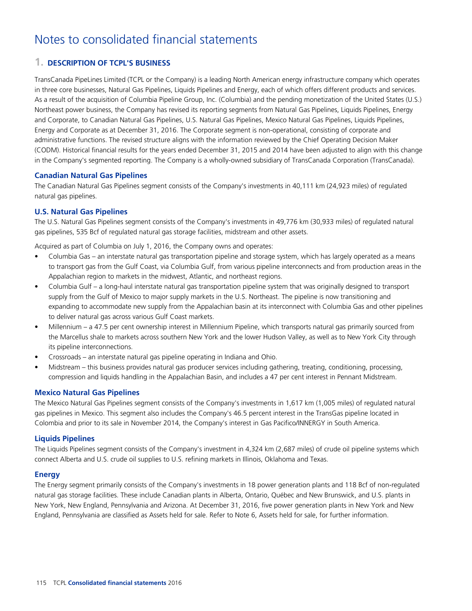# Notes to consolidated financial statements

## **1. DESCRIPTION OF TCPL'S BUSINESS**

TransCanada PipeLines Limited (TCPL or the Company) is a leading North American energy infrastructure company which operates in three core businesses, Natural Gas Pipelines, Liquids Pipelines and Energy, each of which offers different products and services. As a result of the acquisition of Columbia Pipeline Group, Inc. (Columbia) and the pending monetization of the United States (U.S.) Northeast power business, the Company has revised its reporting segments from Natural Gas Pipelines, Liquids Pipelines, Energy and Corporate, to Canadian Natural Gas Pipelines, U.S. Natural Gas Pipelines, Mexico Natural Gas Pipelines, Liquids Pipelines, Energy and Corporate as at December 31, 2016. The Corporate segment is non-operational, consisting of corporate and administrative functions. The revised structure aligns with the information reviewed by the Chief Operating Decision Maker (CODM). Historical financial results for the years ended December 31, 2015 and 2014 have been adjusted to align with this change in the Company's segmented reporting. The Company is a wholly-owned subsidiary of TransCanada Corporation (TransCanada).

#### **Canadian Natural Gas Pipelines**

The Canadian Natural Gas Pipelines segment consists of the Company's investments in 40,111 km (24,923 miles) of regulated natural gas pipelines.

#### **U.S. Natural Gas Pipelines**

The U.S. Natural Gas Pipelines segment consists of the Company's investments in 49,776 km (30,933 miles) of regulated natural gas pipelines, 535 Bcf of regulated natural gas storage facilities, midstream and other assets.

Acquired as part of Columbia on July 1, 2016, the Company owns and operates:

- Columbia Gas an interstate natural gas transportation pipeline and storage system, which has largely operated as a means to transport gas from the Gulf Coast, via Columbia Gulf, from various pipeline interconnects and from production areas in the Appalachian region to markets in the midwest, Atlantic, and northeast regions.
- Columbia Gulf a long-haul interstate natural gas transportation pipeline system that was originally designed to transport supply from the Gulf of Mexico to major supply markets in the U.S. Northeast. The pipeline is now transitioning and expanding to accommodate new supply from the Appalachian basin at its interconnect with Columbia Gas and other pipelines to deliver natural gas across various Gulf Coast markets.
- Millennium a 47.5 per cent ownership interest in Millennium Pipeline, which transports natural gas primarily sourced from the Marcellus shale to markets across southern New York and the lower Hudson Valley, as well as to New York City through its pipeline interconnections.
- Crossroads an interstate natural gas pipeline operating in Indiana and Ohio.
- Midstream this business provides natural gas producer services including gathering, treating, conditioning, processing, compression and liquids handling in the Appalachian Basin, and includes a 47 per cent interest in Pennant Midstream.

#### **Mexico Natural Gas Pipelines**

The Mexico Natural Gas Pipelines segment consists of the Company's investments in 1,617 km (1,005 miles) of regulated natural gas pipelines in Mexico. This segment also includes the Company's 46.5 percent interest in the TransGas pipeline located in Colombia and prior to its sale in November 2014, the Company's interest in Gas Pacifico/INNERGY in South America.

#### **Liquids Pipelines**

The Liquids Pipelines segment consists of the Company's investment in 4,324 km (2,687 miles) of crude oil pipeline systems which connect Alberta and U.S. crude oil supplies to U.S. refining markets in Illinois, Oklahoma and Texas.

#### **Energy**

The Energy segment primarily consists of the Company's investments in 18 power generation plants and 118 Bcf of non-regulated natural gas storage facilities. These include Canadian plants in Alberta, Ontario, Québec and New Brunswick, and U.S. plants in New York, New England, Pennsylvania and Arizona. At December 31, 2016, five power generation plants in New York and New England, Pennsylvania are classified as Assets held for sale. Refer to Note 6, Assets held for sale, for further information.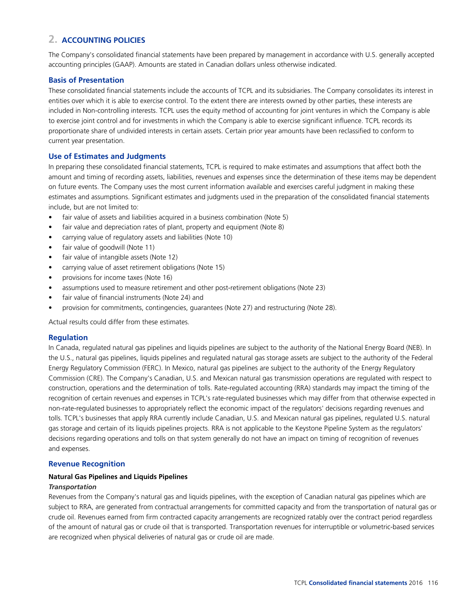## **2. ACCOUNTING POLICIES**

The Company's consolidated financial statements have been prepared by management in accordance with U.S. generally accepted accounting principles (GAAP). Amounts are stated in Canadian dollars unless otherwise indicated.

#### **Basis of Presentation**

These consolidated financial statements include the accounts of TCPL and its subsidiaries. The Company consolidates its interest in entities over which it is able to exercise control. To the extent there are interests owned by other parties, these interests are included in Non-controlling interests. TCPL uses the equity method of accounting for joint ventures in which the Company is able to exercise joint control and for investments in which the Company is able to exercise significant influence. TCPL records its proportionate share of undivided interests in certain assets. Certain prior year amounts have been reclassified to conform to current year presentation.

#### **Use of Estimates and Judgments**

In preparing these consolidated financial statements, TCPL is required to make estimates and assumptions that affect both the amount and timing of recording assets, liabilities, revenues and expenses since the determination of these items may be dependent on future events. The Company uses the most current information available and exercises careful judgment in making these estimates and assumptions. Significant estimates and judgments used in the preparation of the consolidated financial statements include, but are not limited to:

- fair value of assets and liabilities acquired in a business combination (Note 5)
- fair value and depreciation rates of plant, property and equipment (Note 8)
- carrying value of regulatory assets and liabilities (Note 10)
- fair value of goodwill (Note 11)
- fair value of intangible assets (Note 12)
- carrying value of asset retirement obligations (Note 15)
- provisions for income taxes (Note 16)
- assumptions used to measure retirement and other post-retirement obligations (Note 23)
- fair value of financial instruments (Note 24) and
- provision for commitments, contingencies, guarantees (Note 27) and restructuring (Note 28).

Actual results could differ from these estimates.

#### **Regulation**

In Canada, regulated natural gas pipelines and liquids pipelines are subject to the authority of the National Energy Board (NEB). In the U.S., natural gas pipelines, liquids pipelines and regulated natural gas storage assets are subject to the authority of the Federal Energy Regulatory Commission (FERC). In Mexico, natural gas pipelines are subject to the authority of the Energy Regulatory Commission (CRE). The Company's Canadian, U.S. and Mexican natural gas transmission operations are regulated with respect to construction, operations and the determination of tolls. Rate-regulated accounting (RRA) standards may impact the timing of the recognition of certain revenues and expenses in TCPL's rate-regulated businesses which may differ from that otherwise expected in non-rate-regulated businesses to appropriately reflect the economic impact of the regulators' decisions regarding revenues and tolls. TCPL's businesses that apply RRA currently include Canadian, U.S. and Mexican natural gas pipelines, regulated U.S. natural gas storage and certain of its liquids pipelines projects. RRA is not applicable to the Keystone Pipeline System as the regulators' decisions regarding operations and tolls on that system generally do not have an impact on timing of recognition of revenues and expenses.

#### **Revenue Recognition**

#### **Natural Gas Pipelines and Liquids Pipelines**

#### *Transportation*

Revenues from the Company's natural gas and liquids pipelines, with the exception of Canadian natural gas pipelines which are subject to RRA, are generated from contractual arrangements for committed capacity and from the transportation of natural gas or crude oil. Revenues earned from firm contracted capacity arrangements are recognized ratably over the contract period regardless of the amount of natural gas or crude oil that is transported. Transportation revenues for interruptible or volumetric-based services are recognized when physical deliveries of natural gas or crude oil are made.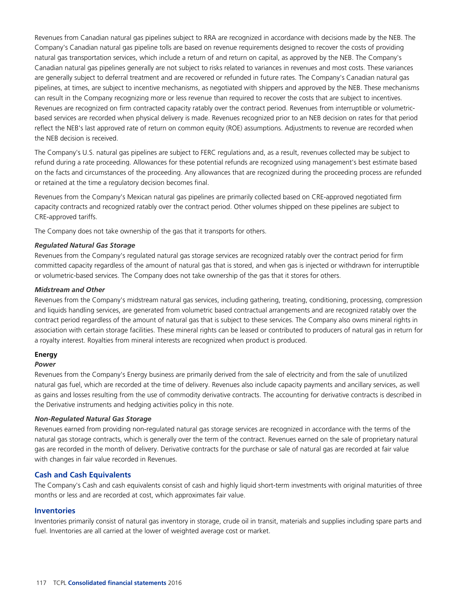Revenues from Canadian natural gas pipelines subject to RRA are recognized in accordance with decisions made by the NEB. The Company's Canadian natural gas pipeline tolls are based on revenue requirements designed to recover the costs of providing natural gas transportation services, which include a return of and return on capital, as approved by the NEB. The Company's Canadian natural gas pipelines generally are not subject to risks related to variances in revenues and most costs. These variances are generally subject to deferral treatment and are recovered or refunded in future rates. The Company's Canadian natural gas pipelines, at times, are subject to incentive mechanisms, as negotiated with shippers and approved by the NEB. These mechanisms can result in the Company recognizing more or less revenue than required to recover the costs that are subject to incentives. Revenues are recognized on firm contracted capacity ratably over the contract period. Revenues from interruptible or volumetricbased services are recorded when physical delivery is made. Revenues recognized prior to an NEB decision on rates for that period reflect the NEB's last approved rate of return on common equity (ROE) assumptions. Adjustments to revenue are recorded when the NEB decision is received.

The Company's U.S. natural gas pipelines are subject to FERC regulations and, as a result, revenues collected may be subject to refund during a rate proceeding. Allowances for these potential refunds are recognized using management's best estimate based on the facts and circumstances of the proceeding. Any allowances that are recognized during the proceeding process are refunded or retained at the time a regulatory decision becomes final.

Revenues from the Company's Mexican natural gas pipelines are primarily collected based on CRE-approved negotiated firm capacity contracts and recognized ratably over the contract period. Other volumes shipped on these pipelines are subject to CRE-approved tariffs.

The Company does not take ownership of the gas that it transports for others.

#### *Regulated Natural Gas Storage*

Revenues from the Company's regulated natural gas storage services are recognized ratably over the contract period for firm committed capacity regardless of the amount of natural gas that is stored, and when gas is injected or withdrawn for interruptible or volumetric-based services. The Company does not take ownership of the gas that it stores for others.

#### *Midstream and Other*

Revenues from the Company's midstream natural gas services, including gathering, treating, conditioning, processing, compression and liquids handling services, are generated from volumetric based contractual arrangements and are recognized ratably over the contract period regardless of the amount of natural gas that is subject to these services. The Company also owns mineral rights in association with certain storage facilities. These mineral rights can be leased or contributed to producers of natural gas in return for a royalty interest. Royalties from mineral interests are recognized when product is produced.

#### **Energy**

#### *Power*

Revenues from the Company's Energy business are primarily derived from the sale of electricity and from the sale of unutilized natural gas fuel, which are recorded at the time of delivery. Revenues also include capacity payments and ancillary services, as well as gains and losses resulting from the use of commodity derivative contracts. The accounting for derivative contracts is described in the Derivative instruments and hedging activities policy in this note.

#### *Non-Regulated Natural Gas Storage*

Revenues earned from providing non-regulated natural gas storage services are recognized in accordance with the terms of the natural gas storage contracts, which is generally over the term of the contract. Revenues earned on the sale of proprietary natural gas are recorded in the month of delivery. Derivative contracts for the purchase or sale of natural gas are recorded at fair value with changes in fair value recorded in Revenues.

#### **Cash and Cash Equivalents**

The Company's Cash and cash equivalents consist of cash and highly liquid short-term investments with original maturities of three months or less and are recorded at cost, which approximates fair value.

#### **Inventories**

Inventories primarily consist of natural gas inventory in storage, crude oil in transit, materials and supplies including spare parts and fuel. Inventories are all carried at the lower of weighted average cost or market.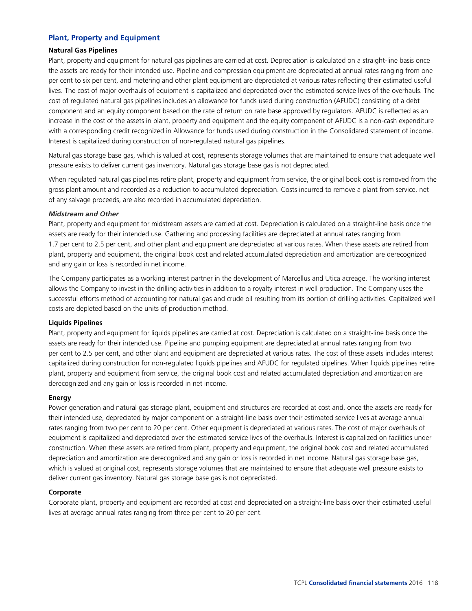#### **Plant, Property and Equipment**

#### **Natural Gas Pipelines**

Plant, property and equipment for natural gas pipelines are carried at cost. Depreciation is calculated on a straight-line basis once the assets are ready for their intended use. Pipeline and compression equipment are depreciated at annual rates ranging from one per cent to six per cent, and metering and other plant equipment are depreciated at various rates reflecting their estimated useful lives. The cost of major overhauls of equipment is capitalized and depreciated over the estimated service lives of the overhauls. The cost of regulated natural gas pipelines includes an allowance for funds used during construction (AFUDC) consisting of a debt component and an equity component based on the rate of return on rate base approved by regulators. AFUDC is reflected as an increase in the cost of the assets in plant, property and equipment and the equity component of AFUDC is a non-cash expenditure with a corresponding credit recognized in Allowance for funds used during construction in the Consolidated statement of income. Interest is capitalized during construction of non-regulated natural gas pipelines.

Natural gas storage base gas, which is valued at cost, represents storage volumes that are maintained to ensure that adequate well pressure exists to deliver current gas inventory. Natural gas storage base gas is not depreciated.

When regulated natural gas pipelines retire plant, property and equipment from service, the original book cost is removed from the gross plant amount and recorded as a reduction to accumulated depreciation. Costs incurred to remove a plant from service, net of any salvage proceeds, are also recorded in accumulated depreciation.

#### *Midstream and Other*

Plant, property and equipment for midstream assets are carried at cost. Depreciation is calculated on a straight-line basis once the assets are ready for their intended use. Gathering and processing facilities are depreciated at annual rates ranging from 1.7 per cent to 2.5 per cent, and other plant and equipment are depreciated at various rates. When these assets are retired from plant, property and equipment, the original book cost and related accumulated depreciation and amortization are derecognized and any gain or loss is recorded in net income.

The Company participates as a working interest partner in the development of Marcellus and Utica acreage. The working interest allows the Company to invest in the drilling activities in addition to a royalty interest in well production. The Company uses the successful efforts method of accounting for natural gas and crude oil resulting from its portion of drilling activities. Capitalized well costs are depleted based on the units of production method.

#### **Liquids Pipelines**

Plant, property and equipment for liquids pipelines are carried at cost. Depreciation is calculated on a straight-line basis once the assets are ready for their intended use. Pipeline and pumping equipment are depreciated at annual rates ranging from two per cent to 2.5 per cent, and other plant and equipment are depreciated at various rates. The cost of these assets includes interest capitalized during construction for non-regulated liquids pipelines and AFUDC for regulated pipelines. When liquids pipelines retire plant, property and equipment from service, the original book cost and related accumulated depreciation and amortization are derecognized and any gain or loss is recorded in net income.

#### **Energy**

Power generation and natural gas storage plant, equipment and structures are recorded at cost and, once the assets are ready for their intended use, depreciated by major component on a straight-line basis over their estimated service lives at average annual rates ranging from two per cent to 20 per cent. Other equipment is depreciated at various rates. The cost of major overhauls of equipment is capitalized and depreciated over the estimated service lives of the overhauls. Interest is capitalized on facilities under construction. When these assets are retired from plant, property and equipment, the original book cost and related accumulated depreciation and amortization are derecognized and any gain or loss is recorded in net income. Natural gas storage base gas, which is valued at original cost, represents storage volumes that are maintained to ensure that adequate well pressure exists to deliver current gas inventory. Natural gas storage base gas is not depreciated.

#### **Corporate**

Corporate plant, property and equipment are recorded at cost and depreciated on a straight-line basis over their estimated useful lives at average annual rates ranging from three per cent to 20 per cent.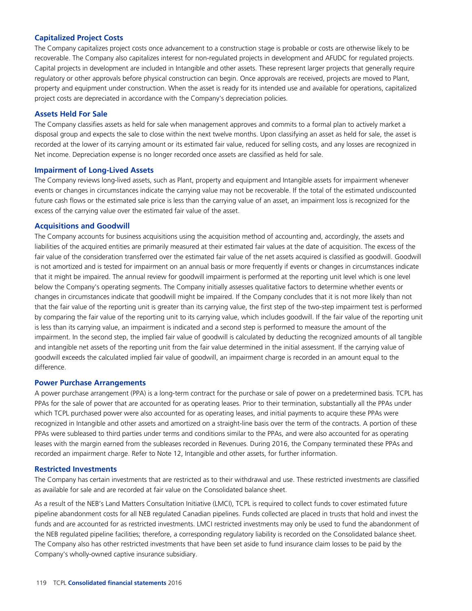## **Capitalized Project Costs**

The Company capitalizes project costs once advancement to a construction stage is probable or costs are otherwise likely to be recoverable. The Company also capitalizes interest for non-regulated projects in development and AFUDC for regulated projects. Capital projects in development are included in Intangible and other assets. These represent larger projects that generally require regulatory or other approvals before physical construction can begin. Once approvals are received, projects are moved to Plant, property and equipment under construction. When the asset is ready for its intended use and available for operations, capitalized project costs are depreciated in accordance with the Company's depreciation policies.

#### **Assets Held For Sale**

The Company classifies assets as held for sale when management approves and commits to a formal plan to actively market a disposal group and expects the sale to close within the next twelve months. Upon classifying an asset as held for sale, the asset is recorded at the lower of its carrying amount or its estimated fair value, reduced for selling costs, and any losses are recognized in Net income. Depreciation expense is no longer recorded once assets are classified as held for sale.

#### **Impairment of Long-Lived Assets**

The Company reviews long-lived assets, such as Plant, property and equipment and Intangible assets for impairment whenever events or changes in circumstances indicate the carrying value may not be recoverable. If the total of the estimated undiscounted future cash flows or the estimated sale price is less than the carrying value of an asset, an impairment loss is recognized for the excess of the carrying value over the estimated fair value of the asset.

#### **Acquisitions and Goodwill**

The Company accounts for business acquisitions using the acquisition method of accounting and, accordingly, the assets and liabilities of the acquired entities are primarily measured at their estimated fair values at the date of acquisition. The excess of the fair value of the consideration transferred over the estimated fair value of the net assets acquired is classified as goodwill. Goodwill is not amortized and is tested for impairment on an annual basis or more frequently if events or changes in circumstances indicate that it might be impaired. The annual review for goodwill impairment is performed at the reporting unit level which is one level below the Company's operating segments. The Company initially assesses qualitative factors to determine whether events or changes in circumstances indicate that goodwill might be impaired. If the Company concludes that it is not more likely than not that the fair value of the reporting unit is greater than its carrying value, the first step of the two-step impairment test is performed by comparing the fair value of the reporting unit to its carrying value, which includes goodwill. If the fair value of the reporting unit is less than its carrying value, an impairment is indicated and a second step is performed to measure the amount of the impairment. In the second step, the implied fair value of goodwill is calculated by deducting the recognized amounts of all tangible and intangible net assets of the reporting unit from the fair value determined in the initial assessment. If the carrying value of goodwill exceeds the calculated implied fair value of goodwill, an impairment charge is recorded in an amount equal to the difference.

#### **Power Purchase Arrangements**

A power purchase arrangement (PPA) is a long-term contract for the purchase or sale of power on a predetermined basis. TCPL has PPAs for the sale of power that are accounted for as operating leases. Prior to their termination, substantially all the PPAs under which TCPL purchased power were also accounted for as operating leases, and initial payments to acquire these PPAs were recognized in Intangible and other assets and amortized on a straight-line basis over the term of the contracts. A portion of these PPAs were subleased to third parties under terms and conditions similar to the PPAs, and were also accounted for as operating leases with the margin earned from the subleases recorded in Revenues. During 2016, the Company terminated these PPAs and recorded an impairment charge. Refer to Note 12, Intangible and other assets, for further information.

#### **Restricted Investments**

The Company has certain investments that are restricted as to their withdrawal and use. These restricted investments are classified as available for sale and are recorded at fair value on the Consolidated balance sheet.

As a result of the NEB's Land Matters Consultation Initiative (LMCI), TCPL is required to collect funds to cover estimated future pipeline abandonment costs for all NEB regulated Canadian pipelines. Funds collected are placed in trusts that hold and invest the funds and are accounted for as restricted investments. LMCI restricted investments may only be used to fund the abandonment of the NEB regulated pipeline facilities; therefore, a corresponding regulatory liability is recorded on the Consolidated balance sheet. The Company also has other restricted investments that have been set aside to fund insurance claim losses to be paid by the Company's wholly-owned captive insurance subsidiary.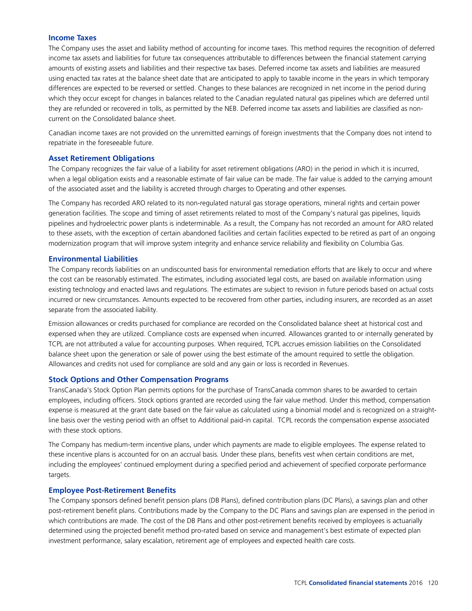#### **Income Taxes**

The Company uses the asset and liability method of accounting for income taxes. This method requires the recognition of deferred income tax assets and liabilities for future tax consequences attributable to differences between the financial statement carrying amounts of existing assets and liabilities and their respective tax bases. Deferred income tax assets and liabilities are measured using enacted tax rates at the balance sheet date that are anticipated to apply to taxable income in the years in which temporary differences are expected to be reversed or settled. Changes to these balances are recognized in net income in the period during which they occur except for changes in balances related to the Canadian regulated natural gas pipelines which are deferred until they are refunded or recovered in tolls, as permitted by the NEB. Deferred income tax assets and liabilities are classified as noncurrent on the Consolidated balance sheet.

Canadian income taxes are not provided on the unremitted earnings of foreign investments that the Company does not intend to repatriate in the foreseeable future.

#### **Asset Retirement Obligations**

The Company recognizes the fair value of a liability for asset retirement obligations (ARO) in the period in which it is incurred, when a legal obligation exists and a reasonable estimate of fair value can be made. The fair value is added to the carrying amount of the associated asset and the liability is accreted through charges to Operating and other expenses.

The Company has recorded ARO related to its non-regulated natural gas storage operations, mineral rights and certain power generation facilities. The scope and timing of asset retirements related to most of the Company's natural gas pipelines, liquids pipelines and hydroelectric power plants is indeterminable. As a result, the Company has not recorded an amount for ARO related to these assets, with the exception of certain abandoned facilities and certain facilities expected to be retired as part of an ongoing modernization program that will improve system integrity and enhance service reliability and flexibility on Columbia Gas.

#### **Environmental Liabilities**

The Company records liabilities on an undiscounted basis for environmental remediation efforts that are likely to occur and where the cost can be reasonably estimated. The estimates, including associated legal costs, are based on available information using existing technology and enacted laws and regulations. The estimates are subject to revision in future periods based on actual costs incurred or new circumstances. Amounts expected to be recovered from other parties, including insurers, are recorded as an asset separate from the associated liability.

Emission allowances or credits purchased for compliance are recorded on the Consolidated balance sheet at historical cost and expensed when they are utilized. Compliance costs are expensed when incurred. Allowances granted to or internally generated by TCPL are not attributed a value for accounting purposes. When required, TCPL accrues emission liabilities on the Consolidated balance sheet upon the generation or sale of power using the best estimate of the amount required to settle the obligation. Allowances and credits not used for compliance are sold and any gain or loss is recorded in Revenues.

#### **Stock Options and Other Compensation Programs**

TransCanada's Stock Option Plan permits options for the purchase of TransCanada common shares to be awarded to certain employees, including officers. Stock options granted are recorded using the fair value method. Under this method, compensation expense is measured at the grant date based on the fair value as calculated using a binomial model and is recognized on a straightline basis over the vesting period with an offset to Additional paid-in capital. TCPL records the compensation expense associated with these stock options.

The Company has medium-term incentive plans, under which payments are made to eligible employees. The expense related to these incentive plans is accounted for on an accrual basis. Under these plans, benefits vest when certain conditions are met, including the employees' continued employment during a specified period and achievement of specified corporate performance targets.

#### **Employee Post-Retirement Benefits**

The Company sponsors defined benefit pension plans (DB Plans), defined contribution plans (DC Plans), a savings plan and other post-retirement benefit plans. Contributions made by the Company to the DC Plans and savings plan are expensed in the period in which contributions are made. The cost of the DB Plans and other post-retirement benefits received by employees is actuarially determined using the projected benefit method pro-rated based on service and management's best estimate of expected plan investment performance, salary escalation, retirement age of employees and expected health care costs.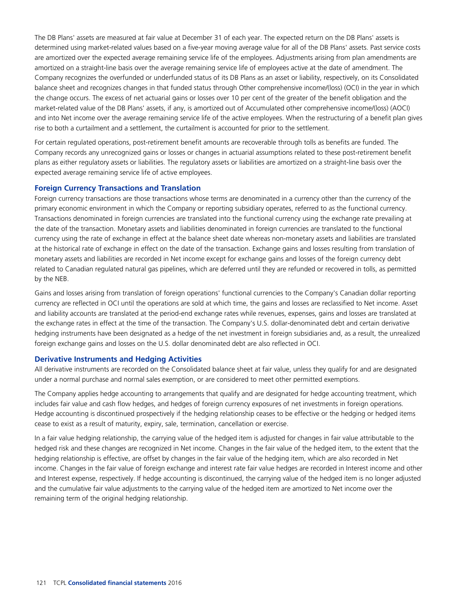The DB Plans' assets are measured at fair value at December 31 of each year. The expected return on the DB Plans' assets is determined using market-related values based on a five-year moving average value for all of the DB Plans' assets. Past service costs are amortized over the expected average remaining service life of the employees. Adjustments arising from plan amendments are amortized on a straight-line basis over the average remaining service life of employees active at the date of amendment. The Company recognizes the overfunded or underfunded status of its DB Plans as an asset or liability, respectively, on its Consolidated balance sheet and recognizes changes in that funded status through Other comprehensive income/(loss) (OCI) in the year in which the change occurs. The excess of net actuarial gains or losses over 10 per cent of the greater of the benefit obligation and the market-related value of the DB Plans' assets, if any, is amortized out of Accumulated other comprehensive income/(loss) (AOCI) and into Net income over the average remaining service life of the active employees. When the restructuring of a benefit plan gives rise to both a curtailment and a settlement, the curtailment is accounted for prior to the settlement.

For certain regulated operations, post-retirement benefit amounts are recoverable through tolls as benefits are funded. The Company records any unrecognized gains or losses or changes in actuarial assumptions related to these post-retirement benefit plans as either regulatory assets or liabilities. The regulatory assets or liabilities are amortized on a straight-line basis over the expected average remaining service life of active employees.

#### **Foreign Currency Transactions and Translation**

Foreign currency transactions are those transactions whose terms are denominated in a currency other than the currency of the primary economic environment in which the Company or reporting subsidiary operates, referred to as the functional currency. Transactions denominated in foreign currencies are translated into the functional currency using the exchange rate prevailing at the date of the transaction. Monetary assets and liabilities denominated in foreign currencies are translated to the functional currency using the rate of exchange in effect at the balance sheet date whereas non-monetary assets and liabilities are translated at the historical rate of exchange in effect on the date of the transaction. Exchange gains and losses resulting from translation of monetary assets and liabilities are recorded in Net income except for exchange gains and losses of the foreign currency debt related to Canadian regulated natural gas pipelines, which are deferred until they are refunded or recovered in tolls, as permitted by the NEB.

Gains and losses arising from translation of foreign operations' functional currencies to the Company's Canadian dollar reporting currency are reflected in OCI until the operations are sold at which time, the gains and losses are reclassified to Net income. Asset and liability accounts are translated at the period-end exchange rates while revenues, expenses, gains and losses are translated at the exchange rates in effect at the time of the transaction. The Company's U.S. dollar-denominated debt and certain derivative hedging instruments have been designated as a hedge of the net investment in foreign subsidiaries and, as a result, the unrealized foreign exchange gains and losses on the U.S. dollar denominated debt are also reflected in OCI.

#### **Derivative Instruments and Hedging Activities**

All derivative instruments are recorded on the Consolidated balance sheet at fair value, unless they qualify for and are designated under a normal purchase and normal sales exemption, or are considered to meet other permitted exemptions.

The Company applies hedge accounting to arrangements that qualify and are designated for hedge accounting treatment, which includes fair value and cash flow hedges, and hedges of foreign currency exposures of net investments in foreign operations. Hedge accounting is discontinued prospectively if the hedging relationship ceases to be effective or the hedging or hedged items cease to exist as a result of maturity, expiry, sale, termination, cancellation or exercise.

In a fair value hedging relationship, the carrying value of the hedged item is adjusted for changes in fair value attributable to the hedged risk and these changes are recognized in Net income. Changes in the fair value of the hedged item, to the extent that the hedging relationship is effective, are offset by changes in the fair value of the hedging item, which are also recorded in Net income. Changes in the fair value of foreign exchange and interest rate fair value hedges are recorded in Interest income and other and Interest expense, respectively. If hedge accounting is discontinued, the carrying value of the hedged item is no longer adjusted and the cumulative fair value adjustments to the carrying value of the hedged item are amortized to Net income over the remaining term of the original hedging relationship.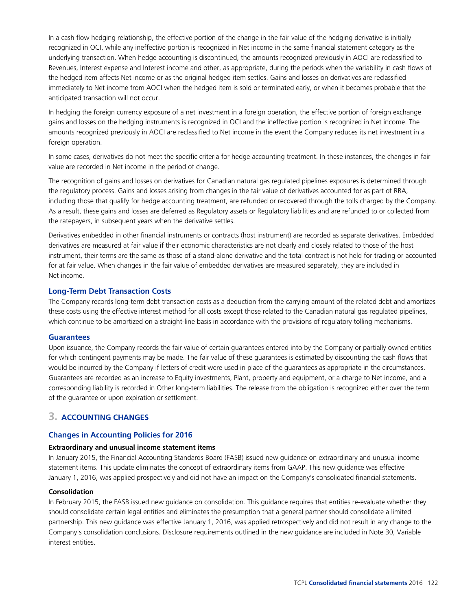In a cash flow hedging relationship, the effective portion of the change in the fair value of the hedging derivative is initially recognized in OCI, while any ineffective portion is recognized in Net income in the same financial statement category as the underlying transaction. When hedge accounting is discontinued, the amounts recognized previously in AOCI are reclassified to Revenues, Interest expense and Interest income and other, as appropriate, during the periods when the variability in cash flows of the hedged item affects Net income or as the original hedged item settles. Gains and losses on derivatives are reclassified immediately to Net income from AOCI when the hedged item is sold or terminated early, or when it becomes probable that the anticipated transaction will not occur.

In hedging the foreign currency exposure of a net investment in a foreign operation, the effective portion of foreign exchange gains and losses on the hedging instruments is recognized in OCI and the ineffective portion is recognized in Net income. The amounts recognized previously in AOCI are reclassified to Net income in the event the Company reduces its net investment in a foreign operation.

In some cases, derivatives do not meet the specific criteria for hedge accounting treatment. In these instances, the changes in fair value are recorded in Net income in the period of change.

The recognition of gains and losses on derivatives for Canadian natural gas regulated pipelines exposures is determined through the regulatory process. Gains and losses arising from changes in the fair value of derivatives accounted for as part of RRA, including those that qualify for hedge accounting treatment, are refunded or recovered through the tolls charged by the Company. As a result, these gains and losses are deferred as Regulatory assets or Regulatory liabilities and are refunded to or collected from the ratepayers, in subsequent years when the derivative settles.

Derivatives embedded in other financial instruments or contracts (host instrument) are recorded as separate derivatives. Embedded derivatives are measured at fair value if their economic characteristics are not clearly and closely related to those of the host instrument, their terms are the same as those of a stand-alone derivative and the total contract is not held for trading or accounted for at fair value. When changes in the fair value of embedded derivatives are measured separately, they are included in Net income.

#### **Long-Term Debt Transaction Costs**

The Company records long-term debt transaction costs as a deduction from the carrying amount of the related debt and amortizes these costs using the effective interest method for all costs except those related to the Canadian natural gas regulated pipelines, which continue to be amortized on a straight-line basis in accordance with the provisions of regulatory tolling mechanisms.

#### **Guarantees**

Upon issuance, the Company records the fair value of certain guarantees entered into by the Company or partially owned entities for which contingent payments may be made. The fair value of these guarantees is estimated by discounting the cash flows that would be incurred by the Company if letters of credit were used in place of the guarantees as appropriate in the circumstances. Guarantees are recorded as an increase to Equity investments, Plant, property and equipment, or a charge to Net income, and a corresponding liability is recorded in Other long-term liabilities. The release from the obligation is recognized either over the term of the guarantee or upon expiration or settlement.

### **3. ACCOUNTING CHANGES**

#### **Changes in Accounting Policies for 2016**

#### **Extraordinary and unusual income statement items**

In January 2015, the Financial Accounting Standards Board (FASB) issued new guidance on extraordinary and unusual income statement items. This update eliminates the concept of extraordinary items from GAAP. This new guidance was effective January 1, 2016, was applied prospectively and did not have an impact on the Company's consolidated financial statements.

#### **Consolidation**

In February 2015, the FASB issued new guidance on consolidation. This guidance requires that entities re-evaluate whether they should consolidate certain legal entities and eliminates the presumption that a general partner should consolidate a limited partnership. This new guidance was effective January 1, 2016, was applied retrospectively and did not result in any change to the Company's consolidation conclusions. Disclosure requirements outlined in the new guidance are included in Note 30, Variable interest entities.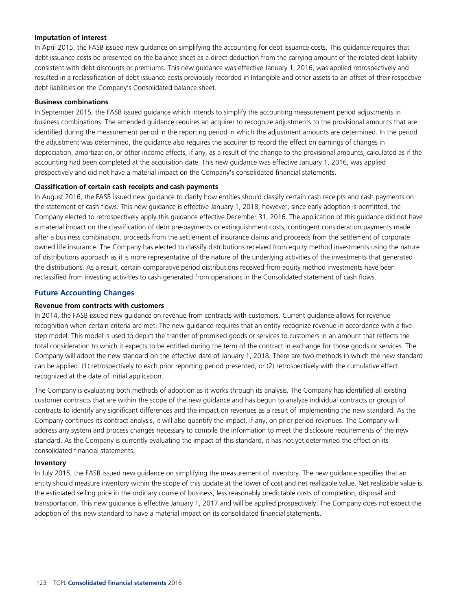#### **Imputation of interest**

In April 2015, the FASB issued new guidance on simplifying the accounting for debt issuance costs. This guidance requires that debt issuance costs be presented on the balance sheet as a direct deduction from the carrying amount of the related debt liability consistent with debt discounts or premiums. This new guidance was effective January 1, 2016, was applied retrospectively and resulted in a reclassification of debt issuance costs previously recorded in Intangible and other assets to an offset of their respective debt liabilities on the Company's Consolidated balance sheet.

#### **Business combinations**

In September 2015, the FASB issued guidance which intends to simplify the accounting measurement period adjustments in business combinations. The amended guidance requires an acquirer to recognize adjustments to the provisional amounts that are identified during the measurement period in the reporting period in which the adjustment amounts are determined. In the period the adjustment was determined, the guidance also requires the acquirer to record the effect on earnings of changes in depreciation, amortization, or other income effects, if any, as a result of the change to the provisional amounts, calculated as if the accounting had been completed at the acquisition date. This new guidance was effective January 1, 2016, was applied prospectively and did not have a material impact on the Company's consolidated financial statements.

#### **Classification of certain cash receipts and cash payments**

In August 2016, the FASB issued new guidance to clarify how entities should classify certain cash receipts and cash payments on the statement of cash flows. This new guidance is effective January 1, 2018, however, since early adoption is permitted, the Company elected to retrospectively apply this guidance effective December 31, 2016. The application of this guidance did not have a material impact on the classification of debt pre-payments or extinguishment costs, contingent consideration payments made after a business combination, proceeds from the settlement of insurance claims and proceeds from the settlement of corporate owned life insurance. The Company has elected to classify distributions received from equity method investments using the nature of distributions approach as it is more representative of the nature of the underlying activities of the investments that generated the distributions. As a result, certain comparative period distributions received from equity method investments have been reclassified from investing activities to cash generated from operations in the Consolidated statement of cash flows.

#### **Future Accounting Changes**

#### **Revenue from contracts with customers**

In 2014, the FASB issued new guidance on revenue from contracts with customers. Current guidance allows for revenue recognition when certain criteria are met. The new guidance requires that an entity recognize revenue in accordance with a fivestep model. This model is used to depict the transfer of promised goods or services to customers in an amount that reflects the total consideration to which it expects to be entitled during the term of the contract in exchange for those goods or services. The Company will adopt the new standard on the effective date of January 1, 2018. There are two methods in which the new standard can be applied: (1) retrospectively to each prior reporting period presented, or (2) retrospectively with the cumulative effect recognized at the date of initial application.

The Company is evaluating both methods of adoption as it works through its analysis. The Company has identified all existing customer contracts that are within the scope of the new guidance and has begun to analyze individual contracts or groups of contracts to identify any significant differences and the impact on revenues as a result of implementing the new standard. As the Company continues its contract analysis, it will also quantify the impact, if any, on prior period revenues. The Company will address any system and process changes necessary to compile the information to meet the disclosure requirements of the new standard. As the Company is currently evaluating the impact of this standard, it has not yet determined the effect on its consolidated financial statements.

#### **Inventory**

In July 2015, the FASB issued new guidance on simplifying the measurement of inventory. The new guidance specifies that an entity should measure inventory within the scope of this update at the lower of cost and net realizable value. Net realizable value is the estimated selling price in the ordinary course of business, less reasonably predictable costs of completion, disposal and transportation. This new guidance is effective January 1, 2017 and will be applied prospectively. The Company does not expect the adoption of this new standard to have a material impact on its consolidated financial statements.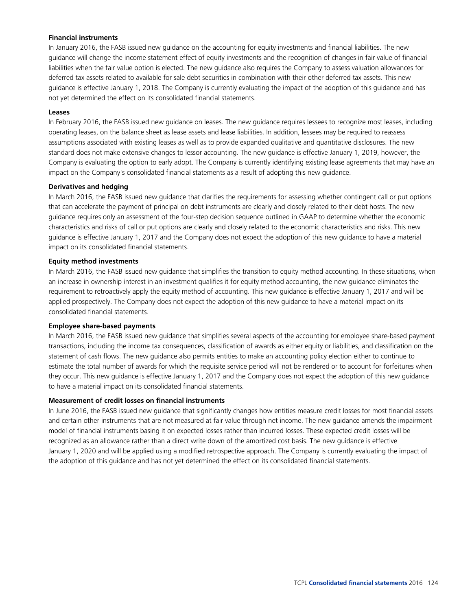#### **Financial instruments**

In January 2016, the FASB issued new guidance on the accounting for equity investments and financial liabilities. The new guidance will change the income statement effect of equity investments and the recognition of changes in fair value of financial liabilities when the fair value option is elected. The new guidance also requires the Company to assess valuation allowances for deferred tax assets related to available for sale debt securities in combination with their other deferred tax assets. This new guidance is effective January 1, 2018. The Company is currently evaluating the impact of the adoption of this guidance and has not yet determined the effect on its consolidated financial statements.

#### **Leases**

In February 2016, the FASB issued new guidance on leases. The new guidance requires lessees to recognize most leases, including operating leases, on the balance sheet as lease assets and lease liabilities. In addition, lessees may be required to reassess assumptions associated with existing leases as well as to provide expanded qualitative and quantitative disclosures. The new standard does not make extensive changes to lessor accounting. The new guidance is effective January 1, 2019, however, the Company is evaluating the option to early adopt. The Company is currently identifying existing lease agreements that may have an impact on the Company's consolidated financial statements as a result of adopting this new guidance.

#### **Derivatives and hedging**

In March 2016, the FASB issued new guidance that clarifies the requirements for assessing whether contingent call or put options that can accelerate the payment of principal on debt instruments are clearly and closely related to their debt hosts. The new guidance requires only an assessment of the four-step decision sequence outlined in GAAP to determine whether the economic characteristics and risks of call or put options are clearly and closely related to the economic characteristics and risks. This new guidance is effective January 1, 2017 and the Company does not expect the adoption of this new guidance to have a material impact on its consolidated financial statements.

#### **Equity method investments**

In March 2016, the FASB issued new guidance that simplifies the transition to equity method accounting. In these situations, when an increase in ownership interest in an investment qualifies it for equity method accounting, the new guidance eliminates the requirement to retroactively apply the equity method of accounting. This new guidance is effective January 1, 2017 and will be applied prospectively. The Company does not expect the adoption of this new guidance to have a material impact on its consolidated financial statements.

#### **Employee share-based payments**

In March 2016, the FASB issued new guidance that simplifies several aspects of the accounting for employee share-based payment transactions, including the income tax consequences, classification of awards as either equity or liabilities, and classification on the statement of cash flows. The new guidance also permits entities to make an accounting policy election either to continue to estimate the total number of awards for which the requisite service period will not be rendered or to account for forfeitures when they occur. This new guidance is effective January 1, 2017 and the Company does not expect the adoption of this new guidance to have a material impact on its consolidated financial statements.

#### **Measurement of credit losses on financial instruments**

In June 2016, the FASB issued new guidance that significantly changes how entities measure credit losses for most financial assets and certain other instruments that are not measured at fair value through net income. The new guidance amends the impairment model of financial instruments basing it on expected losses rather than incurred losses. These expected credit losses will be recognized as an allowance rather than a direct write down of the amortized cost basis. The new guidance is effective January 1, 2020 and will be applied using a modified retrospective approach. The Company is currently evaluating the impact of the adoption of this guidance and has not yet determined the effect on its consolidated financial statements.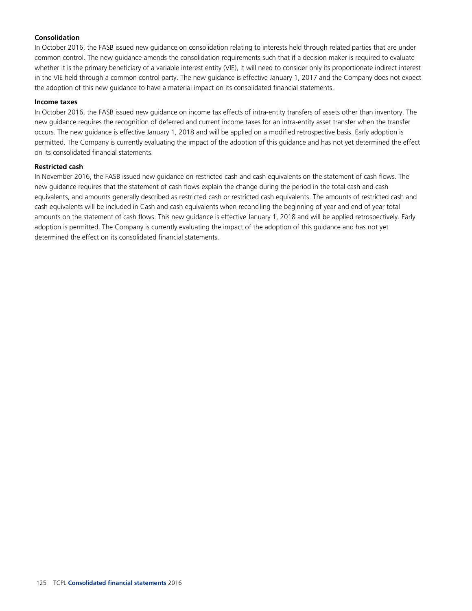#### **Consolidation**

In October 2016, the FASB issued new guidance on consolidation relating to interests held through related parties that are under common control. The new guidance amends the consolidation requirements such that if a decision maker is required to evaluate whether it is the primary beneficiary of a variable interest entity (VIE), it will need to consider only its proportionate indirect interest in the VIE held through a common control party. The new guidance is effective January 1, 2017 and the Company does not expect the adoption of this new guidance to have a material impact on its consolidated financial statements.

#### **Income taxes**

In October 2016, the FASB issued new guidance on income tax effects of intra-entity transfers of assets other than inventory. The new guidance requires the recognition of deferred and current income taxes for an intra-entity asset transfer when the transfer occurs. The new guidance is effective January 1, 2018 and will be applied on a modified retrospective basis. Early adoption is permitted. The Company is currently evaluating the impact of the adoption of this guidance and has not yet determined the effect on its consolidated financial statements.

#### **Restricted cash**

In November 2016, the FASB issued new guidance on restricted cash and cash equivalents on the statement of cash flows. The new guidance requires that the statement of cash flows explain the change during the period in the total cash and cash equivalents, and amounts generally described as restricted cash or restricted cash equivalents. The amounts of restricted cash and cash equivalents will be included in Cash and cash equivalents when reconciling the beginning of year and end of year total amounts on the statement of cash flows. This new guidance is effective January 1, 2018 and will be applied retrospectively. Early adoption is permitted. The Company is currently evaluating the impact of the adoption of this guidance and has not yet determined the effect on its consolidated financial statements.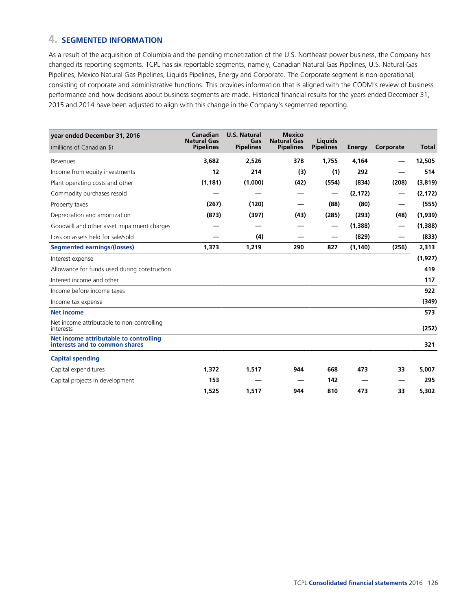## **4. SEGMENTED INFORMATION**

As a result of the acquisition of Columbia and the pending monetization of the U.S. Northeast power business, the Company has changed its reporting segments. TCPL has six reportable segments, namely, Canadian Natural Gas Pipelines, U.S. Natural Gas Pipelines, Mexico Natural Gas Pipelines, Liquids Pipelines, Energy and Corporate. The Corporate segment is non-operational, consisting of corporate and administrative functions. This provides information that is aligned with the CODM's review of business performance and how decisions about business segments are made. Historical financial results for the years ended December 31, 2015 and 2014 have been adjusted to align with this change in the Company's segmented reporting.

| year ended December 31, 2016                                             | Canadian<br><b>Natural Gas</b> | <b>U.S. Natural</b><br>Gas | <b>Mexico</b><br><b>Natural Gas</b> | <b>Liquids</b>   |               |           |              |
|--------------------------------------------------------------------------|--------------------------------|----------------------------|-------------------------------------|------------------|---------------|-----------|--------------|
| (millions of Canadian \$)                                                | <b>Pipelines</b>               | <b>Pipelines</b>           | <b>Pipelines</b>                    | <b>Pipelines</b> | <b>Energy</b> | Corporate | <b>Total</b> |
| Revenues                                                                 | 3,682                          | 2,526                      | 378                                 | 1,755            | 4,164         |           | 12,505       |
| Income from equity investments                                           | 12                             | 214                        | (3)                                 | (1)              | 292           |           | 514          |
| Plant operating costs and other                                          | (1, 181)                       | (1,000)                    | (42)                                | (554)            | (834)         | (208)     | (3,819)      |
| Commodity purchases resold                                               |                                |                            |                                     |                  | (2, 172)      |           | (2, 172)     |
| Property taxes                                                           | (267)                          | (120)                      |                                     | (88)             | (80)          |           | (555)        |
| Depreciation and amortization                                            | (873)                          | (397)                      | (43)                                | (285)            | (293)         | (48)      | (1,939)      |
| Goodwill and other asset impairment charges                              |                                |                            |                                     |                  | (1,388)       |           | (1,388)      |
| Loss on assets held for sale/sold                                        |                                | (4)                        |                                     |                  | (829)         | —         | (833)        |
| <b>Segmented earnings/(losses)</b>                                       | 1,373                          | 1,219                      | 290                                 | 827              | (1, 140)      | (256)     | 2,313        |
| Interest expense                                                         |                                |                            |                                     |                  |               |           | (1, 927)     |
| Allowance for funds used during construction                             |                                |                            |                                     |                  |               |           | 419          |
| Interest income and other                                                |                                |                            |                                     |                  |               |           | 117          |
| Income before income taxes                                               |                                |                            |                                     |                  |               |           | 922          |
| Income tax expense                                                       |                                |                            |                                     |                  |               |           | (349)        |
| <b>Net income</b>                                                        |                                |                            |                                     |                  |               |           | 573          |
| Net income attributable to non-controlling<br>interests                  |                                |                            |                                     |                  |               |           | (252)        |
| Net income attributable to controlling<br>interests and to common shares |                                |                            |                                     |                  |               |           | 321          |
| <b>Capital spending</b>                                                  |                                |                            |                                     |                  |               |           |              |
| Capital expenditures                                                     | 1,372                          | 1,517                      | 944                                 | 668              | 473           | 33        | 5,007        |
| Capital projects in development                                          | 153                            |                            |                                     | 142              |               |           | 295          |
|                                                                          | 1,525                          | 1,517                      | 944                                 | 810              | 473           | 33        | 5,302        |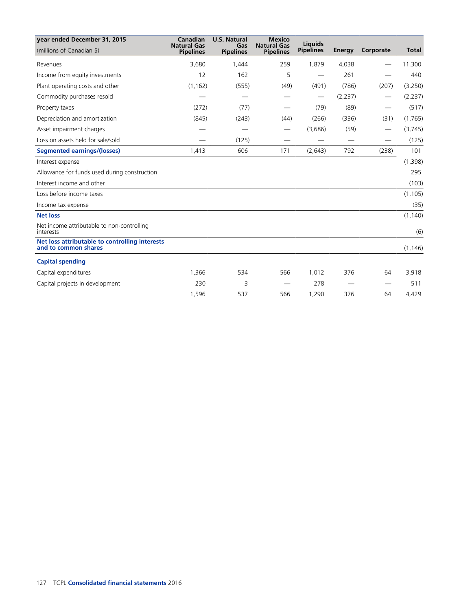| year ended December 31, 2015                                           | Canadian                               | <b>U.S. Natural</b>     | <b>Mexico</b>                          | <b>Liquids</b>   |               |                                 |              |
|------------------------------------------------------------------------|----------------------------------------|-------------------------|----------------------------------------|------------------|---------------|---------------------------------|--------------|
| (millions of Canadian \$)                                              | <b>Natural Gas</b><br><b>Pipelines</b> | Gas<br><b>Pipelines</b> | <b>Natural Gas</b><br><b>Pipelines</b> | <b>Pipelines</b> | <b>Energy</b> | Corporate                       | <b>Total</b> |
| Revenues                                                               | 3,680                                  | 1,444                   | 259                                    | 1,879            | 4,038         |                                 | 11,300       |
| Income from equity investments                                         | 12                                     | 162                     | 5                                      |                  | 261           |                                 | 440          |
| Plant operating costs and other                                        | (1, 162)                               | (555)                   | (49)                                   | (491)            | (786)         | (207)                           | (3,250)      |
| Commodity purchases resold                                             |                                        |                         |                                        |                  | (2, 237)      | $\overline{\phantom{0}}$        | (2, 237)     |
| Property taxes                                                         | (272)                                  | (77)                    |                                        | (79)             | (89)          | $\hspace{0.05cm}$               | (517)        |
| Depreciation and amortization                                          | (845)                                  | (243)                   | (44)                                   | (266)            | (336)         | (31)                            | (1,765)      |
| Asset impairment charges                                               |                                        |                         | $\overline{\phantom{0}}$               | (3,686)          | (59)          | $\hspace{0.1mm}-\hspace{0.1mm}$ | (3,745)      |
| Loss on assets held for sale/sold                                      |                                        | (125)                   |                                        |                  |               | $\overbrace{\phantom{1232211}}$ | (125)        |
| <b>Segmented earnings/(losses)</b>                                     | 1,413                                  | 606                     | 171                                    | (2,643)          | 792           | (238)                           | 101          |
| Interest expense                                                       |                                        |                         |                                        |                  |               |                                 | (1,398)      |
| Allowance for funds used during construction                           |                                        |                         |                                        |                  |               |                                 | 295          |
| Interest income and other                                              |                                        |                         |                                        |                  |               |                                 | (103)        |
| Loss before income taxes                                               |                                        |                         |                                        |                  |               |                                 | (1, 105)     |
| Income tax expense                                                     |                                        |                         |                                        |                  |               |                                 | (35)         |
| <b>Net loss</b>                                                        |                                        |                         |                                        |                  |               |                                 | (1, 140)     |
| Net income attributable to non-controlling<br>interests                |                                        |                         |                                        |                  |               |                                 | (6)          |
| Net loss attributable to controlling interests<br>and to common shares |                                        |                         |                                        |                  |               |                                 | (1, 146)     |
| <b>Capital spending</b>                                                |                                        |                         |                                        |                  |               |                                 |              |
| Capital expenditures                                                   | 1,366                                  | 534                     | 566                                    | 1,012            | 376           | 64                              | 3,918        |
| Capital projects in development                                        | 230                                    | 3                       |                                        | 278              |               |                                 | 511          |
|                                                                        | 1.596                                  | 537                     | 566                                    | 1.290            | 376           | 64                              | 4,429        |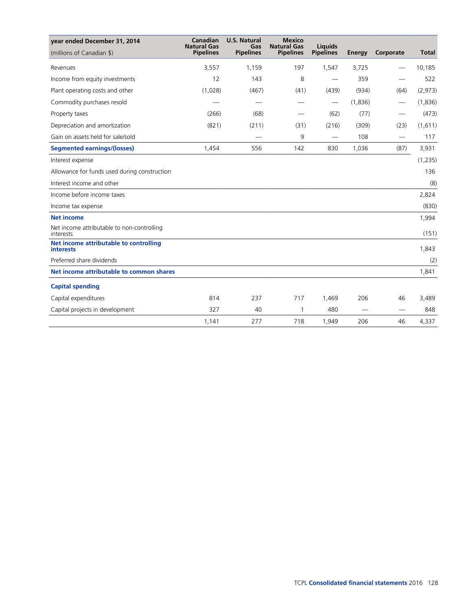| year ended December 31, 2014                               | Canadian                               | <b>U.S. Natural</b>     | <b>Mexico</b>                          |                                    |         |                   |              |
|------------------------------------------------------------|----------------------------------------|-------------------------|----------------------------------------|------------------------------------|---------|-------------------|--------------|
| (millions of Canadian \$)                                  | <b>Natural Gas</b><br><b>Pipelines</b> | Gas<br><b>Pipelines</b> | <b>Natural Gas</b><br><b>Pipelines</b> | <b>Liquids</b><br><b>Pipelines</b> | Energy  | Corporate         | <b>Total</b> |
| Revenues                                                   | 3,557                                  | 1,159                   | 197                                    | 1,547                              | 3,725   |                   | 10,185       |
| Income from equity investments                             | 12                                     | 143                     | 8                                      |                                    | 359     |                   | 522          |
| Plant operating costs and other                            | (1,028)                                | (467)                   | (41)                                   | (439)                              | (934)   | (64)              | (2, 973)     |
| Commodity purchases resold                                 |                                        | —                       |                                        |                                    | (1,836) | $\qquad \qquad -$ | (1,836)      |
| Property taxes                                             | (266)                                  | (68)                    | $\qquad \qquad$                        | (62)                               | (77)    | $\hspace{0.05cm}$ | (473)        |
| Depreciation and amortization                              | (821)                                  | (211)                   | (31)                                   | (216)                              | (309)   | (23)              | (1,611)      |
| Gain on assets held for sale/sold                          |                                        |                         | 9                                      | $\overbrace{\phantom{12332}}$      | 108     | $\hspace{0.05cm}$ | 117          |
| <b>Segmented earnings/(losses)</b>                         | 1,454                                  | 556                     | 142                                    | 830                                | 1,036   | (87)              | 3,931        |
| Interest expense                                           |                                        |                         |                                        |                                    |         |                   | (1,235)      |
| Allowance for funds used during construction               |                                        |                         |                                        |                                    |         |                   | 136          |
| Interest income and other                                  |                                        |                         |                                        |                                    |         |                   | (8)          |
| Income before income taxes                                 |                                        |                         |                                        |                                    |         |                   | 2,824        |
| Income tax expense                                         |                                        |                         |                                        |                                    |         |                   | (830)        |
| <b>Net income</b>                                          |                                        |                         |                                        |                                    |         |                   | 1,994        |
| Net income attributable to non-controlling<br>interests    |                                        |                         |                                        |                                    |         |                   | (151)        |
| Net income attributable to controlling<br><b>interests</b> |                                        |                         |                                        |                                    |         |                   | 1,843        |
| Preferred share dividends                                  |                                        |                         |                                        |                                    |         |                   | (2)          |
| Net income attributable to common shares                   |                                        |                         |                                        |                                    |         |                   | 1,841        |
| <b>Capital spending</b>                                    |                                        |                         |                                        |                                    |         |                   |              |
| Capital expenditures                                       | 814                                    | 237                     | 717                                    | 1,469                              | 206     | 46                | 3,489        |
| Capital projects in development                            | 327                                    | 40                      | $\mathbf{1}$                           | 480                                |         |                   | 848          |
|                                                            | 1.141                                  | 277                     | 718                                    | 1.949                              | 206     | 46                | 4,337        |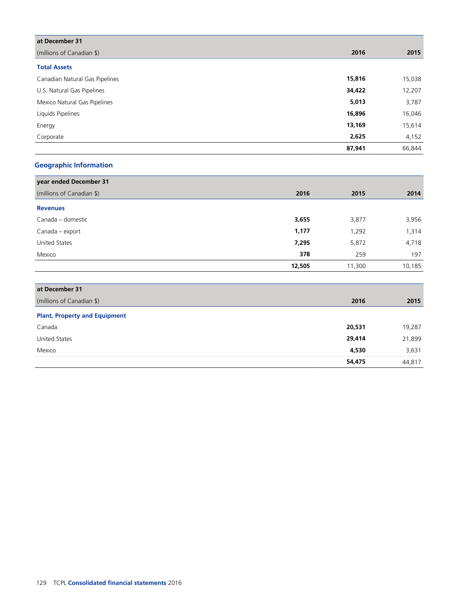| at December 31                 |        |        |
|--------------------------------|--------|--------|
| (millions of Canadian \$)      | 2016   | 2015   |
| <b>Total Assets</b>            |        |        |
| Canadian Natural Gas Pipelines | 15,816 | 15,038 |
| U.S. Natural Gas Pipelines     | 34,422 | 12,207 |
| Mexico Natural Gas Pipelines   | 5,013  | 3,787  |
| Liquids Pipelines              | 16,896 | 16,046 |
| Energy                         | 13,169 | 15,614 |
| Corporate                      | 2,625  | 4,152  |
|                                | 87,941 | 66.844 |

## **Geographic Information**

| year ended December 31               |        |        |        |
|--------------------------------------|--------|--------|--------|
| (millions of Canadian \$)            | 2016   | 2015   | 2014   |
| <b>Revenues</b>                      |        |        |        |
| Canada – domestic                    | 3,655  | 3,877  | 3,956  |
| Canada – export                      | 1,177  | 1,292  | 1,314  |
| <b>United States</b>                 | 7,295  | 5,872  | 4,718  |
| Mexico                               | 378    | 259    | 197    |
|                                      | 12,505 | 11,300 | 10,185 |
| at December 31                       |        |        |        |
| (millions of Canadian \$)            |        | 2016   | 2015   |
| <b>Plant, Property and Equipment</b> |        |        |        |

| __<br>.       |        |        |
|---------------|--------|--------|
| Canada        | 20,531 | 19,287 |
| United States | 29,414 | 21,899 |
| Mexico        | 4,530  | 3,631  |
|               | 54,475 | 44,817 |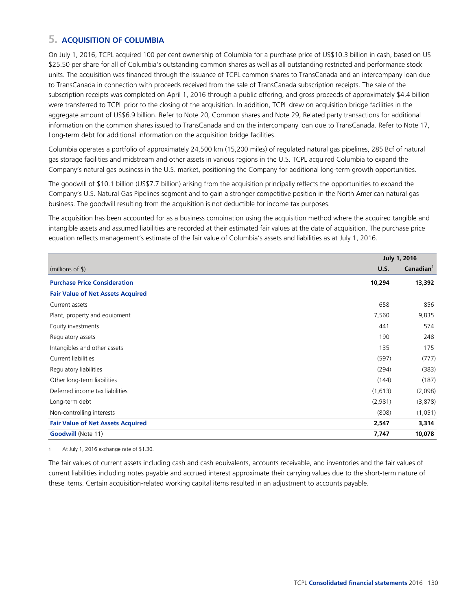## **5. ACQUISITION OF COLUMBIA**

On July 1, 2016, TCPL acquired 100 per cent ownership of Columbia for a purchase price of US\$10.3 billion in cash, based on US \$25.50 per share for all of Columbia's outstanding common shares as well as all outstanding restricted and performance stock units. The acquisition was financed through the issuance of TCPL common shares to TransCanada and an intercompany loan due to TransCanada in connection with proceeds received from the sale of TransCanada subscription receipts. The sale of the subscription receipts was completed on April 1, 2016 through a public offering, and gross proceeds of approximately \$4.4 billion were transferred to TCPL prior to the closing of the acquisition. In addition, TCPL drew on acquisition bridge facilities in the aggregate amount of US\$6.9 billion. Refer to Note 20, Common shares and Note 29, Related party transactions for additional information on the common shares issued to TransCanada and on the intercompany loan due to TransCanada. Refer to Note 17, Long-term debt for additional information on the acquisition bridge facilities.

Columbia operates a portfolio of approximately 24,500 km (15,200 miles) of regulated natural gas pipelines, 285 Bcf of natural gas storage facilities and midstream and other assets in various regions in the U.S. TCPL acquired Columbia to expand the Company's natural gas business in the U.S. market, positioning the Company for additional long-term growth opportunities.

The goodwill of \$10.1 billion (US\$7.7 billion) arising from the acquisition principally reflects the opportunities to expand the Company's U.S. Natural Gas Pipelines segment and to gain a stronger competitive position in the North American natural gas business. The goodwill resulting from the acquisition is not deductible for income tax purposes.

The acquisition has been accounted for as a business combination using the acquisition method where the acquired tangible and intangible assets and assumed liabilities are recorded at their estimated fair values at the date of acquisition. The purchase price equation reflects management's estimate of the fair value of Columbia's assets and liabilities as at July 1, 2016.

|                                          |         | <b>July 1, 2016</b>   |
|------------------------------------------|---------|-----------------------|
| (millions of $$$ )                       | U.S.    | Canadian <sup>1</sup> |
| <b>Purchase Price Consideration</b>      | 10,294  | 13,392                |
| <b>Fair Value of Net Assets Acquired</b> |         |                       |
| Current assets                           | 658     | 856                   |
| Plant, property and equipment            | 7,560   | 9,835                 |
| Equity investments                       | 441     | 574                   |
| Regulatory assets                        | 190     | 248                   |
| Intangibles and other assets             | 135     | 175                   |
| Current liabilities                      | (597)   | (777)                 |
| Regulatory liabilities                   | (294)   | (383)                 |
| Other long-term liabilities              | (144)   | (187)                 |
| Deferred income tax liabilities          | (1,613) | (2,098)               |
| Long-term debt                           | (2,981) | (3,878)               |
| Non-controlling interests                | (808)   | (1,051)               |
| <b>Fair Value of Net Assets Acquired</b> | 2,547   | 3,314                 |
| <b>Goodwill</b> (Note 11)                | 7,747   | 10,078                |

1 At July 1, 2016 exchange rate of \$1.30.

The fair values of current assets including cash and cash equivalents, accounts receivable, and inventories and the fair values of current liabilities including notes payable and accrued interest approximate their carrying values due to the short-term nature of these items. Certain acquisition-related working capital items resulted in an adjustment to accounts payable.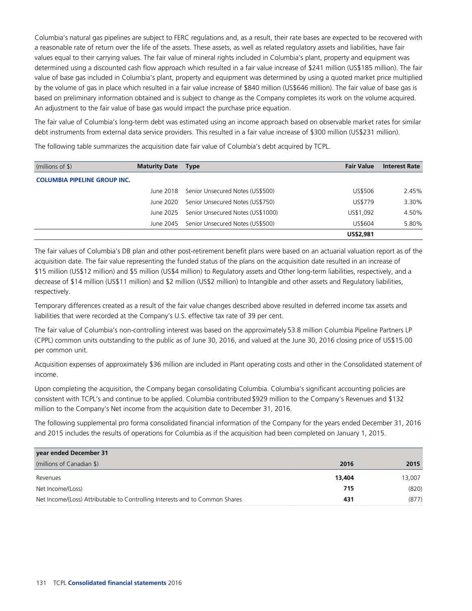Columbia's natural gas pipelines are subject to FERC regulations and, as a result, their rate bases are expected to be recovered with a reasonable rate of return over the life of the assets. These assets, as well as related regulatory assets and liabilities, have fair values equal to their carrying values. The fair value of mineral rights included in Columbia's plant, property and equipment was determined using a discounted cash flow approach which resulted in a fair value increase of \$241 million (US\$185 million). The fair value of base gas included in Columbia's plant, property and equipment was determined by using a quoted market price multiplied by the volume of gas in place which resulted in a fair value increase of \$840 million (US\$646 million). The fair value of base gas is based on preliminary information obtained and is subject to change as the Company completes its work on the volume acquired. An adjustment to the fair value of base gas would impact the purchase price equation.

The fair value of Columbia's long-term debt was estimated using an income approach based on observable market rates for similar debt instruments from external data service providers. This resulted in a fair value increase of \$300 million (US\$231 million).

The following table summarizes the acquisition date fair value of Columbia's debt acquired by TCPL.

| (millions of $$$ )                  | <b>Maturity Date</b> | <b>Type</b>                       | <b>Fair Value</b> | <b>Interest Rate</b> |
|-------------------------------------|----------------------|-----------------------------------|-------------------|----------------------|
| <b>COLUMBIA PIPELINE GROUP INC.</b> |                      |                                   |                   |                      |
|                                     | June 2018            | Senior Unsecured Notes (US\$500)  | US\$506           | 2.45%                |
|                                     | June 2020            | Senior Unsecured Notes (US\$750)  | US\$779           | 3.30%                |
|                                     | June 2025            | Senior Unsecured Notes (US\$1000) | US\$1,092         | 4.50%                |
|                                     | June 2045            | Senior Unsecured Notes (US\$500)  | US\$604           | 5.80%                |
|                                     |                      |                                   | US\$2,981         |                      |

The fair values of Columbia's DB plan and other post-retirement benefit plans were based on an actuarial valuation report as of the acquisition date. The fair value representing the funded status of the plans on the acquisition date resulted in an increase of \$15 million (US\$12 million) and \$5 million (US\$4 million) to Regulatory assets and Other long-term liabilities, respectively, and a decrease of \$14 million (US\$11 million) and \$2 million (US\$2 million) to Intangible and other assets and Regulatory liabilities, respectively.

Temporary differences created as a result of the fair value changes described above resulted in deferred income tax assets and liabilities that were recorded at the Company's U.S. effective tax rate of 39 per cent.

The fair value of Columbia's non-controlling interest was based on the approximately 53.8 million Columbia Pipeline Partners LP (CPPL) common units outstanding to the public as of June 30, 2016, and valued at the June 30, 2016 closing price of US\$15.00 per common unit.

Acquisition expenses of approximately \$36 million are included in Plant operating costs and other in the Consolidated statement of income.

Upon completing the acquisition, the Company began consolidating Columbia. Columbia's significant accounting policies are consistent with TCPL's and continue to be applied. Columbia contributed \$929 million to the Company's Revenues and \$132 million to the Company's Net income from the acquisition date to December 31, 2016.

The following supplemental pro forma consolidated financial information of the Company for the years ended December 31, 2016 and 2015 includes the results of operations for Columbia as if the acquisition had been completed on January 1, 2015.

| year ended December 31                                                       |        |        |
|------------------------------------------------------------------------------|--------|--------|
| (millions of Canadian \$)                                                    | 2016   | 2015   |
| Revenues                                                                     | 13,404 | 13,007 |
| Net Income/(Loss)                                                            | 715    | (820)  |
| Net Income/(Loss) Attributable to Controlling Interests and to Common Shares | 431    | (877)  |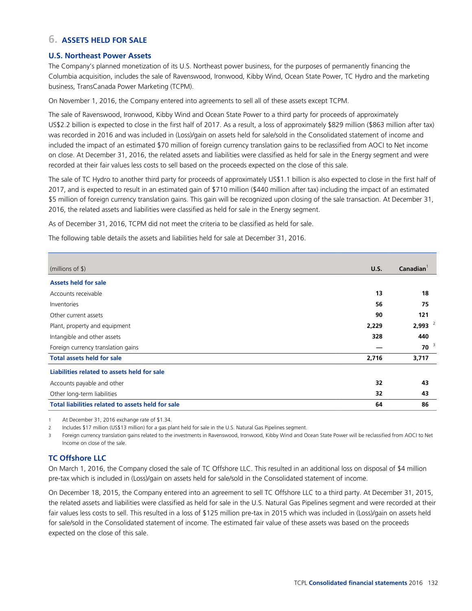## **6. ASSETS HELD FOR SALE**

#### **U.S. Northeast Power Assets**

The Company's planned monetization of its U.S. Northeast power business, for the purposes of permanently financing the Columbia acquisition, includes the sale of Ravenswood, Ironwood, Kibby Wind, Ocean State Power, TC Hydro and the marketing business, TransCanada Power Marketing (TCPM).

On November 1, 2016, the Company entered into agreements to sell all of these assets except TCPM.

The sale of Ravenswood, Ironwood, Kibby Wind and Ocean State Power to a third party for proceeds of approximately US\$2.2 billion is expected to close in the first half of 2017. As a result, a loss of approximately \$829 million (\$863 million after tax) was recorded in 2016 and was included in (Loss)/gain on assets held for sale/sold in the Consolidated statement of income and included the impact of an estimated \$70 million of foreign currency translation gains to be reclassified from AOCI to Net income on close. At December 31, 2016, the related assets and liabilities were classified as held for sale in the Energy segment and were recorded at their fair values less costs to sell based on the proceeds expected on the close of this sale.

The sale of TC Hydro to another third party for proceeds of approximately US\$1.1 billion is also expected to close in the first half of 2017, and is expected to result in an estimated gain of \$710 million (\$440 million after tax) including the impact of an estimated \$5 million of foreign currency translation gains. This gain will be recognized upon closing of the sale transaction. At December 31, 2016, the related assets and liabilities were classified as held for sale in the Energy segment.

As of December 31, 2016, TCPM did not meet the criteria to be classified as held for sale.

The following table details the assets and liabilities held for sale at December 31, 2016.

| (millions of \$)                                  | U.S.  | Canadian <sup>'</sup> |
|---------------------------------------------------|-------|-----------------------|
| <b>Assets held for sale</b>                       |       |                       |
| Accounts receivable                               | 13    | 18                    |
| Inventories                                       | 56    | 75                    |
| Other current assets                              | 90    | 121                   |
| Plant, property and equipment                     | 2,229 | 2,993 <sup>2</sup>    |
| Intangible and other assets                       | 328   | 440                   |
| Foreign currency translation gains                |       | $70^{-3}$             |
| <b>Total assets held for sale</b>                 | 2,716 | 3,717                 |
| Liabilities related to assets held for sale       |       |                       |
| Accounts payable and other                        | 32    | 43                    |
| Other long-term liabilities                       | 32    | 43                    |
| Total liabilities related to assets held for sale | 64    | 86                    |
|                                                   |       |                       |

1 At December 31, 2016 exchange rate of \$1.34.

2 Includes \$17 million (US\$13 million) for a gas plant held for sale in the U.S. Natural Gas Pipelines segment.

3 Foreign currency translation gains related to the investments in Ravenswood, Ironwood, Kibby Wind and Ocean State Power will be reclassified from AOCI to Net Income on close of the sale.

### **TC Offshore LLC**

On March 1, 2016, the Company closed the sale of TC Offshore LLC. This resulted in an additional loss on disposal of \$4 million pre-tax which is included in (Loss)/gain on assets held for sale/sold in the Consolidated statement of income.

On December 18, 2015, the Company entered into an agreement to sell TC Offshore LLC to a third party. At December 31, 2015, the related assets and liabilities were classified as held for sale in the U.S. Natural Gas Pipelines segment and were recorded at their fair values less costs to sell. This resulted in a loss of \$125 million pre-tax in 2015 which was included in (Loss)/gain on assets held for sale/sold in the Consolidated statement of income. The estimated fair value of these assets was based on the proceeds expected on the close of this sale.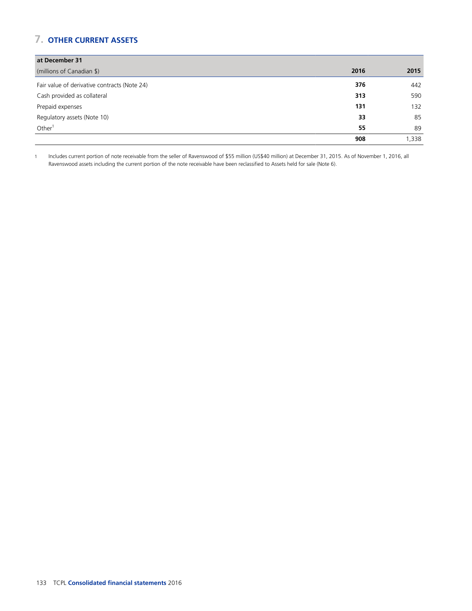## **7. OTHER CURRENT ASSETS**

| at December 31                               |      |      |
|----------------------------------------------|------|------|
| (millions of Canadian \$)                    | 2016 | 2015 |
| Fair value of derivative contracts (Note 24) | 376  | 442  |
| Cash provided as collateral                  | 313  | 590  |
| Prepaid expenses                             | 131  | 132  |
| Regulatory assets (Note 10)                  | 33   | 85   |
| Other <sup>1</sup>                           | 55   | 89   |
|                                              | 908  | ,338 |

1 Includes current portion of note receivable from the seller of Ravenswood of \$55 million (US\$40 million) at December 31, 2015. As of November 1, 2016, all Ravenswood assets including the current portion of the note receivable have been reclassified to Assets held for sale (Note 6).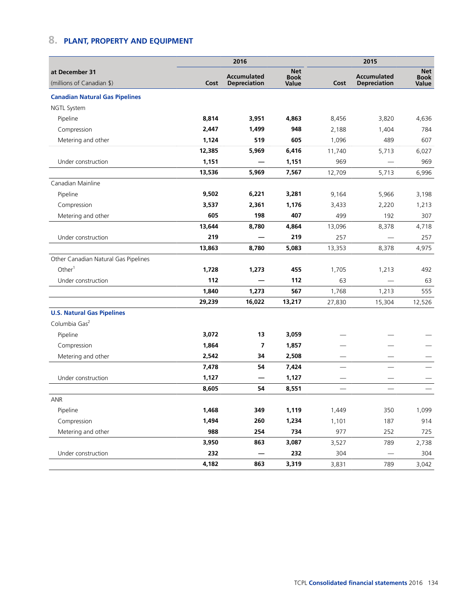## **8. PLANT, PROPERTY AND EQUIPMENT**

|                                             |        | 2016                                      |                                    | 2015   |                                           |                                    |
|---------------------------------------------|--------|-------------------------------------------|------------------------------------|--------|-------------------------------------------|------------------------------------|
| at December 31<br>(millions of Canadian \$) | Cost   | <b>Accumulated</b><br><b>Depreciation</b> | <b>Net</b><br><b>Book</b><br>Value | Cost   | <b>Accumulated</b><br><b>Depreciation</b> | <b>Net</b><br><b>Book</b><br>Value |
| <b>Canadian Natural Gas Pipelines</b>       |        |                                           |                                    |        |                                           |                                    |
| NGTL System                                 |        |                                           |                                    |        |                                           |                                    |
| Pipeline                                    | 8,814  | 3,951                                     | 4,863                              | 8,456  | 3,820                                     | 4,636                              |
| Compression                                 | 2,447  | 1,499                                     | 948                                | 2,188  | 1,404                                     | 784                                |
| Metering and other                          | 1,124  | 519                                       | 605                                | 1,096  | 489                                       | 607                                |
|                                             | 12,385 | 5,969                                     | 6,416                              | 11,740 | 5,713                                     | 6,027                              |
| Under construction                          | 1,151  |                                           | 1,151                              | 969    |                                           | 969                                |
|                                             | 13,536 | 5,969                                     | 7,567                              | 12,709 | 5,713                                     | 6,996                              |
| Canadian Mainline                           |        |                                           |                                    |        |                                           |                                    |
| Pipeline                                    | 9,502  | 6,221                                     | 3,281                              | 9,164  | 5,966                                     | 3,198                              |
| Compression                                 | 3,537  | 2,361                                     | 1,176                              | 3,433  | 2,220                                     | 1,213                              |
| Metering and other                          | 605    | 198                                       | 407                                | 499    | 192                                       | 307                                |
|                                             | 13,644 | 8,780                                     | 4,864                              | 13,096 | 8,378                                     | 4,718                              |
| Under construction                          | 219    | —                                         | 219                                | 257    |                                           | 257                                |
|                                             | 13,863 | 8,780                                     | 5,083                              | 13,353 | 8,378                                     | 4,975                              |
| Other Canadian Natural Gas Pipelines        |        |                                           |                                    |        |                                           |                                    |
| Other <sup>1</sup>                          | 1,728  | 1,273                                     | 455                                | 1,705  | 1,213                                     | 492                                |
| Under construction                          | 112    |                                           | 112                                | 63     |                                           | 63                                 |
|                                             | 1,840  | 1,273                                     | 567                                | 1,768  | 1,213                                     | 555                                |
|                                             | 29,239 | 16,022                                    | 13,217                             | 27,830 | 15,304                                    | 12,526                             |
| <b>U.S. Natural Gas Pipelines</b>           |        |                                           |                                    |        |                                           |                                    |
| Columbia Gas <sup>2</sup>                   |        |                                           |                                    |        |                                           |                                    |
| Pipeline                                    | 3,072  | 13                                        | 3,059                              |        |                                           |                                    |
| Compression                                 | 1,864  | 7                                         | 1,857                              |        |                                           |                                    |
| Metering and other                          | 2,542  | 34                                        | 2,508                              |        |                                           |                                    |
|                                             | 7,478  | 54                                        | 7,424                              |        |                                           |                                    |
| Under construction                          | 1,127  |                                           | 1,127                              |        |                                           |                                    |
|                                             | 8,605  | 54                                        | 8,551                              |        |                                           |                                    |
| ANR                                         |        |                                           |                                    |        |                                           |                                    |
| Pipeline                                    | 1,468  | 349                                       | 1,119                              | 1,449  | 350                                       | 1,099                              |
| Compression                                 | 1,494  | 260                                       | 1,234                              | 1,101  | 187                                       | 914                                |
| Metering and other                          | 988    | 254                                       | 734                                | 977    | 252                                       | 725                                |
|                                             | 3,950  | 863                                       | 3,087                              | 3,527  | 789                                       | 2,738                              |
| Under construction                          | 232    |                                           | 232                                | 304    |                                           | 304                                |
|                                             | 4,182  | 863                                       | 3,319                              | 3,831  | 789                                       | 3,042                              |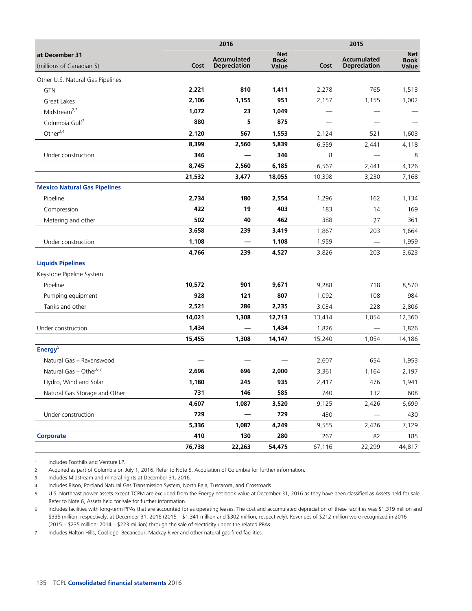|                                             |        | 2016                                      |                                    |        | 2015                                      |                                    |  |
|---------------------------------------------|--------|-------------------------------------------|------------------------------------|--------|-------------------------------------------|------------------------------------|--|
| at December 31<br>(millions of Canadian \$) | Cost   | <b>Accumulated</b><br><b>Depreciation</b> | <b>Net</b><br><b>Book</b><br>Value | Cost   | <b>Accumulated</b><br><b>Depreciation</b> | <b>Net</b><br><b>Book</b><br>Value |  |
| Other U.S. Natural Gas Pipelines            |        |                                           |                                    |        |                                           |                                    |  |
| GTN                                         | 2,221  | 810                                       | 1,411                              | 2,278  | 765                                       | 1,513                              |  |
| Great Lakes                                 | 2,106  | 1,155                                     | 951                                | 2,157  | 1,155                                     | 1,002                              |  |
| Midstream <sup>2,3</sup>                    | 1,072  | 23                                        | 1,049                              |        |                                           |                                    |  |
| Columbia Gulf <sup>2</sup>                  | 880    | 5                                         | 875                                |        | $\overline{\phantom{0}}$                  | $\overbrace{\phantom{123321}}$     |  |
| Other $2,4$                                 | 2,120  | 567                                       | 1,553                              | 2,124  | 521                                       | 1,603                              |  |
|                                             | 8,399  | 2,560                                     | 5,839                              | 6,559  | 2,441                                     | 4,118                              |  |
| Under construction                          | 346    |                                           | 346                                | 8      |                                           | 8                                  |  |
|                                             | 8,745  | 2,560                                     | 6,185                              | 6,567  | 2,441                                     | 4,126                              |  |
|                                             | 21,532 | 3,477                                     | 18,055                             | 10,398 | 3,230                                     | 7,168                              |  |
| <b>Mexico Natural Gas Pipelines</b>         |        |                                           |                                    |        |                                           |                                    |  |
| Pipeline                                    | 2,734  | 180                                       | 2,554                              | 1,296  | 162                                       | 1,134                              |  |
| Compression                                 | 422    | 19                                        | 403                                | 183    | 14                                        | 169                                |  |
| Metering and other                          | 502    | 40                                        | 462                                | 388    | 27                                        | 361                                |  |
|                                             | 3,658  | 239                                       | 3,419                              | 1,867  | 203                                       | 1,664                              |  |
| Under construction                          | 1,108  |                                           | 1,108                              | 1,959  |                                           | 1,959                              |  |
|                                             | 4,766  | 239                                       | 4,527                              | 3,826  | 203                                       | 3,623                              |  |
| <b>Liquids Pipelines</b>                    |        |                                           |                                    |        |                                           |                                    |  |
| Keystone Pipeline System                    |        |                                           |                                    |        |                                           |                                    |  |
| Pipeline                                    | 10,572 | 901                                       | 9,671                              | 9,288  | 718                                       | 8,570                              |  |
| Pumping equipment                           | 928    | 121                                       | 807                                | 1,092  | 108                                       | 984                                |  |
| Tanks and other                             | 2,521  | 286                                       | 2,235                              | 3,034  | 228                                       | 2,806                              |  |
|                                             | 14,021 | 1,308                                     | 12,713                             | 13,414 | 1,054                                     | 12,360                             |  |
| Under construction                          | 1,434  | —                                         | 1,434                              | 1,826  |                                           | 1,826                              |  |
|                                             | 15,455 | 1,308                                     | 14,147                             | 15,240 | 1,054                                     | 14,186                             |  |
| Energy <sup>5</sup>                         |        |                                           |                                    |        |                                           |                                    |  |
| Natural Gas - Ravenswood                    |        |                                           |                                    | 2,607  | 654                                       | 1,953                              |  |
| Natural Gas - Other <sup>6,7</sup>          | 2,696  | 696                                       | 2,000                              | 3,361  | 1,164                                     | 2,197                              |  |
| Hydro, Wind and Solar                       | 1,180  | 245                                       | 935                                | 2,417  | 476                                       | 1,941                              |  |
| Natural Gas Storage and Other               | 731    | 146                                       | 585                                | 740    | 132                                       | 608                                |  |
|                                             | 4,607  | 1,087                                     | 3,520                              | 9,125  | 2,426                                     | 6,699                              |  |
| Under construction                          | 729    |                                           | 729                                | 430    |                                           | 430                                |  |
|                                             | 5,336  | 1,087                                     | 4,249                              | 9,555  | 2,426                                     | 7,129                              |  |
| <b>Corporate</b>                            | 410    | 130                                       | 280                                | 267    | 82                                        | 185                                |  |
|                                             | 76,738 | 22,263                                    | 54,475                             | 67,116 | 22,299                                    | 44,817                             |  |

1 Includes Foothills and Venture LP.

2 Acquired as part of Columbia on July 1, 2016. Refer to Note 5, Acquisition of Columbia for further information.

3 Includes Midstream and mineral rights at December 31, 2016.

4 Includes Bison, Portland Natural Gas Transmission System, North Baja, Tuscarora, and Crossroads.

5 U.S. Northeast power assets except TCPM are excluded from the Energy net book value at December 31, 2016 as they have been classified as Assets held for sale. Refer to Note 6, Assets held for sale for further information.

6 Includes facilities with long-term PPAs that are accounted for as operating leases. The cost and accumulated depreciation of these facilities was \$1,319 million and \$335 million, respectively, at December 31, 2016 (2015 – \$1,341 million and \$302 million, respectively). Revenues of \$212 million were recognized in 2016 (2015 – \$235 million; 2014 – \$223 million) through the sale of electricity under the related PPAs.

7 Includes Halton Hills, Coolidge, Bécancour, Mackay River and other natural gas-fired facilities.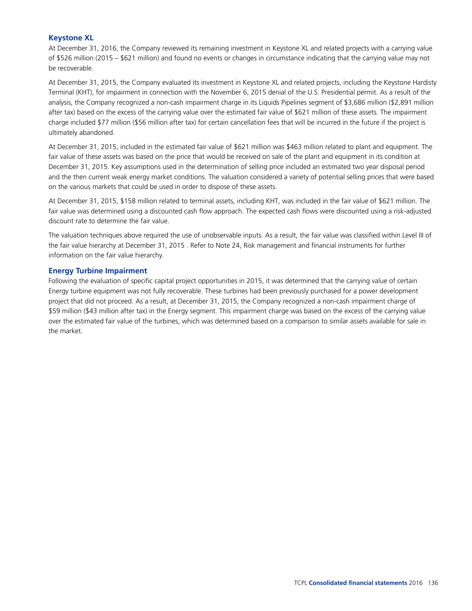#### **Keystone XL**

At December 31, 2016, the Company reviewed its remaining investment in Keystone XL and related projects with a carrying value of \$526 million (2015 – \$621 million) and found no events or changes in circumstance indicating that the carrying value may not be recoverable.

At December 31, 2015, the Company evaluated its investment in Keystone XL and related projects, including the Keystone Hardisty Terminal (KHT), for impairment in connection with the November 6, 2015 denial of the U.S. Presidential permit. As a result of the analysis, the Company recognized a non-cash impairment charge in its Liquids Pipelines segment of \$3,686 million (\$2,891 million after tax) based on the excess of the carrying value over the estimated fair value of \$621 million of these assets. The impairment charge included \$77 million (\$56 million after tax) for certain cancellation fees that will be incurred in the future if the project is ultimately abandoned.

At December 31, 2015, included in the estimated fair value of \$621 million was \$463 million related to plant and equipment. The fair value of these assets was based on the price that would be received on sale of the plant and equipment in its condition at December 31, 2015. Key assumptions used in the determination of selling price included an estimated two year disposal period and the then current weak energy market conditions. The valuation considered a variety of potential selling prices that were based on the various markets that could be used in order to dispose of these assets.

At December 31, 2015, \$158 million related to terminal assets, including KHT, was included in the fair value of \$621 million. The fair value was determined using a discounted cash flow approach. The expected cash flows were discounted using a risk-adjusted discount rate to determine the fair value.

The valuation techniques above required the use of unobservable inputs. As a result, the fair value was classified within Level III of the fair value hierarchy at December 31, 2015 . Refer to Note 24, Risk management and financial instruments for further information on the fair value hierarchy.

#### **Energy Turbine Impairment**

Following the evaluation of specific capital project opportunities in 2015, it was determined that the carrying value of certain Energy turbine equipment was not fully recoverable. These turbines had been previously purchased for a power development project that did not proceed. As a result, at December 31, 2015, the Company recognized a non-cash impairment charge of \$59 million (\$43 million after tax) in the Energy segment. This impairment charge was based on the excess of the carrying value over the estimated fair value of the turbines, which was determined based on a comparison to similar assets available for sale in the market.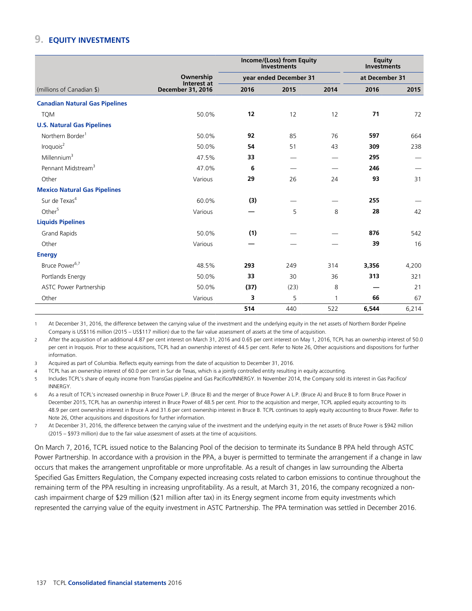## **9. EQUITY INVESTMENTS**

|                                       |                          |      | Income/(Loss) from Equity<br><b>Investments</b> |              | <b>Equity</b><br><b>Investments</b> |       |
|---------------------------------------|--------------------------|------|-------------------------------------------------|--------------|-------------------------------------|-------|
|                                       | Ownership<br>Interest at |      | year ended December 31                          |              | at December 31                      |       |
| (millions of Canadian \$)             | <b>December 31, 2016</b> | 2016 | 2015                                            | 2014         | 2016                                | 2015  |
| <b>Canadian Natural Gas Pipelines</b> |                          |      |                                                 |              |                                     |       |
| <b>TQM</b>                            | 50.0%                    | 12   | 12                                              | 12           | 71                                  | 72    |
| <b>U.S. Natural Gas Pipelines</b>     |                          |      |                                                 |              |                                     |       |
| Northern Border <sup>1</sup>          | 50.0%                    | 92   | 85                                              | 76           | 597                                 | 664   |
| Iroquois <sup>2</sup>                 | 50.0%                    | 54   | 51                                              | 43           | 309                                 | 238   |
| Millennium <sup>3</sup>               | 47.5%                    | 33   |                                                 |              | 295                                 |       |
| Pennant Midstream <sup>3</sup>        | 47.0%                    | 6    |                                                 |              | 246                                 |       |
| Other                                 | Various                  | 29   | 26                                              | 24           | 93                                  | 31    |
| <b>Mexico Natural Gas Pipelines</b>   |                          |      |                                                 |              |                                     |       |
| Sur de Texas <sup>4</sup>             | 60.0%                    | (3)  |                                                 |              | 255                                 |       |
| Other <sup>5</sup>                    | Various                  |      | 5                                               | 8            | 28                                  | 42    |
| <b>Liquids Pipelines</b>              |                          |      |                                                 |              |                                     |       |
| <b>Grand Rapids</b>                   | 50.0%                    | (1)  |                                                 |              | 876                                 | 542   |
| Other                                 | Various                  |      |                                                 |              | 39                                  | 16    |
| <b>Energy</b>                         |                          |      |                                                 |              |                                     |       |
| Bruce Power <sup>6,7</sup>            | 48.5%                    | 293  | 249                                             | 314          | 3,356                               | 4,200 |
| Portlands Energy                      | 50.0%                    | 33   | 30                                              | 36           | 313                                 | 321   |
| ASTC Power Partnership                | 50.0%                    | (37) | (23)                                            | 8            |                                     | 21    |
| Other                                 | Various                  | 3    | 5                                               | $\mathbf{1}$ | 66                                  | 67    |
|                                       |                          | 514  | 440                                             | 522          | 6,544                               | 6,214 |

1 At December 31, 2016, the difference between the carrying value of the investment and the underlying equity in the net assets of Northern Border Pipeline Company is US\$116 million (2015 – US\$117 million) due to the fair value assessment of assets at the time of acquisition.

2 After the acquisition of an additional 4.87 per cent interest on March 31, 2016 and 0.65 per cent interest on May 1, 2016, TCPL has an ownership interest of 50.0 per cent in Iroquois. Prior to these acquisitions, TCPL had an ownership interest of 44.5 per cent. Refer to Note 26, Other acquisitions and dispositions for further information.

3 Acquired as part of Columbia. Reflects equity earnings from the date of acquisition to December 31, 2016.

4 TCPL has an ownership interest of 60.0 per cent in Sur de Texas, which is a jointly controlled entity resulting in equity accounting.

5 Includes TCPL's share of equity income from TransGas pipeline and Gas Pacifico/INNERGY. In November 2014, the Company sold its interest in Gas Pacifico/ INNERGY.

6 As a result of TCPL's increased ownership in Bruce Power L.P. (Bruce B) and the merger of Bruce Power A L.P. (Bruce A) and Bruce B to form Bruce Power in December 2015, TCPL has an ownership interest in Bruce Power of 48.5 per cent. Prior to the acquisition and merger, TCPL applied equity accounting to its 48.9 per cent ownership interest in Bruce A and 31.6 per cent ownership interest in Bruce B. TCPL continues to apply equity accounting to Bruce Power. Refer to Note 26, Other acquisitions and dispositions for further information.

7 At December 31, 2016, the difference between the carrying value of the investment and the underlying equity in the net assets of Bruce Power is \$942 million (2015 – \$973 million) due to the fair value assessment of assets at the time of acquisitions.

On March 7, 2016, TCPL issued notice to the Balancing Pool of the decision to terminate its Sundance B PPA held through ASTC Power Partnership. In accordance with a provision in the PPA, a buyer is permitted to terminate the arrangement if a change in law occurs that makes the arrangement unprofitable or more unprofitable. As a result of changes in law surrounding the Alberta Specified Gas Emitters Regulation, the Company expected increasing costs related to carbon emissions to continue throughout the remaining term of the PPA resulting in increasing unprofitability. As a result, at March 31, 2016, the company recognized a noncash impairment charge of \$29 million (\$21 million after tax) in its Energy segment income from equity investments which represented the carrying value of the equity investment in ASTC Partnership. The PPA termination was settled in December 2016.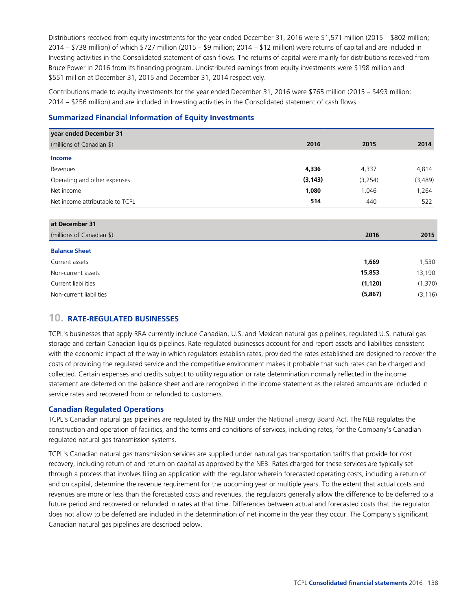Distributions received from equity investments for the year ended December 31, 2016 were \$1,571 million (2015 – \$802 million; 2014 – \$738 million) of which \$727 million (2015 – \$9 million; 2014 – \$12 million) were returns of capital and are included in Investing activities in the Consolidated statement of cash flows. The returns of capital were mainly for distributions received from Bruce Power in 2016 from its financing program. Undistributed earnings from equity investments were \$198 million and \$551 million at December 31, 2015 and December 31, 2014 respectively.

Contributions made to equity investments for the year ended December 31, 2016 were \$765 million (2015 – \$493 million; 2014 – \$256 million) and are included in Investing activities in the Consolidated statement of cash flows.

#### **Summarized Financial Information of Equity Investments**

| year ended December 31          |          |          |          |
|---------------------------------|----------|----------|----------|
| (millions of Canadian \$)       | 2016     | 2015     | 2014     |
| <b>Income</b>                   |          |          |          |
| Revenues                        | 4,336    | 4,337    | 4,814    |
| Operating and other expenses    | (3, 143) | (3, 254) | (3,489)  |
| Net income                      | 1,080    | 1,046    | 1,264    |
| Net income attributable to TCPL | 514      | 440      | 522      |
|                                 |          |          |          |
| at December 31                  |          |          |          |
| (millions of Canadian \$)       |          | 2016     | 2015     |
| <b>Balance Sheet</b>            |          |          |          |
| Current assets                  |          | 1,669    | 1,530    |
| Non-current assets              |          | 15,853   | 13,190   |
| Current liabilities             |          | (1, 120) | (1,370)  |
| Non-current liabilities         |          | (5,867)  | (3, 116) |

## **10. RATE-REGULATED BUSINESSES**

TCPL's businesses that apply RRA currently include Canadian, U.S. and Mexican natural gas pipelines, regulated U.S. natural gas storage and certain Canadian liquids pipelines. Rate-regulated businesses account for and report assets and liabilities consistent with the economic impact of the way in which regulators establish rates, provided the rates established are designed to recover the costs of providing the regulated service and the competitive environment makes it probable that such rates can be charged and collected. Certain expenses and credits subject to utility regulation or rate determination normally reflected in the income statement are deferred on the balance sheet and are recognized in the income statement as the related amounts are included in service rates and recovered from or refunded to customers.

#### **Canadian Regulated Operations**

TCPL's Canadian natural gas pipelines are regulated by the NEB under the National Energy Board Act. The NEB regulates the construction and operation of facilities, and the terms and conditions of services, including rates, for the Company's Canadian regulated natural gas transmission systems.

TCPL's Canadian natural gas transmission services are supplied under natural gas transportation tariffs that provide for cost recovery, including return of and return on capital as approved by the NEB. Rates charged for these services are typically set through a process that involves filing an application with the regulator wherein forecasted operating costs, including a return of and on capital, determine the revenue requirement for the upcoming year or multiple years. To the extent that actual costs and revenues are more or less than the forecasted costs and revenues, the regulators generally allow the difference to be deferred to a future period and recovered or refunded in rates at that time. Differences between actual and forecasted costs that the regulator does not allow to be deferred are included in the determination of net income in the year they occur. The Company's significant Canadian natural gas pipelines are described below.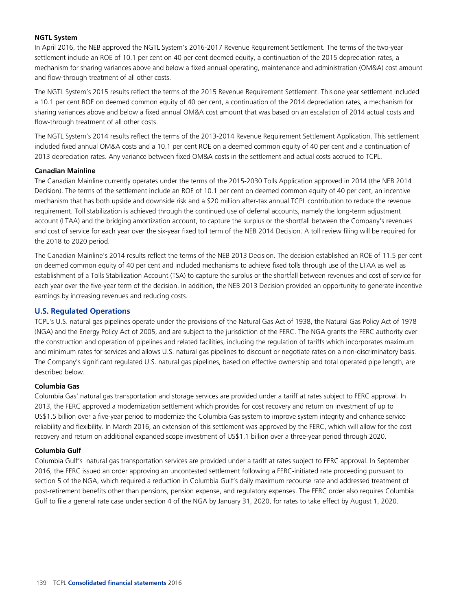#### **NGTL System**

In April 2016, the NEB approved the NGTL System's 2016-2017 Revenue Requirement Settlement. The terms of the two-year settlement include an ROE of 10.1 per cent on 40 per cent deemed equity, a continuation of the 2015 depreciation rates, a mechanism for sharing variances above and below a fixed annual operating, maintenance and administration (OM&A) cost amount and flow-through treatment of all other costs.

The NGTL System's 2015 results reflect the terms of the 2015 Revenue Requirement Settlement. This one year settlement included a 10.1 per cent ROE on deemed common equity of 40 per cent, a continuation of the 2014 depreciation rates, a mechanism for sharing variances above and below a fixed annual OM&A cost amount that was based on an escalation of 2014 actual costs and flow-through treatment of all other costs.

The NGTL System's 2014 results reflect the terms of the 2013-2014 Revenue Requirement Settlement Application. This settlement included fixed annual OM&A costs and a 10.1 per cent ROE on a deemed common equity of 40 per cent and a continuation of 2013 depreciation rates. Any variance between fixed OM&A costs in the settlement and actual costs accrued to TCPL.

#### **Canadian Mainline**

The Canadian Mainline currently operates under the terms of the 2015-2030 Tolls Application approved in 2014 (the NEB 2014 Decision). The terms of the settlement include an ROE of 10.1 per cent on deemed common equity of 40 per cent, an incentive mechanism that has both upside and downside risk and a \$20 million after-tax annual TCPL contribution to reduce the revenue requirement. Toll stabilization is achieved through the continued use of deferral accounts, namely the long-term adjustment account (LTAA) and the bridging amortization account, to capture the surplus or the shortfall between the Company's revenues and cost of service for each year over the six-year fixed toll term of the NEB 2014 Decision. A toll review filing will be required for the 2018 to 2020 period.

The Canadian Mainline's 2014 results reflect the terms of the NEB 2013 Decision. The decision established an ROE of 11.5 per cent on deemed common equity of 40 per cent and included mechanisms to achieve fixed tolls through use of the LTAA as well as establishment of a Tolls Stabilization Account (TSA) to capture the surplus or the shortfall between revenues and cost of service for each year over the five-year term of the decision. In addition, the NEB 2013 Decision provided an opportunity to generate incentive earnings by increasing revenues and reducing costs.

#### **U.S. Regulated Operations**

TCPL's U.S. natural gas pipelines operate under the provisions of the Natural Gas Act of 1938, the Natural Gas Policy Act of 1978 (NGA) and the Energy Policy Act of 2005, and are subject to the jurisdiction of the FERC. The NGA grants the FERC authority over the construction and operation of pipelines and related facilities, including the regulation of tariffs which incorporates maximum and minimum rates for services and allows U.S. natural gas pipelines to discount or negotiate rates on a non-discriminatory basis. The Company's significant regulated U.S. natural gas pipelines, based on effective ownership and total operated pipe length, are described below.

#### **Columbia Gas**

Columbia Gas' natural gas transportation and storage services are provided under a tariff at rates subject to FERC approval. In 2013, the FERC approved a modernization settlement which provides for cost recovery and return on investment of up to US\$1.5 billion over a five-year period to modernize the Columbia Gas system to improve system integrity and enhance service reliability and flexibility. In March 2016, an extension of this settlement was approved by the FERC, which will allow for the cost recovery and return on additional expanded scope investment of US\$1.1 billion over a three-year period through 2020.

#### **Columbia Gulf**

Columbia Gulf's natural gas transportation services are provided under a tariff at rates subject to FERC approval. In September 2016, the FERC issued an order approving an uncontested settlement following a FERC-initiated rate proceeding pursuant to section 5 of the NGA, which required a reduction in Columbia Gulf's daily maximum recourse rate and addressed treatment of post-retirement benefits other than pensions, pension expense, and regulatory expenses. The FERC order also requires Columbia Gulf to file a general rate case under section 4 of the NGA by January 31, 2020, for rates to take effect by August 1, 2020.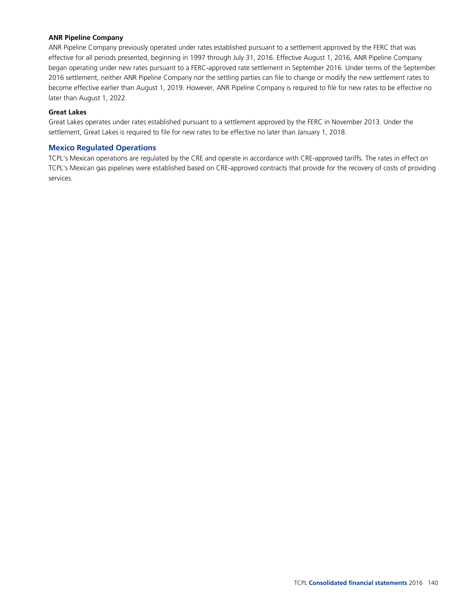#### **ANR Pipeline Company**

ANR Pipeline Company previously operated under rates established pursuant to a settlement approved by the FERC that was effective for all periods presented, beginning in 1997 through July 31, 2016. Effective August 1, 2016, ANR Pipeline Company began operating under new rates pursuant to a FERC-approved rate settlement in September 2016. Under terms of the September 2016 settlement, neither ANR Pipeline Company nor the settling parties can file to change or modify the new settlement rates to become effective earlier than August 1, 2019. However, ANR Pipeline Company is required to file for new rates to be effective no later than August 1, 2022.

#### **Great Lakes**

Great Lakes operates under rates established pursuant to a settlement approved by the FERC in November 2013. Under the settlement, Great Lakes is required to file for new rates to be effective no later than January 1, 2018.

#### **Mexico Regulated Operations**

TCPL's Mexican operations are regulated by the CRE and operate in accordance with CRE-approved tariffs. The rates in effect on TCPL's Mexican gas pipelines were established based on CRE-approved contracts that provide for the recovery of costs of providing services.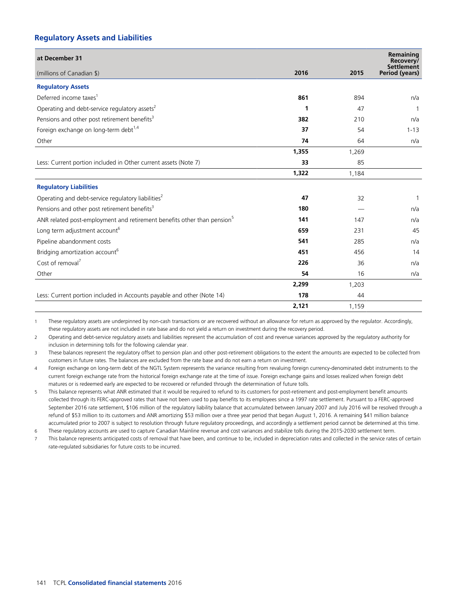### **Regulatory Assets and Liabilities**

| at December 31                                                                      |       |       | Remaining<br>Recovery/              |
|-------------------------------------------------------------------------------------|-------|-------|-------------------------------------|
| (millions of Canadian \$)                                                           | 2016  | 2015  | <b>Settlement</b><br>Period (years) |
| <b>Regulatory Assets</b>                                                            |       |       |                                     |
| Deferred income taxes <sup>1</sup>                                                  | 861   | 894   | n/a                                 |
| Operating and debt-service regulatory assets <sup>2</sup>                           | 1     | 47    | -1                                  |
| Pensions and other post retirement benefits <sup>3</sup>                            | 382   | 210   | n/a                                 |
| Foreign exchange on long-term debt <sup>1,4</sup>                                   | 37    | 54    | $1 - 13$                            |
| Other                                                                               | 74    | 64    | n/a                                 |
|                                                                                     | 1,355 | 1,269 |                                     |
| Less: Current portion included in Other current assets (Note 7)                     | 33    | 85    |                                     |
|                                                                                     | 1,322 | 1,184 |                                     |
| <b>Regulatory Liabilities</b>                                                       |       |       |                                     |
| Operating and debt-service regulatory liabilities <sup>2</sup>                      | 47    | 32    | -1                                  |
| Pensions and other post retirement benefits <sup>3</sup>                            | 180   |       | n/a                                 |
| ANR related post-employment and retirement benefits other than pension <sup>5</sup> | 141   | 147   | n/a                                 |
| Long term adjustment account <sup>6</sup>                                           | 659   | 231   | 45                                  |
| Pipeline abandonment costs                                                          | 541   | 285   | n/a                                 |
| Bridging amortization account <sup>6</sup>                                          | 451   | 456   | 14                                  |
| Cost of removal <sup>7</sup>                                                        | 226   | 36    | n/a                                 |
| Other                                                                               | 54    | 16    | n/a                                 |
|                                                                                     | 2,299 | 1,203 |                                     |
| Less: Current portion included in Accounts payable and other (Note 14)              | 178   | 44    |                                     |
|                                                                                     | 2,121 | 1,159 |                                     |

1 These regulatory assets are underpinned by non-cash transactions or are recovered without an allowance for return as approved by the regulator. Accordingly, these regulatory assets are not included in rate base and do not yield a return on investment during the recovery period.

2 Operating and debt-service regulatory assets and liabilities represent the accumulation of cost and revenue variances approved by the regulatory authority for inclusion in determining tolls for the following calendar year.

3 These balances represent the regulatory offset to pension plan and other post-retirement obligations to the extent the amounts are expected to be collected from customers in future rates. The balances are excluded from the rate base and do not earn a return on investment.

4 Foreign exchange on long-term debt of the NGTL System represents the variance resulting from revaluing foreign currency-denominated debt instruments to the current foreign exchange rate from the historical foreign exchange rate at the time of issue. Foreign exchange gains and losses realized when foreign debt matures or is redeemed early are expected to be recovered or refunded through the determination of future tolls.

5 This balance represents what ANR estimated that it would be required to refund to its customers for post-retirement and post-employment benefit amounts collected through its FERC-approved rates that have not been used to pay benefits to its employees since a 1997 rate settlement. Pursuant to a FERC-approved September 2016 rate settlement, \$106 million of the regulatory liability balance that accumulated between January 2007 and July 2016 will be resolved through a refund of \$53 million to its customers and ANR amortizing \$53 million over a three year period that began August 1, 2016. A remaining \$41 million balance accumulated prior to 2007 is subject to resolution through future regulatory proceedings, and accordingly a settlement period cannot be determined at this time.

6 These regulatory accounts are used to capture Canadian Mainline revenue and cost variances and stabilize tolls during the 2015-2030 settlement term.

7 This balance represents anticipated costs of removal that have been, and continue to be, included in depreciation rates and collected in the service rates of certain rate-regulated subsidiaries for future costs to be incurred.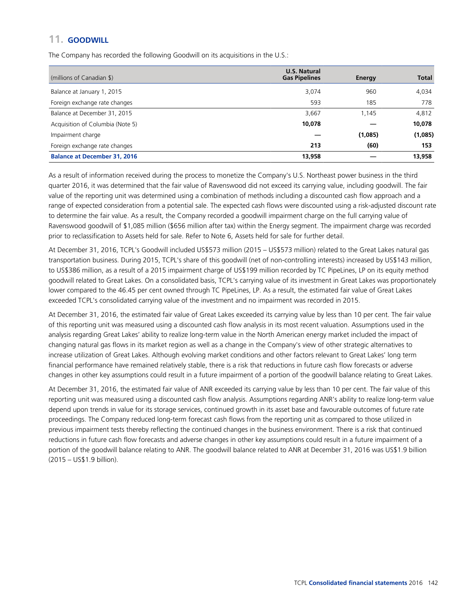## **11. GOODWILL**

The Company has recorded the following Goodwill on its acquisitions in the U.S.:

| (millions of Canadian \$)           | <b>U.S. Natural</b><br><b>Gas Pipelines</b> | Energy  | <b>Total</b> |
|-------------------------------------|---------------------------------------------|---------|--------------|
| Balance at January 1, 2015          | 3,074                                       | 960     | 4,034        |
| Foreign exchange rate changes       | 593                                         | 185     | 778          |
| Balance at December 31, 2015        | 3,667                                       | 1,145   | 4,812        |
| Acquisition of Columbia (Note 5)    | 10,078                                      |         | 10,078       |
| Impairment charge                   |                                             | (1,085) | (1,085)      |
| Foreign exchange rate changes       | 213                                         | (60)    | 153          |
| <b>Balance at December 31, 2016</b> | 13,958                                      |         | 13,958       |

As a result of information received during the process to monetize the Company's U.S. Northeast power business in the third quarter 2016, it was determined that the fair value of Ravenswood did not exceed its carrying value, including goodwill. The fair value of the reporting unit was determined using a combination of methods including a discounted cash flow approach and a range of expected consideration from a potential sale. The expected cash flows were discounted using a risk-adjusted discount rate to determine the fair value. As a result, the Company recorded a goodwill impairment charge on the full carrying value of Ravenswood goodwill of \$1,085 million (\$656 million after tax) within the Energy segment. The impairment charge was recorded prior to reclassification to Assets held for sale. Refer to Note 6, Assets held for sale for further detail.

At December 31, 2016, TCPL's Goodwill included US\$573 million (2015 – US\$573 million) related to the Great Lakes natural gas transportation business. During 2015, TCPL's share of this goodwill (net of non-controlling interests) increased by US\$143 million, to US\$386 million, as a result of a 2015 impairment charge of US\$199 million recorded by TC PipeLines, LP on its equity method goodwill related to Great Lakes. On a consolidated basis, TCPL's carrying value of its investment in Great Lakes was proportionately lower compared to the 46.45 per cent owned through TC PipeLines, LP. As a result, the estimated fair value of Great Lakes exceeded TCPL's consolidated carrying value of the investment and no impairment was recorded in 2015.

At December 31, 2016, the estimated fair value of Great Lakes exceeded its carrying value by less than 10 per cent. The fair value of this reporting unit was measured using a discounted cash flow analysis in its most recent valuation. Assumptions used in the analysis regarding Great Lakes' ability to realize long-term value in the North American energy market included the impact of changing natural gas flows in its market region as well as a change in the Company's view of other strategic alternatives to increase utilization of Great Lakes. Although evolving market conditions and other factors relevant to Great Lakes' long term financial performance have remained relatively stable, there is a risk that reductions in future cash flow forecasts or adverse changes in other key assumptions could result in a future impairment of a portion of the goodwill balance relating to Great Lakes.

At December 31, 2016, the estimated fair value of ANR exceeded its carrying value by less than 10 per cent. The fair value of this reporting unit was measured using a discounted cash flow analysis. Assumptions regarding ANR's ability to realize long-term value depend upon trends in value for its storage services, continued growth in its asset base and favourable outcomes of future rate proceedings. The Company reduced long-term forecast cash flows from the reporting unit as compared to those utilized in previous impairment tests thereby reflecting the continued changes in the business environment. There is a risk that continued reductions in future cash flow forecasts and adverse changes in other key assumptions could result in a future impairment of a portion of the goodwill balance relating to ANR. The goodwill balance related to ANR at December 31, 2016 was US\$1.9 billion (2015 – US\$1.9 billion).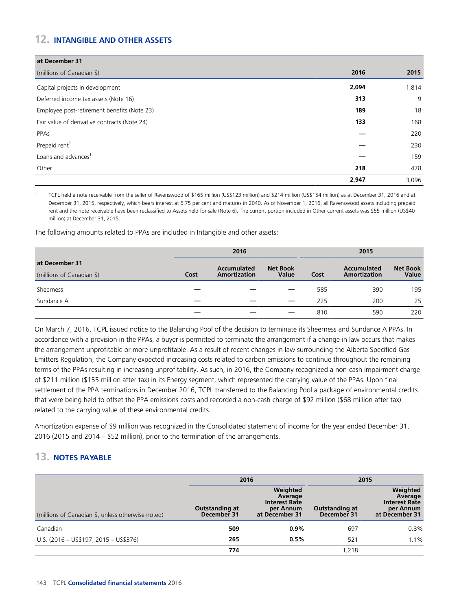## **12. INTANGIBLE AND OTHER ASSETS**

| at December 31                               |       |       |
|----------------------------------------------|-------|-------|
| (millions of Canadian \$)                    | 2016  | 2015  |
| Capital projects in development              | 2,094 | 1,814 |
| Deferred income tax assets (Note 16)         | 313   | 9     |
| Employee post-retirement benefits (Note 23)  | 189   | 18    |
| Fair value of derivative contracts (Note 24) | 133   | 168   |
| PPAs                                         |       | 220   |
| Prepaid rent <sup>1</sup>                    |       | 230   |
| Loans and advances <sup>1</sup>              |       | 159   |
| Other                                        | 218   | 478   |
|                                              | 2,947 | 3,096 |

1 TCPL held a note receivable from the seller of Ravenswood of \$165 million (US\$123 million) and \$214 million (US\$154 million) as at December 31, 2016 and at December 31, 2015, respectively, which bears interest at 6.75 per cent and matures in 2040. As of November 1, 2016, all Ravenswood assets including prepaid rent and the note receivable have been reclassified to Assets held for sale (Note 6). The current portion included in Other current assets was \$55 million (US\$40 million) at December 31, 2015.

The following amounts related to PPAs are included in Intangible and other assets:

|                                             |      | 2016                               |                          |      | 2015                               |                          |
|---------------------------------------------|------|------------------------------------|--------------------------|------|------------------------------------|--------------------------|
| at December 31<br>(millions of Canadian \$) | Cost | Accumulated<br><b>Amortization</b> | <b>Net Book</b><br>Value | Cost | Accumulated<br><b>Amortization</b> | <b>Net Book</b><br>Value |
|                                             |      |                                    |                          |      |                                    |                          |
| Sheerness                                   |      |                                    |                          | 585  | 390                                | 195                      |
| Sundance A                                  |      |                                    |                          | 225  | 200                                | 25                       |
|                                             |      |                                    |                          | 810  | 590                                | 220                      |

On March 7, 2016, TCPL issued notice to the Balancing Pool of the decision to terminate its Sheerness and Sundance A PPAs. In accordance with a provision in the PPAs, a buyer is permitted to terminate the arrangement if a change in law occurs that makes the arrangement unprofitable or more unprofitable. As a result of recent changes in law surrounding the Alberta Specified Gas Emitters Regulation, the Company expected increasing costs related to carbon emissions to continue throughout the remaining terms of the PPAs resulting in increasing unprofitability. As such, in 2016, the Company recognized a non-cash impairment charge of \$211 million (\$155 million after tax) in its Energy segment, which represented the carrying value of the PPAs. Upon final settlement of the PPA terminations in December 2016, TCPL transferred to the Balancing Pool a package of environmental credits that were being held to offset the PPA emissions costs and recorded a non-cash charge of \$92 million (\$68 million after tax) related to the carrying value of these environmental credits.

Amortization expense of \$9 million was recognized in the Consolidated statement of income for the year ended December 31, 2016 (2015 and 2014 – \$52 million), prior to the termination of the arrangements.

## **13. NOTES PAYABLE**

|                                                   | 2016<br>2015                  |                                                                            |                               |                                                                            |
|---------------------------------------------------|-------------------------------|----------------------------------------------------------------------------|-------------------------------|----------------------------------------------------------------------------|
| (millions of Canadian \$, unless otherwise noted) | Outstanding at<br>December 31 | Weighted<br>Average<br><b>Interest Rate</b><br>per Annum<br>at December 31 | Outstanding at<br>December 31 | Weighted<br>Average<br><b>Interest Rate</b><br>per Annum<br>at December 31 |
| Canadian                                          | 509                           | $0.9\%$                                                                    | 697                           | 0.8%                                                                       |
| U.S. (2016 - US\$197; 2015 - US\$376)             | 265                           | 0.5%                                                                       | 521                           | 1.1%                                                                       |
|                                                   | 774                           |                                                                            | .218                          |                                                                            |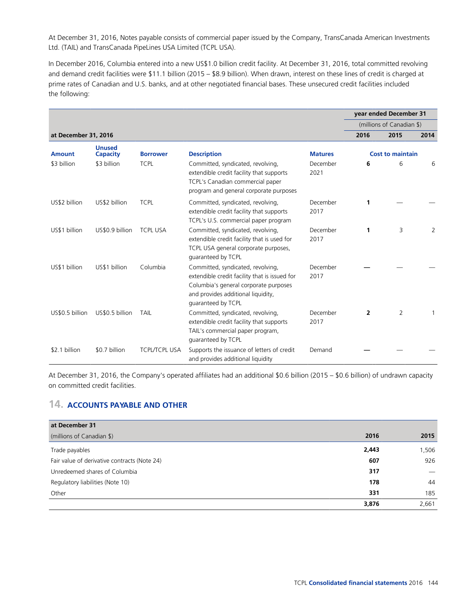At December 31, 2016, Notes payable consists of commercial paper issued by the Company, TransCanada American Investments Ltd. (TAIL) and TransCanada PipeLines USA Limited (TCPL USA).

In December 2016, Columbia entered into a new US\$1.0 billion credit facility. At December 31, 2016, total committed revolving and demand credit facilities were \$11.1 billion (2015 – \$8.9 billion). When drawn, interest on these lines of credit is charged at prime rates of Canadian and U.S. banks, and at other negotiated financial bases. These unsecured credit facilities included the following:

|                      |                                  |                      |                                                                                                                                                                                         |                  |                | year ended December 31    |                |
|----------------------|----------------------------------|----------------------|-----------------------------------------------------------------------------------------------------------------------------------------------------------------------------------------|------------------|----------------|---------------------------|----------------|
|                      |                                  |                      |                                                                                                                                                                                         |                  |                | (millions of Canadian \$) |                |
| at December 31, 2016 |                                  |                      |                                                                                                                                                                                         |                  | 2016           | 2015                      | 2014           |
| <b>Amount</b>        | <b>Unused</b><br><b>Capacity</b> | <b>Borrower</b>      | <b>Description</b>                                                                                                                                                                      | <b>Matures</b>   |                | <b>Cost to maintain</b>   |                |
| \$3 billion          | \$3 billion                      | <b>TCPL</b>          | Committed, syndicated, revolving,<br>extendible credit facility that supports<br>TCPL's Canadian commercial paper<br>program and general corporate purposes                             | December<br>2021 | 6              | 6                         | 6              |
| US\$2 billion        | US\$2 billion                    | <b>TCPL</b>          | Committed, syndicated, revolving,<br>extendible credit facility that supports<br>TCPL's U.S. commercial paper program                                                                   | December<br>2017 | 1              |                           |                |
| US\$1 billion        | US\$0.9 billion                  | <b>TCPL USA</b>      | Committed, syndicated, revolving,<br>extendible credit facility that is used for<br>TCPL USA general corporate purposes,<br>guaranteed by TCPL                                          | December<br>2017 | 1              | 3                         | $\overline{2}$ |
| US\$1 billion        | US\$1 billion                    | Columbia             | Committed, syndicated, revolving,<br>extendible credit facility that is issued for<br>Columbia's general corporate purposes<br>and provides additional liquidity,<br>guaranteed by TCPL | December<br>2017 |                |                           |                |
| US\$0.5 billion      | US\$0.5 billion                  | <b>TAIL</b>          | Committed, syndicated, revolving,<br>extendible credit facility that supports<br>TAIL's commercial paper program,<br>quaranteed by TCPL                                                 | December<br>2017 | $\overline{2}$ | 2                         | 1              |
| \$2.1 billion        | \$0.7 billion                    | <b>TCPL/TCPL USA</b> | Supports the issuance of letters of credit<br>and provides additional liquidity                                                                                                         | Demand           |                |                           |                |

At December 31, 2016, the Company's operated affiliates had an additional \$0.6 billion (2015 – \$0.6 billion) of undrawn capacity on committed credit facilities.

## **14. ACCOUNTS PAYABLE AND OTHER**

| at December 31                               |       |       |
|----------------------------------------------|-------|-------|
| (millions of Canadian \$)                    | 2016  | 2015  |
| Trade payables                               | 2,443 | 1,506 |
| Fair value of derivative contracts (Note 24) | 607   | 926   |
| Unredeemed shares of Columbia                | 317   |       |
| Regulatory liabilities (Note 10)             | 178   | 44    |
| Other                                        | 331   | 185   |
|                                              | 3,876 | 2,661 |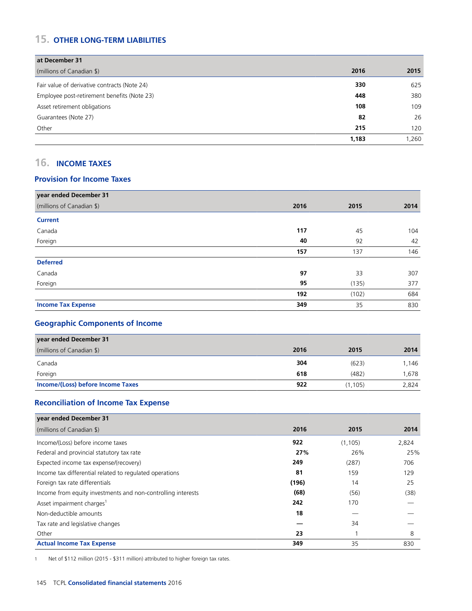## **15. OTHER LONG-TERM LIABILITIES**

| at December 31                               |       |      |
|----------------------------------------------|-------|------|
| (millions of Canadian \$)                    | 2016  | 2015 |
| Fair value of derivative contracts (Note 24) | 330   | 625  |
| Employee post-retirement benefits (Note 23)  | 448   | 380  |
| Asset retirement obligations                 | 108   | 109  |
| Guarantees (Note 27)                         | 82    | 26   |
| Other                                        | 215   | 120  |
|                                              | 1.183 | .260 |

## **16. INCOME TAXES**

## **Provision for Income Taxes**

| year ended December 31    |      |       |      |
|---------------------------|------|-------|------|
| (millions of Canadian \$) | 2016 | 2015  | 2014 |
| <b>Current</b>            |      |       |      |
| Canada                    | 117  | 45    | 104  |
| Foreign                   | 40   | 92    | 42   |
|                           | 157  | 137   | 146  |
| <b>Deferred</b>           |      |       |      |
| Canada                    | 97   | 33    | 307  |
| Foreign                   | 95   | (135) | 377  |
|                           | 192  | (102) | 684  |
| <b>Income Tax Expense</b> | 349  | 35    | 830  |

## **Geographic Components of Income**

| year ended December 31            |      |         |       |
|-----------------------------------|------|---------|-------|
| (millions of Canadian \$)         | 2016 | 2015    | 2014  |
| Canada                            | 304  | (623)   | 1,146 |
| Foreign                           | 618  | (482)   | 1,678 |
| Income/(Loss) before Income Taxes | 922  | (1.105) | 2,824 |

## **Reconciliation of Income Tax Expense**

| year ended December 31                                       |       |          |       |
|--------------------------------------------------------------|-------|----------|-------|
| (millions of Canadian \$)                                    | 2016  | 2015     | 2014  |
| Income/(Loss) before income taxes                            | 922   | (1, 105) | 2,824 |
| Federal and provincial statutory tax rate                    | 27%   | 26%      | 25%   |
| Expected income tax expense/(recovery)                       | 249   | (287)    | 706   |
| Income tax differential related to regulated operations      | 81    | 159      | 129   |
| Foreign tax rate differentials                               | (196) | 14       | 25    |
| Income from equity investments and non-controlling interests | (68)  | (56)     | (38)  |
| Asset impairment charges <sup>1</sup>                        | 242   | 170      |       |
| Non-deductible amounts                                       | 18    |          |       |
| Tax rate and legislative changes                             |       | 34       |       |
| Other                                                        | 23    |          | 8     |
| <b>Actual Income Tax Expense</b>                             | 349   | 35       | 830   |

1 Net of \$112 million (2015 - \$311 million) attributed to higher foreign tax rates.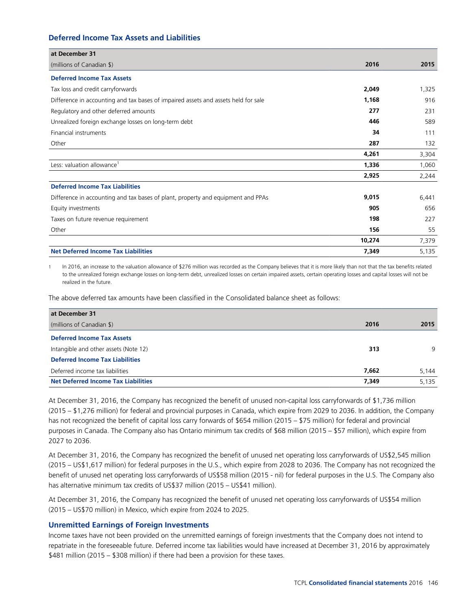## **Deferred Income Tax Assets and Liabilities**

| at December 31                                                                     |        |       |
|------------------------------------------------------------------------------------|--------|-------|
| (millions of Canadian \$)                                                          | 2016   | 2015  |
| <b>Deferred Income Tax Assets</b>                                                  |        |       |
| Tax loss and credit carryforwards                                                  | 2.049  | 1,325 |
| Difference in accounting and tax bases of impaired assets and assets held for sale | 1,168  | 916   |
| Regulatory and other deferred amounts                                              | 277    | 231   |
| Unrealized foreign exchange losses on long-term debt                               | 446    | 589   |
| Financial instruments                                                              | 34     | 111   |
| Other                                                                              | 287    | 132   |
|                                                                                    | 4,261  | 3,304 |
| Less: valuation allowance <sup>1</sup>                                             | 1,336  | 1,060 |
|                                                                                    | 2,925  | 2,244 |
| <b>Deferred Income Tax Liabilities</b>                                             |        |       |
| Difference in accounting and tax bases of plant, property and equipment and PPAs   | 9,015  | 6,441 |
| Equity investments                                                                 | 905    | 656   |
| Taxes on future revenue requirement                                                | 198    | 227   |
| Other                                                                              | 156    | 55    |
|                                                                                    | 10,274 | 7,379 |
| <b>Net Deferred Income Tax Liabilities</b>                                         | 7,349  | 5,135 |

In 2016, an increase to the valuation allowance of \$276 million was recorded as the Company believes that it is more likely than not that the tax benefits related to the unrealized foreign exchange losses on long-term debt, unrealized losses on certain impaired assets, certain operating losses and capital losses will not be realized in the future.

The above deferred tax amounts have been classified in the Consolidated balance sheet as follows:

| at December 31                             |       |       |
|--------------------------------------------|-------|-------|
| (millions of Canadian \$)                  | 2016  | 2015  |
| <b>Deferred Income Tax Assets</b>          |       |       |
| Intangible and other assets (Note 12)      | 313   | 9     |
| <b>Deferred Income Tax Liabilities</b>     |       |       |
| Deferred income tax liabilities            | 7.662 | 5.144 |
| <b>Net Deferred Income Tax Liabilities</b> | 7.349 | 5,135 |

At December 31, 2016, the Company has recognized the benefit of unused non-capital loss carryforwards of \$1,736 million (2015 – \$1,276 million) for federal and provincial purposes in Canada, which expire from 2029 to 2036. In addition, the Company has not recognized the benefit of capital loss carry forwards of \$654 million (2015 – \$75 million) for federal and provincial purposes in Canada. The Company also has Ontario minimum tax credits of \$68 million (2015 – \$57 million), which expire from 2027 to 2036.

At December 31, 2016, the Company has recognized the benefit of unused net operating loss carryforwards of US\$2,545 million (2015 – US\$1,617 million) for federal purposes in the U.S., which expire from 2028 to 2036. The Company has not recognized the benefit of unused net operating loss carryforwards of US\$58 million (2015 - nil) for federal purposes in the U.S. The Company also has alternative minimum tax credits of US\$37 million (2015 – US\$41 million).

At December 31, 2016, the Company has recognized the benefit of unused net operating loss carryforwards of US\$54 million (2015 – US\$70 million) in Mexico, which expire from 2024 to 2025.

#### **Unremitted Earnings of Foreign Investments**

Income taxes have not been provided on the unremitted earnings of foreign investments that the Company does not intend to repatriate in the foreseeable future. Deferred income tax liabilities would have increased at December 31, 2016 by approximately \$481 million (2015 – \$308 million) if there had been a provision for these taxes.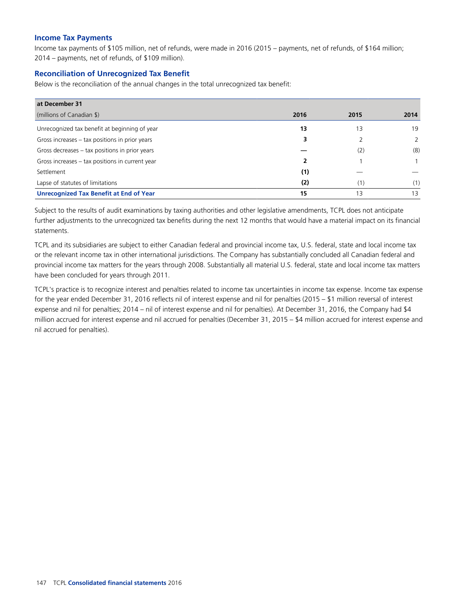#### **Income Tax Payments**

Income tax payments of \$105 million, net of refunds, were made in 2016 (2015 – payments, net of refunds, of \$164 million; 2014 – payments, net of refunds, of \$109 million).

#### **Reconciliation of Unrecognized Tax Benefit**

Below is the reconciliation of the annual changes in the total unrecognized tax benefit:

| at December 31                                    |      |      |      |
|---------------------------------------------------|------|------|------|
| (millions of Canadian \$)                         | 2016 | 2015 | 2014 |
| Unrecognized tax benefit at beginning of year     | 13   | 13   | 19   |
| Gross increases - tax positions in prior years    |      |      |      |
| Gross decreases $-$ tax positions in prior years  |      | (2)  | (8)  |
| Gross increases $-$ tax positions in current year |      |      |      |
| Settlement                                        | (1)  |      |      |
| Lapse of statutes of limitations                  | (2)  | (1)  | (1)  |
| Unrecognized Tax Benefit at End of Year           | 15   | 13   | 13   |

Subject to the results of audit examinations by taxing authorities and other legislative amendments, TCPL does not anticipate further adjustments to the unrecognized tax benefits during the next 12 months that would have a material impact on its financial statements.

TCPL and its subsidiaries are subject to either Canadian federal and provincial income tax, U.S. federal, state and local income tax or the relevant income tax in other international jurisdictions. The Company has substantially concluded all Canadian federal and provincial income tax matters for the years through 2008. Substantially all material U.S. federal, state and local income tax matters have been concluded for years through 2011.

TCPL's practice is to recognize interest and penalties related to income tax uncertainties in income tax expense. Income tax expense for the year ended December 31, 2016 reflects nil of interest expense and nil for penalties (2015 – \$1 million reversal of interest expense and nil for penalties; 2014 – nil of interest expense and nil for penalties). At December 31, 2016, the Company had \$4 million accrued for interest expense and nil accrued for penalties (December 31, 2015 – \$4 million accrued for interest expense and nil accrued for penalties).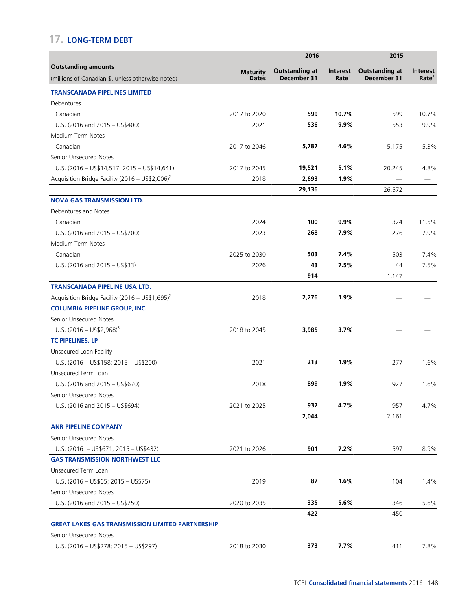## **17. LONG-TERM DEBT**

|                                                                                 |                                 | 2016                                 |                               | 2015                                 |                                      |
|---------------------------------------------------------------------------------|---------------------------------|--------------------------------------|-------------------------------|--------------------------------------|--------------------------------------|
| <b>Outstanding amounts</b><br>(millions of Canadian \$, unless otherwise noted) | <b>Maturity</b><br><b>Dates</b> | <b>Outstanding at</b><br>December 31 | Interest<br>Rate <sup>1</sup> | <b>Outstanding at</b><br>December 31 | <b>Interest</b><br>Rate <sup>1</sup> |
| <b>TRANSCANADA PIPELINES LIMITED</b>                                            |                                 |                                      |                               |                                      |                                      |
| Debentures                                                                      |                                 |                                      |                               |                                      |                                      |
| Canadian                                                                        | 2017 to 2020                    | 599                                  | 10.7%                         | 599                                  | 10.7%                                |
| U.S. (2016 and 2015 - US\$400)                                                  | 2021                            | 536                                  | 9.9%                          | 553                                  | 9.9%                                 |
| Medium Term Notes                                                               |                                 |                                      |                               |                                      |                                      |
| Canadian                                                                        | 2017 to 2046                    | 5,787                                | 4.6%                          | 5,175                                | 5.3%                                 |
| Senior Unsecured Notes                                                          |                                 |                                      |                               |                                      |                                      |
| U.S. (2016 - US\$14,517; 2015 - US\$14,641)                                     | 2017 to 2045                    | 19,521                               | 5.1%                          | 20,245                               | 4.8%                                 |
| Acquisition Bridge Facility (2016 - US\$2,006) <sup>2</sup>                     | 2018                            | 2,693                                | 1.9%                          |                                      |                                      |
|                                                                                 |                                 | 29,136                               |                               | 26,572                               |                                      |
| <b>NOVA GAS TRANSMISSION LTD.</b>                                               |                                 |                                      |                               |                                      |                                      |
| Debentures and Notes                                                            |                                 |                                      |                               |                                      |                                      |
| Canadian                                                                        | 2024                            | 100                                  | 9.9%                          | 324                                  | 11.5%                                |
| U.S. (2016 and 2015 - US\$200)                                                  | 2023                            | 268                                  | 7.9%                          | 276                                  | 7.9%                                 |
| Medium Term Notes                                                               |                                 |                                      |                               |                                      |                                      |
| Canadian                                                                        | 2025 to 2030                    | 503                                  | 7.4%                          | 503                                  | 7.4%                                 |
| U.S. (2016 and 2015 - US\$33)                                                   | 2026                            | 43                                   | 7.5%                          | 44                                   | 7.5%                                 |
|                                                                                 |                                 | 914                                  |                               | 1,147                                |                                      |
| <b>TRANSCANADA PIPELINE USA LTD.</b>                                            |                                 |                                      |                               |                                      |                                      |
| Acquisition Bridge Facility (2016 - US\$1,695) <sup>2</sup>                     | 2018                            | 2,276                                | 1.9%                          |                                      |                                      |
| <b>COLUMBIA PIPELINE GROUP, INC.</b>                                            |                                 |                                      |                               |                                      |                                      |
| Senior Unsecured Notes                                                          |                                 |                                      |                               |                                      |                                      |
| U.S. $(2016 - US$2,968)^3$                                                      | 2018 to 2045                    | 3,985                                | 3.7%                          |                                      |                                      |
| <b>TC PIPELINES, LP</b>                                                         |                                 |                                      |                               |                                      |                                      |
| Unsecured Loan Facility                                                         |                                 |                                      |                               |                                      |                                      |
| U.S. (2016 - US\$158; 2015 - US\$200)                                           | 2021                            | 213                                  | 1.9%                          | 277                                  | 1.6%                                 |
| Unsecured Term Loan                                                             |                                 |                                      |                               |                                      |                                      |
| U.S. (2016 and 2015 - US\$670)                                                  | 2018                            | 899                                  | 1.9%                          | 927                                  | 1.6%                                 |
| Senior Unsecured Notes                                                          |                                 |                                      |                               |                                      |                                      |
| U.S. (2016 and 2015 - US\$694)                                                  | 2021 to 2025                    | 932                                  | 4.7%                          | 957                                  | 4.7%                                 |
|                                                                                 |                                 | 2,044                                |                               | 2,161                                |                                      |
| <b>ANR PIPELINE COMPANY</b>                                                     |                                 |                                      |                               |                                      |                                      |
| Senior Unsecured Notes                                                          |                                 |                                      |                               |                                      |                                      |
| U.S. (2016 - US\$671; 2015 - US\$432)                                           | 2021 to 2026                    | 901                                  | 7.2%                          | 597                                  | 8.9%                                 |
| <b>GAS TRANSMISSION NORTHWEST LLC</b>                                           |                                 |                                      |                               |                                      |                                      |
| Unsecured Term Loan                                                             |                                 |                                      |                               |                                      |                                      |
| U.S. (2016 - US\$65; 2015 - US\$75)                                             | 2019                            | 87                                   | 1.6%                          | 104                                  | 1.4%                                 |
| Senior Unsecured Notes                                                          |                                 |                                      |                               |                                      |                                      |
| U.S. (2016 and 2015 - US\$250)                                                  | 2020 to 2035                    | 335                                  | 5.6%                          | 346                                  | 5.6%                                 |
|                                                                                 |                                 | 422                                  |                               | 450                                  |                                      |
| <b>GREAT LAKES GAS TRANSMISSION LIMITED PARTNERSHIP</b>                         |                                 |                                      |                               |                                      |                                      |
| Senior Unsecured Notes                                                          |                                 |                                      |                               |                                      |                                      |
| U.S. (2016 - US\$278; 2015 - US\$297)                                           | 2018 to 2030                    | 373                                  | 7.7%                          | 411                                  | 7.8%                                 |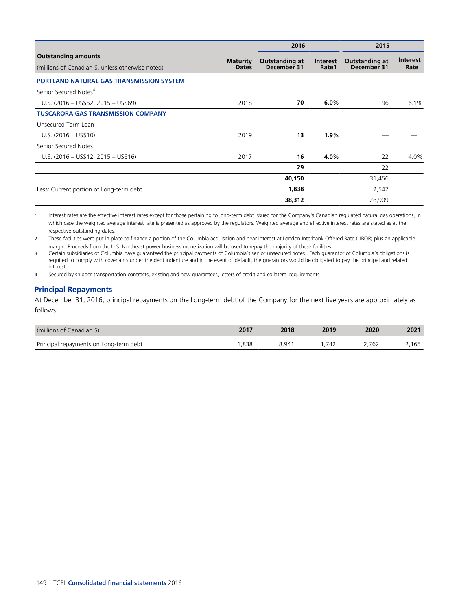|                                                                                 |                                 | 2016                          |                   | 2015                          |                                      |
|---------------------------------------------------------------------------------|---------------------------------|-------------------------------|-------------------|-------------------------------|--------------------------------------|
| <b>Outstanding amounts</b><br>(millions of Canadian \$, unless otherwise noted) | <b>Maturity</b><br><b>Dates</b> | Outstanding at<br>December 31 | Interest<br>Rate1 | Outstanding at<br>December 31 | <b>Interest</b><br>Rate <sup>1</sup> |
| <b>PORTLAND NATURAL GAS TRANSMISSION SYSTEM</b>                                 |                                 |                               |                   |                               |                                      |
| Senior Secured Notes <sup>4</sup>                                               |                                 |                               |                   |                               |                                      |
| U.S. $(2016 - US$52; 2015 - US$69)$                                             | 2018                            | 70                            | $6.0\%$           | 96                            | 6.1%                                 |
| <b>TUSCARORA GAS TRANSMISSION COMPANY</b>                                       |                                 |                               |                   |                               |                                      |
| Unsecured Term Loan                                                             |                                 |                               |                   |                               |                                      |
| U.S. $(2016 - US$10)$                                                           | 2019                            | 13                            | 1.9%              |                               |                                      |
| Senior Secured Notes                                                            |                                 |                               |                   |                               |                                      |
| U.S. $(2016 - US$12; 2015 - US$16)$                                             | 2017                            | 16                            | 4.0%              | 22                            | 4.0%                                 |
|                                                                                 |                                 | 29                            |                   | 22                            |                                      |
|                                                                                 |                                 | 40,150                        |                   | 31,456                        |                                      |
| Less: Current portion of Long-term debt                                         |                                 | 1,838                         |                   | 2,547                         |                                      |
|                                                                                 |                                 | 38,312                        |                   | 28,909                        |                                      |

1 Interest rates are the effective interest rates except for those pertaining to long-term debt issued for the Company's Canadian regulated natural gas operations, in which case the weighted average interest rate is presented as approved by the regulators. Weighted average and effective interest rates are stated as at the respective outstanding dates.

2 These facilities were put in place to finance a portion of the Columbia acquisition and bear interest at London Interbank Offered Rate (LIBOR) plus an applicable margin. Proceeds from the U.S. Northeast power business monetization will be used to repay the majority of these facilities.

3 Certain subsidiaries of Columbia have guaranteed the principal payments of Columbia's senior unsecured notes. Each guarantor of Columbia's obligations is required to comply with covenants under the debt indenture and in the event of default, the guarantors would be obligated to pay the principal and related interest.

4 Secured by shipper transportation contracts, existing and new guarantees, letters of credit and collateral requirements.

#### **Principal Repayments**

At December 31, 2016, principal repayments on the Long-term debt of the Company for the next five years are approximately as follows:

| (millions of Canadian \$)              | 2017 | 2018  | 2019 | 2020 | 2021 |
|----------------------------------------|------|-------|------|------|------|
| Principal repayments on Long-term debt | .838 | 8.941 | 742  | 762  | .165 |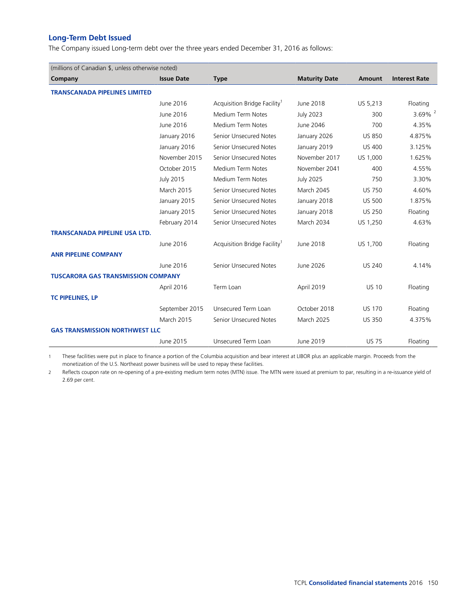### **Long-Term Debt Issued**

The Company issued Long-term debt over the three years ended December 31, 2016 as follows:

| (millions of Canadian \$, unless otherwise noted) |                   |                                          |                      |               |                      |
|---------------------------------------------------|-------------------|------------------------------------------|----------------------|---------------|----------------------|
| Company                                           | <b>Issue Date</b> | <b>Type</b>                              | <b>Maturity Date</b> | <b>Amount</b> | <b>Interest Rate</b> |
| <b>TRANSCANADA PIPELINES LIMITED</b>              |                   |                                          |                      |               |                      |
|                                                   | June 2016         | Acquisition Bridge Facility <sup>1</sup> | June 2018            | US 5,213      | Floating             |
|                                                   | June 2016         | Medium Term Notes                        | <b>July 2023</b>     | 300           | 3.69% $^{2}$         |
|                                                   | June 2016         | Medium Term Notes                        | June 2046            | 700           | 4.35%                |
|                                                   | January 2016      | Senior Unsecured Notes                   | January 2026         | <b>US 850</b> | 4.875%               |
|                                                   | January 2016      | Senior Unsecured Notes                   | January 2019         | <b>US 400</b> | 3.125%               |
|                                                   | November 2015     | Senior Unsecured Notes                   | November 2017        | US 1,000      | 1.625%               |
|                                                   | October 2015      | Medium Term Notes                        | November 2041        | 400           | 4.55%                |
|                                                   | <b>July 2015</b>  | Medium Term Notes                        | <b>July 2025</b>     | 750           | 3.30%                |
|                                                   | March 2015        | Senior Unsecured Notes                   | March 2045           | <b>US 750</b> | 4.60%                |
|                                                   | January 2015      | Senior Unsecured Notes                   | January 2018         | <b>US 500</b> | 1.875%               |
|                                                   | January 2015      | Senior Unsecured Notes                   | January 2018         | <b>US 250</b> | Floating             |
|                                                   | February 2014     | Senior Unsecured Notes                   | March 2034           | US 1,250      | 4.63%                |
| <b>TRANSCANADA PIPELINE USA LTD.</b>              |                   |                                          |                      |               |                      |
|                                                   | June 2016         | Acquisition Bridge Facility <sup>1</sup> | June 2018            | US 1,700      | Floating             |
| <b>ANR PIPELINE COMPANY</b>                       |                   |                                          |                      |               |                      |
|                                                   | June 2016         | Senior Unsecured Notes                   | June 2026            | <b>US 240</b> | 4.14%                |
| <b>TUSCARORA GAS TRANSMISSION COMPANY</b>         |                   |                                          |                      |               |                      |
|                                                   | April 2016        | Term Loan                                | April 2019           | <b>US 10</b>  | Floating             |
| <b>TC PIPELINES, LP</b>                           |                   |                                          |                      |               |                      |
|                                                   | September 2015    | Unsecured Term Loan                      | October 2018         | <b>US 170</b> | Floating             |
|                                                   | March 2015        | Senior Unsecured Notes                   | March 2025           | <b>US 350</b> | 4.375%               |
| <b>GAS TRANSMISSION NORTHWEST LLC</b>             |                   |                                          |                      |               |                      |
|                                                   | June 2015         | Unsecured Term Loan                      | June 2019            | <b>US 75</b>  | Floating             |

1 These facilities were put in place to finance a portion of the Columbia acquisition and bear interest at LIBOR plus an applicable margin. Proceeds from the monetization of the U.S. Northeast power business will be used to repay these facilities.

2 Reflects coupon rate on re-opening of a pre-existing medium term notes (MTN) issue. The MTN were issued at premium to par, resulting in a re-issuance yield of 2.69 per cent.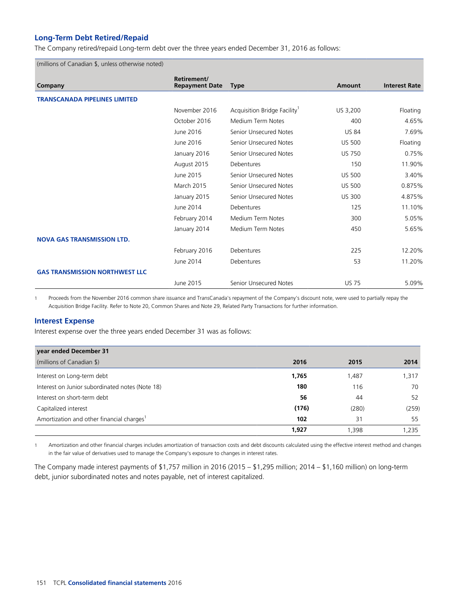#### **Long-Term Debt Retired/Repaid**

The Company retired/repaid Long-term debt over the three years ended December 31, 2016 as follows:

(millions of Canadian \$, unless otherwise noted)

| Company                               | Retirement/<br><b>Repayment Date</b> | <b>Type</b>                              | Amount        | <b>Interest Rate</b> |
|---------------------------------------|--------------------------------------|------------------------------------------|---------------|----------------------|
| <b>TRANSCANADA PIPELINES LIMITED</b>  |                                      |                                          |               |                      |
|                                       | November 2016                        | Acquisition Bridge Facility <sup>1</sup> | US 3,200      | Floating             |
|                                       | October 2016                         | Medium Term Notes                        | 400           | 4.65%                |
|                                       | June 2016                            | Senior Unsecured Notes                   | <b>US 84</b>  | 7.69%                |
|                                       | June 2016                            | Senior Unsecured Notes                   | <b>US 500</b> | Floating             |
|                                       | January 2016                         | Senior Unsecured Notes                   | <b>US 750</b> | 0.75%                |
|                                       | August 2015                          | Debentures                               | 150           | 11.90%               |
|                                       | June 2015                            | Senior Unsecured Notes                   | <b>US 500</b> | 3.40%                |
|                                       | <b>March 2015</b>                    | Senior Unsecured Notes                   | <b>US 500</b> | 0.875%               |
|                                       | January 2015                         | Senior Unsecured Notes                   | <b>US 300</b> | 4.875%               |
|                                       | June 2014                            | Debentures                               | 125           | 11.10%               |
|                                       | February 2014                        | Medium Term Notes                        | 300           | 5.05%                |
|                                       | January 2014                         | Medium Term Notes                        | 450           | 5.65%                |
| <b>NOVA GAS TRANSMISSION LTD.</b>     |                                      |                                          |               |                      |
|                                       | February 2016                        | Debentures                               | 225           | 12.20%               |
|                                       | June 2014                            | Debentures                               | 53            | 11.20%               |
| <b>GAS TRANSMISSION NORTHWEST LLC</b> |                                      |                                          |               |                      |
|                                       | June 2015                            | Senior Unsecured Notes                   | <b>US 75</b>  | 5.09%                |

1 Proceeds from the November 2016 common share issuance and TransCanada's repayment of the Company's discount note, were used to partially repay the Acquisition Bridge Facility. Refer to Note 20, Common Shares and Note 29, Related Party Transactions for further information.

#### **Interest Expense**

Interest expense over the three years ended December 31 was as follows:

| year ended December 31                                |       |       |       |
|-------------------------------------------------------|-------|-------|-------|
| (millions of Canadian \$)                             | 2016  | 2015  | 2014  |
| Interest on Long-term debt                            | 1,765 | 1,487 | 1,317 |
| Interest on Junior subordinated notes (Note 18)       | 180   | 116   | 70    |
| Interest on short-term debt                           | 56    | 44    | 52    |
| Capitalized interest                                  | (176) | (280) | (259) |
| Amortization and other financial charges <sup>1</sup> | 102   | 31    | 55    |
|                                                       | 1,927 | 1.398 | ,235  |

1 Amortization and other financial charges includes amortization of transaction costs and debt discounts calculated using the effective interest method and changes in the fair value of derivatives used to manage the Company's exposure to changes in interest rates.

The Company made interest payments of \$1,757 million in 2016 (2015 – \$1,295 million; 2014 – \$1,160 million) on long-term debt, junior subordinated notes and notes payable, net of interest capitalized.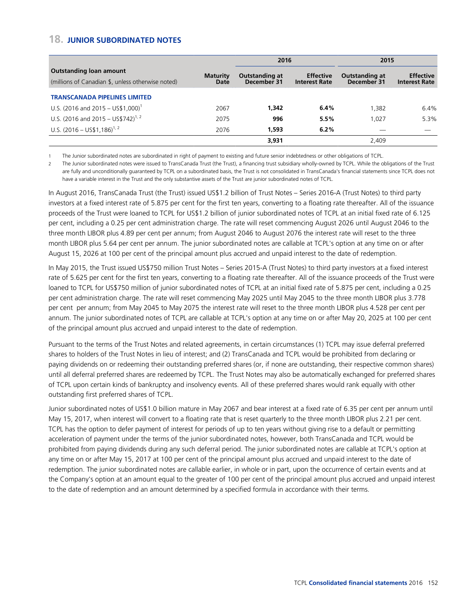## **18. JUNIOR SUBORDINATED NOTES**

|                                                   |                 | 2016           |                      | 2015           |                      |
|---------------------------------------------------|-----------------|----------------|----------------------|----------------|----------------------|
| <b>Outstanding loan amount</b>                    | <b>Maturity</b> | Outstanding at | <b>Effective</b>     | Outstanding at | <b>Effective</b>     |
| (millions of Canadian \$, unless otherwise noted) | Date            | December 31    | <b>Interest Rate</b> | December 31    | <b>Interest Rate</b> |
| <b>TRANSCANADA PIPELINES LIMITED</b>              |                 |                |                      |                |                      |
| U.S. (2016 and 2015 – US\$1,000) <sup>1</sup>     | 2067            | 1.342          | 6.4%                 | 1.382          | 6.4%                 |
| U.S. (2016 and 2015 – US\$742) <sup>1, 2</sup>    | 2075            | 996            | 5.5%                 | 1.027          | 5.3%                 |
| U.S. $(2016 - US$1,186)^{1,2}$                    | 2076            | 1.593          | 6.2%                 |                |                      |
|                                                   |                 | 3.931          |                      | 2.409          |                      |

1 The Junior subordinated notes are subordinated in right of payment to existing and future senior indebtedness or other obligations of TCPL.

2 The Junior subordinated notes were issued to TransCanada Trust (the Trust), a financing trust subsidiary wholly-owned by TCPL. While the obligations of the Trust are fully and unconditionally quaranteed by TCPL on a subordinated basis, the Trust is not consolidated in TransCanada's financial statements since TCPL does not have a variable interest in the Trust and the only substantive assets of the Trust are junior subordinated notes of TCPL.

In August 2016, TransCanada Trust (the Trust) issued US\$1.2 billion of Trust Notes – Series 2016-A (Trust Notes) to third party investors at a fixed interest rate of 5.875 per cent for the first ten years, converting to a floating rate thereafter. All of the issuance proceeds of the Trust were loaned to TCPL for US\$1.2 billion of junior subordinated notes of TCPL at an initial fixed rate of 6.125 per cent, including a 0.25 per cent administration charge. The rate will reset commencing August 2026 until August 2046 to the three month LIBOR plus 4.89 per cent per annum; from August 2046 to August 2076 the interest rate will reset to the three month LIBOR plus 5.64 per cent per annum. The junior subordinated notes are callable at TCPL's option at any time on or after August 15, 2026 at 100 per cent of the principal amount plus accrued and unpaid interest to the date of redemption.

In May 2015, the Trust issued US\$750 million Trust Notes – Series 2015-A (Trust Notes) to third party investors at a fixed interest rate of 5.625 per cent for the first ten years, converting to a floating rate thereafter. All of the issuance proceeds of the Trust were loaned to TCPL for US\$750 million of junior subordinated notes of TCPL at an initial fixed rate of 5.875 per cent, including a 0.25 per cent administration charge. The rate will reset commencing May 2025 until May 2045 to the three month LIBOR plus 3.778 per cent per annum; from May 2045 to May 2075 the interest rate will reset to the three month LIBOR plus 4.528 per cent per annum. The junior subordinated notes of TCPL are callable at TCPL's option at any time on or after May 20, 2025 at 100 per cent of the principal amount plus accrued and unpaid interest to the date of redemption.

Pursuant to the terms of the Trust Notes and related agreements, in certain circumstances (1) TCPL may issue deferral preferred shares to holders of the Trust Notes in lieu of interest; and (2) TransCanada and TCPL would be prohibited from declaring or paying dividends on or redeeming their outstanding preferred shares (or, if none are outstanding, their respective common shares) until all deferral preferred shares are redeemed by TCPL. The Trust Notes may also be automatically exchanged for preferred shares of TCPL upon certain kinds of bankruptcy and insolvency events. All of these preferred shares would rank equally with other outstanding first preferred shares of TCPL.

Junior subordinated notes of US\$1.0 billion mature in May 2067 and bear interest at a fixed rate of 6.35 per cent per annum until May 15, 2017, when interest will convert to a floating rate that is reset quarterly to the three month LIBOR plus 2.21 per cent. TCPL has the option to defer payment of interest for periods of up to ten years without giving rise to a default or permitting acceleration of payment under the terms of the junior subordinated notes, however, both TransCanada and TCPL would be prohibited from paying dividends during any such deferral period. The junior subordinated notes are callable at TCPL's option at any time on or after May 15, 2017 at 100 per cent of the principal amount plus accrued and unpaid interest to the date of redemption. The junior subordinated notes are callable earlier, in whole or in part, upon the occurrence of certain events and at the Company's option at an amount equal to the greater of 100 per cent of the principal amount plus accrued and unpaid interest to the date of redemption and an amount determined by a specified formula in accordance with their terms.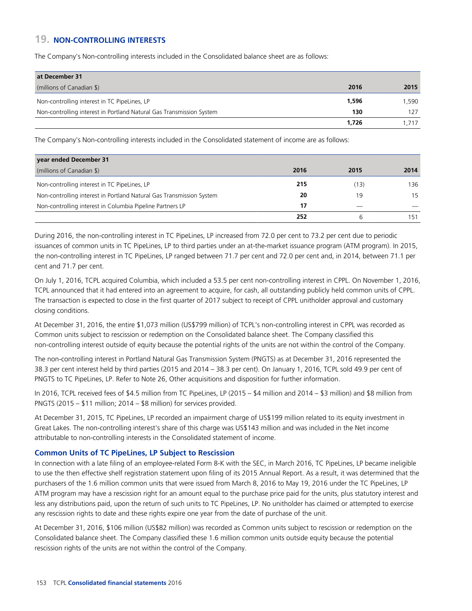## **19. NON-CONTROLLING INTERESTS**

The Company's Non-controlling interests included in the Consolidated balance sheet are as follows:

| at December 31                                                       |       |       |
|----------------------------------------------------------------------|-------|-------|
| (millions of Canadian \$)                                            | 2016  | 2015  |
| Non-controlling interest in TC PipeLines, LP                         | 1.596 | 1.590 |
| Non-controlling interest in Portland Natural Gas Transmission System | 130   | 127   |
|                                                                      | 1.726 | 1.717 |

The Company's Non-controlling interests included in the Consolidated statement of income are as follows:

| year ended December 31                                               |      |      |      |
|----------------------------------------------------------------------|------|------|------|
| (millions of Canadian \$)                                            | 2016 | 2015 | 2014 |
| Non-controlling interest in TC PipeLines, LP                         | 215  | (13) | 136  |
| Non-controlling interest in Portland Natural Gas Transmission System | 20   | 19   | 15   |
| Non-controlling interest in Columbia Pipeline Partners LP            | 17   |      |      |
|                                                                      | 252  |      | 151  |

During 2016, the non-controlling interest in TC PipeLines, LP increased from 72.0 per cent to 73.2 per cent due to periodic issuances of common units in TC PipeLines, LP to third parties under an at-the-market issuance program (ATM program). In 2015, the non-controlling interest in TC PipeLines, LP ranged between 71.7 per cent and 72.0 per cent and, in 2014, between 71.1 per cent and 71.7 per cent.

On July 1, 2016, TCPL acquired Columbia, which included a 53.5 per cent non-controlling interest in CPPL. On November 1, 2016, TCPL announced that it had entered into an agreement to acquire, for cash, all outstanding publicly held common units of CPPL. The transaction is expected to close in the first quarter of 2017 subject to receipt of CPPL unitholder approval and customary closing conditions.

At December 31, 2016, the entire \$1,073 million (US\$799 million) of TCPL's non-controlling interest in CPPL was recorded as Common units subject to rescission or redemption on the Consolidated balance sheet. The Company classified this non-controlling interest outside of equity because the potential rights of the units are not within the control of the Company.

The non-controlling interest in Portland Natural Gas Transmission System (PNGTS) as at December 31, 2016 represented the 38.3 per cent interest held by third parties (2015 and 2014 – 38.3 per cent). On January 1, 2016, TCPL sold 49.9 per cent of PNGTS to TC PipeLines, LP. Refer to Note 26, Other acquisitions and disposition for further information.

In 2016, TCPL received fees of \$4.5 million from TC PipeLines, LP (2015 – \$4 million and 2014 – \$3 million) and \$8 million from PNGTS (2015 – \$11 million; 2014 – \$8 million) for services provided.

At December 31, 2015, TC PipeLines, LP recorded an impairment charge of US\$199 million related to its equity investment in Great Lakes. The non-controlling interest's share of this charge was US\$143 million and was included in the Net income attributable to non-controlling interests in the Consolidated statement of income.

#### **Common Units of TC PipeLines, LP Subject to Rescission**

In connection with a late filing of an employee-related Form 8-K with the SEC, in March 2016, TC PipeLines, LP became ineligible to use the then effective shelf registration statement upon filing of its 2015 Annual Report. As a result, it was determined that the purchasers of the 1.6 million common units that were issued from March 8, 2016 to May 19, 2016 under the TC PipeLines, LP ATM program may have a rescission right for an amount equal to the purchase price paid for the units, plus statutory interest and less any distributions paid, upon the return of such units to TC PipeLines, LP. No unitholder has claimed or attempted to exercise any rescission rights to date and these rights expire one year from the date of purchase of the unit.

At December 31, 2016, \$106 million (US\$82 million) was recorded as Common units subject to rescission or redemption on the Consolidated balance sheet. The Company classified these 1.6 million common units outside equity because the potential rescission rights of the units are not within the control of the Company.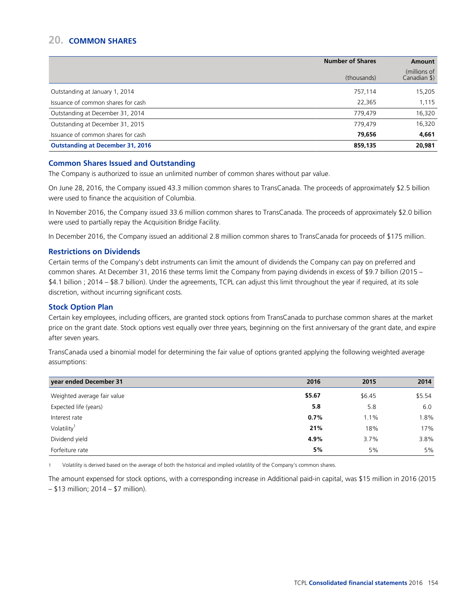## **20. COMMON SHARES**

|                                         | <b>Number of Shares</b> | <b>Amount</b>                |
|-----------------------------------------|-------------------------|------------------------------|
|                                         | (thousands)             | (millions of<br>Canadian \$) |
| Outstanding at January 1, 2014          | 757,114                 | 15,205                       |
| Issuance of common shares for cash      | 22,365                  | 1,115                        |
| Outstanding at December 31, 2014        | 779.479                 | 16,320                       |
| Outstanding at December 31, 2015        | 779,479                 | 16,320                       |
| Issuance of common shares for cash      | 79,656                  | 4,661                        |
| <b>Outstanding at December 31, 2016</b> | 859,135                 | 20,981                       |

#### **Common Shares Issued and Outstanding**

The Company is authorized to issue an unlimited number of common shares without par value.

On June 28, 2016, the Company issued 43.3 million common shares to TransCanada. The proceeds of approximately \$2.5 billion were used to finance the acquisition of Columbia.

In November 2016, the Company issued 33.6 million common shares to TransCanada. The proceeds of approximately \$2.0 billion were used to partially repay the Acquisition Bridge Facility.

In December 2016, the Company issued an additional 2.8 million common shares to TransCanada for proceeds of \$175 million.

#### **Restrictions on Dividends**

Certain terms of the Company's debt instruments can limit the amount of dividends the Company can pay on preferred and common shares. At December 31, 2016 these terms limit the Company from paying dividends in excess of \$9.7 billion (2015 – \$4.1 billion ; 2014 – \$8.7 billion). Under the agreements, TCPL can adjust this limit throughout the year if required, at its sole discretion, without incurring significant costs.

#### **Stock Option Plan**

Certain key employees, including officers, are granted stock options from TransCanada to purchase common shares at the market price on the grant date. Stock options vest equally over three years, beginning on the first anniversary of the grant date, and expire after seven years.

TransCanada used a binomial model for determining the fair value of options granted applying the following weighted average assumptions:

| year ended December 31      | 2016   | 2015   | 2014   |
|-----------------------------|--------|--------|--------|
| Weighted average fair value | \$5.67 | \$6.45 | \$5.54 |
| Expected life (years)       | 5.8    | 5.8    | 6.0    |
| Interest rate               | 0.7%   | 1.1%   | 1.8%   |
| Volatility <sup>1</sup>     | 21%    | 18%    | 17%    |
| Dividend yield              | 4.9%   | 3.7%   | 3.8%   |
| Forfeiture rate             | 5%     | 5%     | 5%     |

1 Volatility is derived based on the average of both the historical and implied volatility of the Company's common shares.

The amount expensed for stock options, with a corresponding increase in Additional paid-in capital, was \$15 million in 2016 (2015 – \$13 million; 2014 – \$7 million).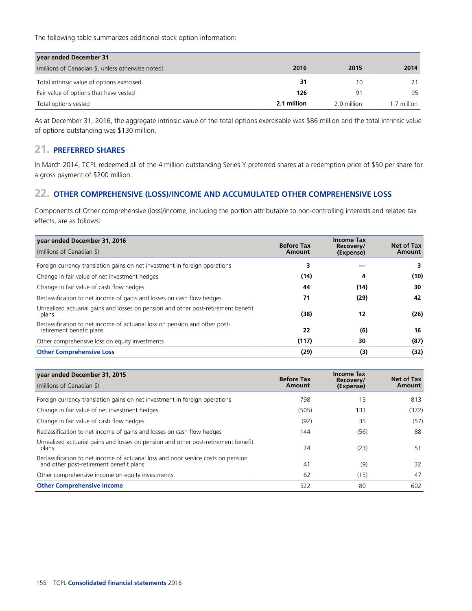The following table summarizes additional stock option information:

| year ended December 31                            |             |             |             |
|---------------------------------------------------|-------------|-------------|-------------|
| (millions of Canadian \$, unless otherwise noted) | 2016        | 2015        | 2014        |
| Total intrinsic value of options exercised        | 31          | 10          | 21          |
| Fair value of options that have vested            | 126         | 91          | 95          |
| Total options vested                              | 2.1 million | 2.0 million | 1.7 million |

As at December 31, 2016, the aggregate intrinsic value of the total options exercisable was \$86 million and the total intrinsic value of options outstanding was \$130 million.

## **21. PREFERRED SHARES**

In March 2014, TCPL redeemed all of the 4 million outstanding Series Y preferred shares at a redemption price of \$50 per share for a gross payment of \$200 million.

## **22. OTHER COMPREHENSIVE (LOSS)/INCOME AND ACCUMULATED OTHER COMPREHENSIVE LOSS**

Components of Other comprehensive (loss)/income, including the portion attributable to non-controlling interests and related tax effects, are as follows:

|        | <b>Income Tax</b> | Net of Tax |
|--------|-------------------|------------|
| Amount | (Expense)         | Amount     |
| 3      |                   | 3          |
| (14)   | 4                 | (10)       |
| 44     | (14)              | 30         |
| 71     | (29)              | 42         |
| (38)   | 12                | (26)       |
| 22     | (6)               | 16         |
| (117)  | 30                | (87)       |
| (29)   | (3)               | (32)       |
|        | <b>Before Tax</b> | Recovery/  |

| year ended December 31, 2015                                                                                                   | <b>Before Tax</b> | <b>Income Tax</b><br>Recovery/ | Net of Tax |
|--------------------------------------------------------------------------------------------------------------------------------|-------------------|--------------------------------|------------|
| (millions of Canadian \$)                                                                                                      | Amount            | (Expense)                      | Amount     |
| Foreign currency translation gains on net investment in foreign operations                                                     | 798               | 15                             | 813        |
| Change in fair value of net investment hedges                                                                                  | (505)             | 133                            | (372)      |
| Change in fair value of cash flow hedges                                                                                       | (92)              | 35                             | (57)       |
| Reclassification to net income of gains and losses on cash flow hedges                                                         | 144               | (56)                           | 88         |
| Unrealized actuarial gains and losses on pension and other post-retirement benefit<br>plans                                    | 74                | (23)                           | 51         |
| Reclassification to net income of actuarial loss and prior service costs on pension<br>and other post-retirement benefit plans | 41                | (9)                            | 32         |
| Other comprehensive income on equity investments                                                                               | 62                | (15)                           | 47         |
| <b>Other Comprehensive Income</b>                                                                                              | 522               | 80                             | 602        |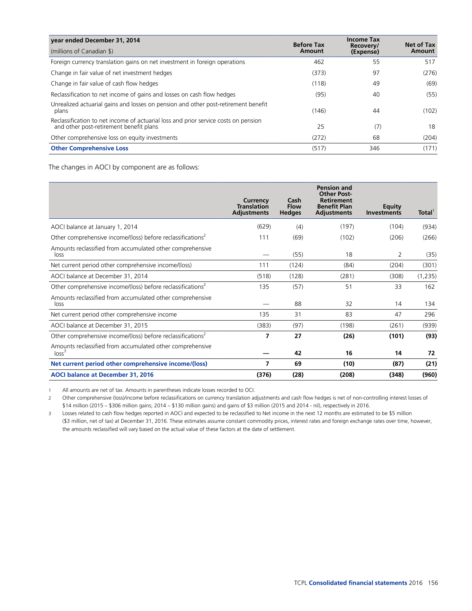| year ended December 31, 2014                                                                                                   | <b>Before Tax</b> | <b>Income Tax</b><br>Recovery/ | Net of Tax |
|--------------------------------------------------------------------------------------------------------------------------------|-------------------|--------------------------------|------------|
| (millions of Canadian \$)                                                                                                      | Amount            | (Expense)                      | Amount     |
| Foreign currency translation gains on net investment in foreign operations                                                     | 462               | 55                             | 517        |
| Change in fair value of net investment hedges                                                                                  | (373)             | 97                             | (276)      |
| Change in fair value of cash flow hedges                                                                                       | (118)             | 49                             | (69)       |
| Reclassification to net income of gains and losses on cash flow hedges                                                         | (95)              | 40                             | (55)       |
| Unrealized actuarial gains and losses on pension and other post-retirement benefit<br>plans                                    | (146)             | 44                             | (102)      |
| Reclassification to net income of actuarial loss and prior service costs on pension<br>and other post-retirement benefit plans | 25                | (7)                            | 18         |
| Other comprehensive loss on equity investments                                                                                 | (272)             | 68                             | (204)      |
| <b>Other Comprehensive Loss</b>                                                                                                | (517)             | 346                            | (171)      |

The changes in AOCI by component are as follows:

|                                                                                | Currency<br><b>Translation</b><br><b>Adjustments</b> | Cash<br><b>Flow</b><br><b>Hedges</b> | <b>Pension and</b><br><b>Other Post-</b><br><b>Retirement</b><br><b>Benefit Plan</b><br><b>Adjustments</b> | <b>Equity</b><br>Investments | Total <sup>'</sup> |
|--------------------------------------------------------------------------------|------------------------------------------------------|--------------------------------------|------------------------------------------------------------------------------------------------------------|------------------------------|--------------------|
| AOCI balance at January 1, 2014                                                | (629)                                                | (4)                                  | (197)                                                                                                      | (104)                        | (934)              |
| Other comprehensive income/(loss) before reclassifications <sup>2</sup>        | 111                                                  | (69)                                 | (102)                                                                                                      | (206)                        | (266)              |
| Amounts reclassified from accumulated other comprehensive<br>loss              |                                                      | (55)                                 | 18                                                                                                         | 2                            | (35)               |
| Net current period other comprehensive income/(loss)                           | 111                                                  | (124)                                | (84)                                                                                                       | (204)                        | (301)              |
| AOCI balance at December 31, 2014                                              | (518)                                                | (128)                                | (281)                                                                                                      | (308)                        | (1,235)            |
| Other comprehensive income/(loss) before reclassifications <sup>2</sup>        | 135                                                  | (57)                                 | 51                                                                                                         | 33                           | 162                |
| Amounts reclassified from accumulated other comprehensive<br>loss              |                                                      | 88                                   | 32                                                                                                         | 14                           | 134                |
| Net current period other comprehensive income                                  | 135                                                  | 31                                   | 83                                                                                                         | 47                           | 296                |
| AOCI balance at December 31, 2015                                              | (383)                                                | (97)                                 | (198)                                                                                                      | (261)                        | (939)              |
| Other comprehensive income/(loss) before reclassifications <sup>2</sup>        | 7                                                    | 27                                   | (26)                                                                                                       | (101)                        | (93)               |
| Amounts reclassified from accumulated other comprehensive<br>loss <sup>3</sup> |                                                      | 42                                   | 16                                                                                                         | 14                           | 72                 |
| Net current period other comprehensive income/(loss)                           | 7                                                    | 69                                   | (10)                                                                                                       | (87)                         | (21)               |
| AOCI balance at December 31, 2016                                              | (376)                                                | (28)                                 | (208)                                                                                                      | (348)                        | (960)              |

1 All amounts are net of tax. Amounts in parentheses indicate losses recorded to OCI.

2 Other comprehensive (loss)/income before reclassifications on currency translation adjustments and cash flow hedges is net of non-controlling interest losses of \$14 million (2015 – \$306 million gains; 2014 – \$130 million gains) and gains of \$3 million (2015 and 2014 - nil), respectively in 2016.

3 Losses related to cash flow hedges reported in AOCI and expected to be reclassified to Net income in the next 12 months are estimated to be \$5 million (\$3 million, net of tax) at December 31, 2016. These estimates assume constant commodity prices, interest rates and foreign exchange rates over time, however, the amounts reclassified will vary based on the actual value of these factors at the date of settlement.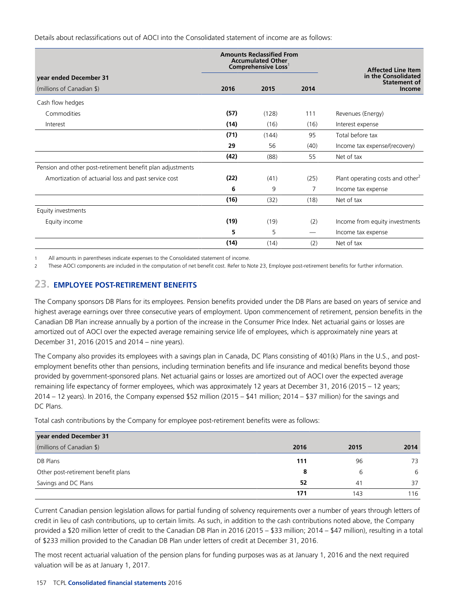Details about reclassifications out of AOCI into the Consolidated statement of income are as follows:

|                                                            |      | <b>Amounts Reclassified From</b><br><b>Accumulated Other</b><br>Comprehensive Loss <sup>1</sup> | <b>Affected Line Item</b> |                                            |
|------------------------------------------------------------|------|-------------------------------------------------------------------------------------------------|---------------------------|--------------------------------------------|
| year ended December 31                                     |      |                                                                                                 |                           | in the Consolidated<br><b>Statement of</b> |
| (millions of Canadian \$)                                  | 2016 | 2015                                                                                            | 2014                      | Income                                     |
| Cash flow hedges                                           |      |                                                                                                 |                           |                                            |
| Commodities                                                | (57) | (128)                                                                                           | 111                       | Revenues (Energy)                          |
| Interest                                                   | (14) | (16)                                                                                            | (16)                      | Interest expense                           |
|                                                            | (71) | (144)                                                                                           | 95                        | Total before tax                           |
|                                                            | 29   | 56                                                                                              | (40)                      | Income tax expense/(recovery)              |
|                                                            | (42) | (88)                                                                                            | 55                        | Net of tax                                 |
| Pension and other post-retirement benefit plan adjustments |      |                                                                                                 |                           |                                            |
| Amortization of actuarial loss and past service cost       | (22) | (41)                                                                                            | (25)                      | Plant operating costs and other            |
|                                                            | 6    | 9                                                                                               | 7                         | Income tax expense                         |
|                                                            | (16) | (32)                                                                                            | (18)                      | Net of tax                                 |
| Equity investments                                         |      |                                                                                                 |                           |                                            |
| Equity income                                              | (19) | (19)                                                                                            | (2)                       | Income from equity investments             |
|                                                            | 5    | 5                                                                                               |                           | Income tax expense                         |
|                                                            | (14) | (14)                                                                                            | (2)                       | Net of tax                                 |

All amounts in parentheses indicate expenses to the Consolidated statement of income.

2 These AOCI components are included in the computation of net benefit cost. Refer to Note 23, Employee post-retirement benefits for further information.

## **23. EMPLOYEE POST-RETIREMENT BENEFITS**

The Company sponsors DB Plans for its employees. Pension benefits provided under the DB Plans are based on years of service and highest average earnings over three consecutive years of employment. Upon commencement of retirement, pension benefits in the Canadian DB Plan increase annually by a portion of the increase in the Consumer Price Index. Net actuarial gains or losses are amortized out of AOCI over the expected average remaining service life of employees, which is approximately nine years at December 31, 2016 (2015 and 2014 – nine years).

The Company also provides its employees with a savings plan in Canada, DC Plans consisting of 401(k) Plans in the U.S., and postemployment benefits other than pensions, including termination benefits and life insurance and medical benefits beyond those provided by government-sponsored plans. Net actuarial gains or losses are amortized out of AOCI over the expected average remaining life expectancy of former employees, which was approximately 12 years at December 31, 2016 (2015 – 12 years; 2014 – 12 years). In 2016, the Company expensed \$52 million (2015 – \$41 million; 2014 – \$37 million) for the savings and DC Plans.

Total cash contributions by the Company for employee post-retirement benefits were as follows:

| year ended December 31              |      |      |      |
|-------------------------------------|------|------|------|
| (millions of Canadian \$)           | 2016 | 2015 | 2014 |
| DB Plans                            | 111  | 96   | 73   |
| Other post-retirement benefit plans | 8    | ь    | 6    |
| Savings and DC Plans                | 52   | 41   | 37   |
|                                     | 171  | 143  | 16   |

Current Canadian pension legislation allows for partial funding of solvency requirements over a number of years through letters of credit in lieu of cash contributions, up to certain limits. As such, in addition to the cash contributions noted above, the Company provided a \$20 million letter of credit to the Canadian DB Plan in 2016 (2015 – \$33 million; 2014 – \$47 million), resulting in a total of \$233 million provided to the Canadian DB Plan under letters of credit at December 31, 2016.

The most recent actuarial valuation of the pension plans for funding purposes was as at January 1, 2016 and the next required valuation will be as at January 1, 2017.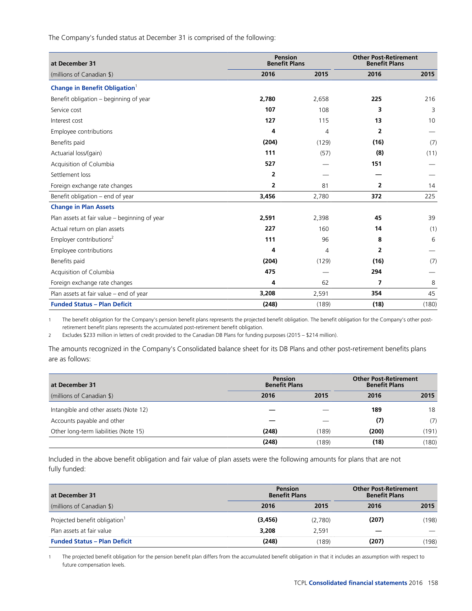The Company's funded status at December 31 is comprised of the following:

| at December 31                                | <b>Pension</b><br><b>Benefit Plans</b> |       | <b>Other Post-Retirement</b><br><b>Benefit Plans</b> |       |  |
|-----------------------------------------------|----------------------------------------|-------|------------------------------------------------------|-------|--|
| (millions of Canadian \$)                     | 2016                                   | 2015  | 2016                                                 | 2015  |  |
| <b>Change in Benefit Obligation</b>           |                                        |       |                                                      |       |  |
| Benefit obligation - beginning of year        | 2,780                                  | 2,658 | 225                                                  | 216   |  |
| Service cost                                  | 107                                    | 108   | 3                                                    | 3     |  |
| Interest cost                                 | 127                                    | 115   | 13                                                   | 10    |  |
| Employee contributions                        | 4                                      | 4     | $\overline{2}$                                       |       |  |
| Benefits paid                                 | (204)                                  | (129) | (16)                                                 | (7)   |  |
| Actuarial loss/(gain)                         | 111                                    | (57)  | (8)                                                  | (11)  |  |
| Acquisition of Columbia                       | 527                                    |       | 151                                                  |       |  |
| Settlement loss                               | 2                                      |       |                                                      |       |  |
| Foreign exchange rate changes                 | 2                                      | 81    | $\overline{2}$                                       | 14    |  |
| Benefit obligation – end of year              | 3,456                                  | 2,780 | 372                                                  | 225   |  |
| <b>Change in Plan Assets</b>                  |                                        |       |                                                      |       |  |
| Plan assets at fair value – beginning of year | 2,591                                  | 2,398 | 45                                                   | 39    |  |
| Actual return on plan assets                  | 227                                    | 160   | 14                                                   | (1)   |  |
| Employer contributions <sup>2</sup>           | 111                                    | 96    | 8                                                    | 6     |  |
| Employee contributions                        | 4                                      | 4     | 2                                                    |       |  |
| Benefits paid                                 | (204)                                  | (129) | (16)                                                 | (7)   |  |
| Acquisition of Columbia                       | 475                                    |       | 294                                                  |       |  |
| Foreign exchange rate changes                 | 4                                      | 62    | 7                                                    | 8     |  |
| Plan assets at fair value – end of year       | 3,208                                  | 2,591 | 354                                                  | 45    |  |
| <b>Funded Status - Plan Deficit</b>           | (248)                                  | (189) | (18)                                                 | (180) |  |

1 The benefit obligation for the Company's pension benefit plans represents the projected benefit obligation. The benefit obligation for the Company's other postretirement benefit plans represents the accumulated post-retirement benefit obligation.

2 Excludes \$233 million in letters of credit provided to the Canadian DB Plans for funding purposes (2015 – \$214 million).

The amounts recognized in the Company's Consolidated balance sheet for its DB Plans and other post-retirement benefits plans are as follows:

| at December 31                        | <b>Pension</b><br><b>Benefit Plans</b> |       | <b>Other Post-Retirement</b><br><b>Benefit Plans</b> |       |  |
|---------------------------------------|----------------------------------------|-------|------------------------------------------------------|-------|--|
| (millions of Canadian \$)             | 2016                                   | 2015  | 2016                                                 | 2015  |  |
| Intangible and other assets (Note 12) |                                        |       | 189                                                  | 18    |  |
| Accounts payable and other            |                                        |       | (7)                                                  | (7)   |  |
| Other long-term liabilities (Note 15) | (248)                                  | (189) | (200)                                                | (191) |  |
|                                       | (248)                                  | (189) | (18)                                                 | (180) |  |

Included in the above benefit obligation and fair value of plan assets were the following amounts for plans that are not fully funded:

| at December 31                            | Pension<br><b>Benefit Plans</b> |         | <b>Other Post-Retirement</b><br><b>Benefit Plans</b> |       |  |
|-------------------------------------------|---------------------------------|---------|------------------------------------------------------|-------|--|
| (millions of Canadian \$)                 | 2016                            | 2015    | 2016                                                 | 2015  |  |
| Projected benefit obligation <sup>1</sup> | (3, 456)                        | (2,780) | (207)                                                | (198) |  |
| Plan assets at fair value                 | 3.208                           | 2.591   |                                                      |       |  |
| <b>Funded Status - Plan Deficit</b>       | (248)                           | (189)   | (207)                                                | (198) |  |

1 The projected benefit obligation for the pension benefit plan differs from the accumulated benefit obligation in that it includes an assumption with respect to future compensation levels.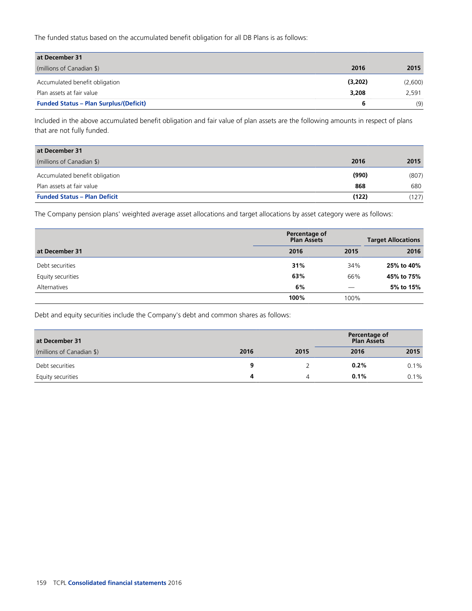The funded status based on the accumulated benefit obligation for all DB Plans is as follows:

| at December 31                                |         |         |
|-----------------------------------------------|---------|---------|
| (millions of Canadian \$)                     | 2016    | 2015    |
| Accumulated benefit obligation                | (3,202) | (2,600) |
| Plan assets at fair value                     | 3,208   | 2,591   |
| <b>Funded Status - Plan Surplus/(Deficit)</b> |         | (9)     |

Included in the above accumulated benefit obligation and fair value of plan assets are the following amounts in respect of plans that are not fully funded.

| at December 31                      |       |       |
|-------------------------------------|-------|-------|
| (millions of Canadian \$)           | 2016  | 2015  |
| Accumulated benefit obligation      | (990) | (807) |
| Plan assets at fair value           | 868   | 680   |
| <b>Funded Status - Plan Deficit</b> | (122) | (127) |

The Company pension plans' weighted average asset allocations and target allocations by asset category were as follows:

|                   |      | Percentage of<br><b>Plan Assets</b> |            |  |  |
|-------------------|------|-------------------------------------|------------|--|--|
| at December 31    | 2016 | 2015                                | 2016       |  |  |
| Debt securities   | 31%  | 34%                                 | 25% to 40% |  |  |
| Equity securities | 63%  | 66%                                 | 45% to 75% |  |  |
| Alternatives      | 6%   |                                     | 5% to 15%  |  |  |
|                   | 100% | 100%                                |            |  |  |

Debt and equity securities include the Company's debt and common shares as follows:

| at December 31            |      |      | Percentage of<br><b>Plan Assets</b> |         |
|---------------------------|------|------|-------------------------------------|---------|
| (millions of Canadian \$) | 2016 | 2015 | 2016                                | 2015    |
| Debt securities           | a    |      | 0.2%                                | $0.1\%$ |
| Equity securities         | 4    | 4    | 0.1%                                | 0.1%    |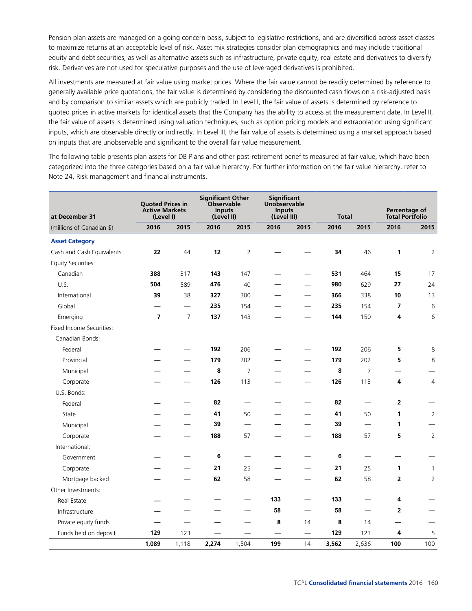Pension plan assets are managed on a going concern basis, subject to legislative restrictions, and are diversified across asset classes to maximize returns at an acceptable level of risk. Asset mix strategies consider plan demographics and may include traditional equity and debt securities, as well as alternative assets such as infrastructure, private equity, real estate and derivatives to diversify risk. Derivatives are not used for speculative purposes and the use of leveraged derivatives is prohibited.

All investments are measured at fair value using market prices. Where the fair value cannot be readily determined by reference to generally available price quotations, the fair value is determined by considering the discounted cash flows on a risk-adjusted basis and by comparison to similar assets which are publicly traded. In Level I, the fair value of assets is determined by reference to quoted prices in active markets for identical assets that the Company has the ability to access at the measurement date. In Level II, the fair value of assets is determined using valuation techniques, such as option pricing models and extrapolation using significant inputs, which are observable directly or indirectly. In Level III, the fair value of assets is determined using a market approach based on inputs that are unobservable and significant to the overall fair value measurement.

The following table presents plan assets for DB Plans and other post-retirement benefits measured at fair value, which have been categorized into the three categories based on a fair value hierarchy. For further information on the fair value hierarchy, refer to Note 24, Risk management and financial instruments.

| at December 31            | <b>Quoted Prices in</b><br><b>Active Markets</b><br>(Level I) |                          | <b>Significant Other</b><br><b>Observable</b><br><b>Inputs</b><br>(Level II) |                | Significant<br>Unobservable<br><b>Inputs</b><br>(Level III) |                          | <b>Total</b> |       | Percentage of<br><b>Total Portfolio</b> |                |
|---------------------------|---------------------------------------------------------------|--------------------------|------------------------------------------------------------------------------|----------------|-------------------------------------------------------------|--------------------------|--------------|-------|-----------------------------------------|----------------|
| (millions of Canadian \$) | 2016                                                          | 2015                     | 2016                                                                         | 2015           | 2016                                                        | 2015                     | 2016         | 2015  | 2016                                    | 2015           |
| <b>Asset Category</b>     |                                                               |                          |                                                                              |                |                                                             |                          |              |       |                                         |                |
| Cash and Cash Equivalents | 22                                                            | 44                       | 12                                                                           | $\overline{2}$ |                                                             |                          | 34           | 46    | 1                                       | $\overline{2}$ |
| Equity Securities:        |                                                               |                          |                                                                              |                |                                                             |                          |              |       |                                         |                |
| Canadian                  | 388                                                           | 317                      | 143                                                                          | 147            |                                                             |                          | 531          | 464   | 15                                      | 17             |
| U.S.                      | 504                                                           | 589                      | 476                                                                          | 40             |                                                             |                          | 980          | 629   | 27                                      | 24             |
| International             | 39                                                            | 38                       | 327                                                                          | 300            |                                                             |                          | 366          | 338   | 10                                      | 13             |
| Global                    |                                                               | $\overline{\phantom{0}}$ | 235                                                                          | 154            |                                                             |                          | 235          | 154   | $\overline{ }$                          | 6              |
| Emerging                  | 7                                                             | $\overline{7}$           | 137                                                                          | 143            |                                                             |                          | 144          | 150   | 4                                       | 6              |
| Fixed Income Securities:  |                                                               |                          |                                                                              |                |                                                             |                          |              |       |                                         |                |
| Canadian Bonds:           |                                                               |                          |                                                                              |                |                                                             |                          |              |       |                                         |                |
| Federal                   |                                                               |                          | 192                                                                          | 206            |                                                             |                          | 192          | 206   | 5                                       | 8              |
| Provincial                |                                                               |                          | 179                                                                          | 202            |                                                             |                          | 179          | 202   | 5                                       | 8              |
| Municipal                 |                                                               |                          | 8                                                                            | $\overline{7}$ |                                                             |                          | 8            | 7     |                                         |                |
| Corporate                 |                                                               |                          | 126                                                                          | 113            |                                                             | $\overline{\phantom{0}}$ | 126          | 113   | 4                                       | $\overline{4}$ |
| U.S. Bonds:               |                                                               |                          |                                                                              |                |                                                             |                          |              |       |                                         |                |
| Federal                   |                                                               |                          | 82                                                                           |                |                                                             |                          | 82           |       | $\mathbf 2$                             |                |
| State                     |                                                               |                          | 41                                                                           | 50             |                                                             |                          | 41           | 50    | 1                                       | 2              |
| Municipal                 |                                                               |                          | 39                                                                           |                |                                                             |                          | 39           |       | 1                                       |                |
| Corporate                 |                                                               |                          | 188                                                                          | 57             |                                                             |                          | 188          | 57    | 5                                       | $\overline{2}$ |
| International:            |                                                               |                          |                                                                              |                |                                                             |                          |              |       |                                         |                |
| Government                |                                                               |                          | 6                                                                            |                |                                                             |                          | 6            |       |                                         |                |
| Corporate                 |                                                               |                          | 21                                                                           | 25             |                                                             | $\overline{\phantom{0}}$ | 21           | 25    | 1                                       | $\mathbf{1}$   |
| Mortgage backed           |                                                               |                          | 62                                                                           | 58             |                                                             | $\overline{\phantom{0}}$ | 62           | 58    | $\mathbf{2}$                            | $\overline{2}$ |
| Other Investments:        |                                                               |                          |                                                                              |                |                                                             |                          |              |       |                                         |                |
| Real Estate               |                                                               |                          |                                                                              |                | 133                                                         |                          | 133          |       | 4                                       |                |
| Infrastructure            |                                                               |                          |                                                                              |                | 58                                                          |                          | 58           |       | $\mathbf 2$                             |                |
| Private equity funds      |                                                               |                          |                                                                              |                | 8                                                           | 14                       | 8            | 14    |                                         |                |
| Funds held on deposit     | 129                                                           | 123                      |                                                                              |                |                                                             |                          | 129          | 123   | 4                                       | 5              |
|                           | 1,089                                                         | 1.118                    | 2,274                                                                        | 1,504          | 199                                                         | 14                       | 3.562        | 2.636 | 100                                     | 100            |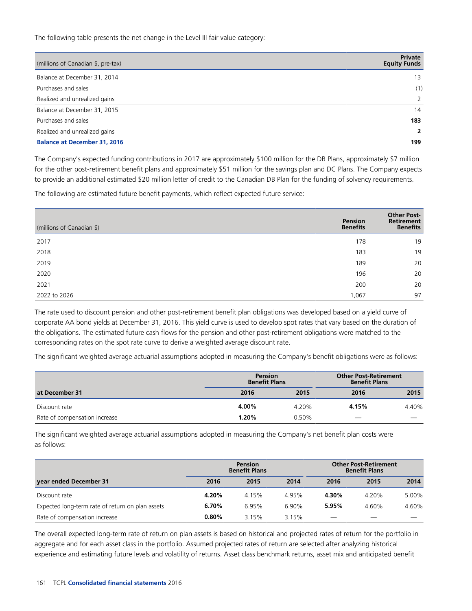The following table presents the net change in the Level III fair value category:

| (millions of Canadian \$, pre-tax)  | Private<br><b>Equity Funds</b> |
|-------------------------------------|--------------------------------|
| Balance at December 31, 2014        | 13                             |
| Purchases and sales                 | (1)                            |
| Realized and unrealized gains       | 2                              |
| Balance at December 31, 2015        | 14                             |
| Purchases and sales                 | 183                            |
| Realized and unrealized gains       | $\overline{2}$                 |
| <b>Balance at December 31, 2016</b> | 199                            |

The Company's expected funding contributions in 2017 are approximately \$100 million for the DB Plans, approximately \$7 million for the other post-retirement benefit plans and approximately \$51 million for the savings plan and DC Plans. The Company expects to provide an additional estimated \$20 million letter of credit to the Canadian DB Plan for the funding of solvency requirements.

The following are estimated future benefit payments, which reflect expected future service:

| (millions of Canadian \$) | Pension<br><b>Benefits</b> | <b>Other Post-</b><br>Retirement<br><b>Benefits</b> |
|---------------------------|----------------------------|-----------------------------------------------------|
| 2017                      | 178                        | 19                                                  |
| 2018                      | 183                        | 19                                                  |
| 2019                      | 189                        | 20                                                  |
| 2020                      | 196                        | 20                                                  |
| 2021                      | 200                        | 20                                                  |
| 2022 to 2026              | 1,067                      | 97                                                  |

The rate used to discount pension and other post-retirement benefit plan obligations was developed based on a yield curve of corporate AA bond yields at December 31, 2016. This yield curve is used to develop spot rates that vary based on the duration of the obligations. The estimated future cash flows for the pension and other post-retirement obligations were matched to the corresponding rates on the spot rate curve to derive a weighted average discount rate.

The significant weighted average actuarial assumptions adopted in measuring the Company's benefit obligations were as follows:

|                               | <b>Pension</b><br><b>Benefit Plans</b> | <b>Other Post-Retirement</b><br><b>Benefit Plans</b> |                          |       |
|-------------------------------|----------------------------------------|------------------------------------------------------|--------------------------|-------|
| at December 31                | 2016                                   | 2015                                                 | 2016                     | 2015  |
| Discount rate                 | 4.00%                                  | 4.20%                                                | 4.15%                    | 4.40% |
| Rate of compensation increase | 1.20%                                  | $0.50\%$                                             | $\overline{\phantom{a}}$ |       |

The significant weighted average actuarial assumptions adopted in measuring the Company's net benefit plan costs were as follows:

|                                                  | <b>Pension</b><br><b>Benefit Plans</b> |       |       |                          | <b>Other Post-Retirement</b><br><b>Benefit Plans</b> |       |
|--------------------------------------------------|----------------------------------------|-------|-------|--------------------------|------------------------------------------------------|-------|
| year ended December 31                           | 2016                                   | 2015  | 2014  | 2016                     | 2015                                                 | 2014  |
| Discount rate                                    | 4.20%                                  | 4.15% | 4.95% | 4.30%                    | 4.20%                                                | 5.00% |
| Expected long-term rate of return on plan assets | 6.70%                                  | 6.95% | 6.90% | 5.95%                    | 4.60%                                                | 4.60% |
| Rate of compensation increase                    | $0.80\%$                               | 3.15% | 3.15% | $\overline{\phantom{a}}$ |                                                      |       |

The overall expected long-term rate of return on plan assets is based on historical and projected rates of return for the portfolio in aggregate and for each asset class in the portfolio. Assumed projected rates of return are selected after analyzing historical experience and estimating future levels and volatility of returns. Asset class benchmark returns, asset mix and anticipated benefit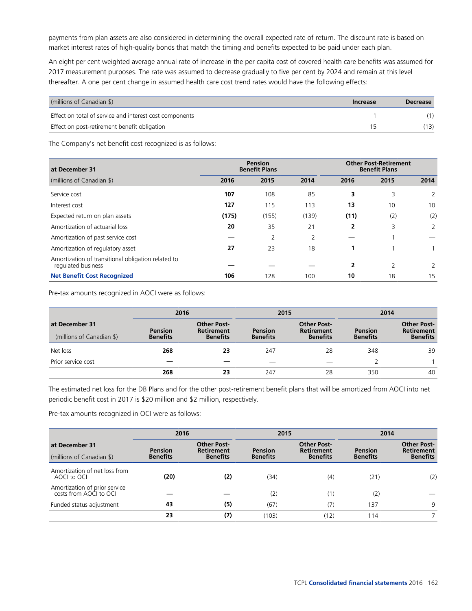payments from plan assets are also considered in determining the overall expected rate of return. The discount rate is based on market interest rates of high-quality bonds that match the timing and benefits expected to be paid under each plan.

An eight per cent weighted average annual rate of increase in the per capita cost of covered health care benefits was assumed for 2017 measurement purposes. The rate was assumed to decrease gradually to five per cent by 2024 and remain at this level thereafter. A one per cent change in assumed health care cost trend rates would have the following effects:

| (millions of Canadian \$)                               | Increase | <b>Decrease</b> |
|---------------------------------------------------------|----------|-----------------|
| Effect on total of service and interest cost components |          |                 |
| Effect on post-retirement benefit obligation            |          | (13)            |

The Company's net benefit cost recognized is as follows:

| at December 31                                                           | <b>Pension</b><br><b>Benefit Plans</b> |                |                | <b>Other Post-Retirement</b><br><b>Benefit Plans</b> |      |                |
|--------------------------------------------------------------------------|----------------------------------------|----------------|----------------|------------------------------------------------------|------|----------------|
| (millions of Canadian \$)                                                | 2016                                   | 2015           | 2014           | 2016                                                 | 2015 | 2014           |
| Service cost                                                             | 107                                    | 108            | 85             | 3                                                    | 3    | 2              |
| Interest cost                                                            | 127                                    | 115            | 113            | 13                                                   | 10   | 10             |
| Expected return on plan assets                                           | (175)                                  | (155)          | (139)          | (11)                                                 | (2)  | (2)            |
| Amortization of actuarial loss                                           | 20                                     | 35             | 21             | 2                                                    | 3    | $\overline{2}$ |
| Amortization of past service cost                                        |                                        | $\overline{2}$ | $\overline{2}$ |                                                      |      |                |
| Amortization of regulatory asset                                         | 27                                     | 23             | 18             |                                                      |      |                |
| Amortization of transitional obligation related to<br>regulated business |                                        |                |                | 2                                                    | 2    | 2              |
| <b>Net Benefit Cost Recognized</b>                                       | 106                                    | 128            | 100            | 10                                                   | 18   | 15             |

Pre-tax amounts recognized in AOCI were as follows:

| 2016                                        |                                   |                                                            | 2015                              | 2014                                                |                                   |                                                            |
|---------------------------------------------|-----------------------------------|------------------------------------------------------------|-----------------------------------|-----------------------------------------------------|-----------------------------------|------------------------------------------------------------|
| at December 31<br>(millions of Canadian \$) | <b>Pension</b><br><b>Benefits</b> | <b>Other Post-</b><br><b>Retirement</b><br><b>Benefits</b> | <b>Pension</b><br><b>Benefits</b> | <b>Other Post-</b><br>Retirement<br><b>Benefits</b> | <b>Pension</b><br><b>Benefits</b> | <b>Other Post-</b><br><b>Retirement</b><br><b>Benefits</b> |
| Net loss                                    | 268                               | 23                                                         | 247                               | 28                                                  | 348                               | 39                                                         |
| Prior service cost                          |                                   |                                                            |                                   |                                                     |                                   |                                                            |
|                                             | 268                               | 23                                                         | 247                               | 28                                                  | 350                               | 40                                                         |

The estimated net loss for the DB Plans and for the other post-retirement benefit plans that will be amortized from AOCI into net periodic benefit cost in 2017 is \$20 million and \$2 million, respectively.

Pre-tax amounts recognized in OCI were as follows:

| 2016                                                    |                 |                                  | 2015            |                                  | 2014            |                                  |
|---------------------------------------------------------|-----------------|----------------------------------|-----------------|----------------------------------|-----------------|----------------------------------|
| at December 31                                          | <b>Pension</b>  | <b>Other Post-</b><br>Retirement | <b>Pension</b>  | <b>Other Post-</b><br>Retirement | <b>Pension</b>  | <b>Other Post-</b><br>Retirement |
| (millions of Canadian \$)                               | <b>Benefits</b> | <b>Benefits</b>                  | <b>Benefits</b> | <b>Benefits</b>                  | <b>Benefits</b> | <b>Benefits</b>                  |
| Amortization of net loss from<br>AOCI to OCI            | (20)            | (2)                              | (34)            | (4)                              | (21)            | (2)                              |
| Amortization of prior service<br>costs from AOCI to OCI |                 |                                  | (2)             | (1)                              | (2)             |                                  |
| Funded status adjustment                                | 43              | (5)                              | (67)            | (7)                              | 137             | 9                                |
|                                                         | 23              | (7)                              | (103)           | (12)                             | 114             |                                  |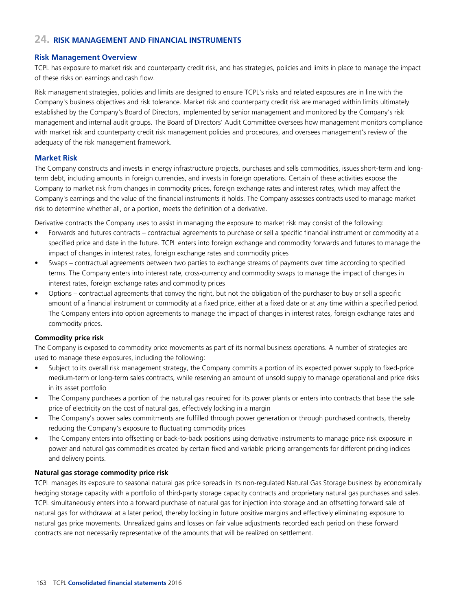## **24. RISK MANAGEMENT AND FINANCIAL INSTRUMENTS**

#### **Risk Management Overview**

TCPL has exposure to market risk and counterparty credit risk, and has strategies, policies and limits in place to manage the impact of these risks on earnings and cash flow.

Risk management strategies, policies and limits are designed to ensure TCPL's risks and related exposures are in line with the Company's business objectives and risk tolerance. Market risk and counterparty credit risk are managed within limits ultimately established by the Company's Board of Directors, implemented by senior management and monitored by the Company's risk management and internal audit groups. The Board of Directors' Audit Committee oversees how management monitors compliance with market risk and counterparty credit risk management policies and procedures, and oversees management's review of the adequacy of the risk management framework.

#### **Market Risk**

The Company constructs and invests in energy infrastructure projects, purchases and sells commodities, issues short-term and longterm debt, including amounts in foreign currencies, and invests in foreign operations. Certain of these activities expose the Company to market risk from changes in commodity prices, foreign exchange rates and interest rates, which may affect the Company's earnings and the value of the financial instruments it holds. The Company assesses contracts used to manage market risk to determine whether all, or a portion, meets the definition of a derivative.

Derivative contracts the Company uses to assist in managing the exposure to market risk may consist of the following:

- Forwards and futures contracts contractual agreements to purchase or sell a specific financial instrument or commodity at a specified price and date in the future. TCPL enters into foreign exchange and commodity forwards and futures to manage the impact of changes in interest rates, foreign exchange rates and commodity prices
- Swaps contractual agreements between two parties to exchange streams of payments over time according to specified terms. The Company enters into interest rate, cross-currency and commodity swaps to manage the impact of changes in interest rates, foreign exchange rates and commodity prices
- Options contractual agreements that convey the right, but not the obligation of the purchaser to buy or sell a specific amount of a financial instrument or commodity at a fixed price, either at a fixed date or at any time within a specified period. The Company enters into option agreements to manage the impact of changes in interest rates, foreign exchange rates and commodity prices.

#### **Commodity price risk**

The Company is exposed to commodity price movements as part of its normal business operations. A number of strategies are used to manage these exposures, including the following:

- Subject to its overall risk management strategy, the Company commits a portion of its expected power supply to fixed-price medium-term or long-term sales contracts, while reserving an amount of unsold supply to manage operational and price risks in its asset portfolio
- The Company purchases a portion of the natural gas required for its power plants or enters into contracts that base the sale price of electricity on the cost of natural gas, effectively locking in a margin
- The Company's power sales commitments are fulfilled through power generation or through purchased contracts, thereby reducing the Company's exposure to fluctuating commodity prices
- The Company enters into offsetting or back-to-back positions using derivative instruments to manage price risk exposure in power and natural gas commodities created by certain fixed and variable pricing arrangements for different pricing indices and delivery points.

#### **Natural gas storage commodity price risk**

TCPL manages its exposure to seasonal natural gas price spreads in its non-regulated Natural Gas Storage business by economically hedging storage capacity with a portfolio of third-party storage capacity contracts and proprietary natural gas purchases and sales. TCPL simultaneously enters into a forward purchase of natural gas for injection into storage and an offsetting forward sale of natural gas for withdrawal at a later period, thereby locking in future positive margins and effectively eliminating exposure to natural gas price movements. Unrealized gains and losses on fair value adjustments recorded each period on these forward contracts are not necessarily representative of the amounts that will be realized on settlement.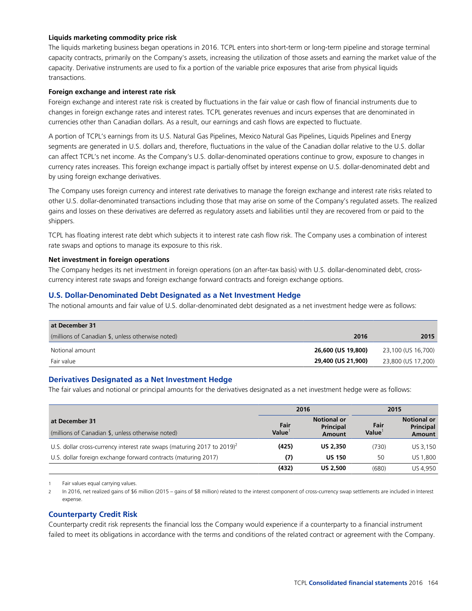#### **Liquids marketing commodity price risk**

The liquids marketing business began operations in 2016. TCPL enters into short-term or long-term pipeline and storage terminal capacity contracts, primarily on the Company's assets, increasing the utilization of those assets and earning the market value of the capacity. Derivative instruments are used to fix a portion of the variable price exposures that arise from physical liquids transactions.

#### **Foreign exchange and interest rate risk**

Foreign exchange and interest rate risk is created by fluctuations in the fair value or cash flow of financial instruments due to changes in foreign exchange rates and interest rates. TCPL generates revenues and incurs expenses that are denominated in currencies other than Canadian dollars. As a result, our earnings and cash flows are expected to fluctuate.

A portion of TCPL's earnings from its U.S. Natural Gas Pipelines, Mexico Natural Gas Pipelines, Liquids Pipelines and Energy segments are generated in U.S. dollars and, therefore, fluctuations in the value of the Canadian dollar relative to the U.S. dollar can affect TCPL's net income. As the Company's U.S. dollar-denominated operations continue to grow, exposure to changes in currency rates increases. This foreign exchange impact is partially offset by interest expense on U.S. dollar-denominated debt and by using foreign exchange derivatives.

The Company uses foreign currency and interest rate derivatives to manage the foreign exchange and interest rate risks related to other U.S. dollar-denominated transactions including those that may arise on some of the Company's regulated assets. The realized gains and losses on these derivatives are deferred as regulatory assets and liabilities until they are recovered from or paid to the shippers.

TCPL has floating interest rate debt which subjects it to interest rate cash flow risk. The Company uses a combination of interest rate swaps and options to manage its exposure to this risk.

#### **Net investment in foreign operations**

The Company hedges its net investment in foreign operations (on an after-tax basis) with U.S. dollar-denominated debt, crosscurrency interest rate swaps and foreign exchange forward contracts and foreign exchange options.

#### **U.S. Dollar-Denominated Debt Designated as a Net Investment Hedge**

The notional amounts and fair value of U.S. dollar-denominated debt designated as a net investment hedge were as follows:

| at December 31                                    |                    |                    |
|---------------------------------------------------|--------------------|--------------------|
| (millions of Canadian \$, unless otherwise noted) | 2016               | 2015               |
| Notional amount                                   | 26,600 (US 19,800) | 23,100 (US 16,700) |
| Fair value                                        | 29,400 (US 21,900) | 23,800 (US 17,200) |

#### **Derivatives Designated as a Net Investment Hedge**

The fair values and notional or principal amounts for the derivatives designated as a net investment hedge were as follows:

|                                                                             |                    | 2016                            | 2015               |                                 |  |
|-----------------------------------------------------------------------------|--------------------|---------------------------------|--------------------|---------------------------------|--|
| at December 31                                                              | Fair               | <b>Notional or</b><br>Principal | Fair               | <b>Notional or</b><br>Principal |  |
| (millions of Canadian \$, unless otherwise noted)                           | Value <sup>1</sup> | <b>Amount</b>                   | Value <sup>1</sup> | Amount                          |  |
| U.S. dollar cross-currency interest rate swaps (maturing 2017 to 2019) $^2$ | (425)              | <b>US 2.350</b>                 | (730)              | US 3.150                        |  |
| U.S. dollar foreign exchange forward contracts (maturing 2017)              | (7)                | <b>US 150</b>                   | 50                 | US 1,800                        |  |
|                                                                             | (432)              | <b>US 2,500</b>                 | (680)              | US 4.950                        |  |

1 Fair values equal carrying values.

2 In 2016, net realized gains of \$6 million (2015 – gains of \$8 million) related to the interest component of cross-currency swap settlements are included in Interest expense.

#### **Counterparty Credit Risk**

Counterparty credit risk represents the financial loss the Company would experience if a counterparty to a financial instrument failed to meet its obligations in accordance with the terms and conditions of the related contract or agreement with the Company.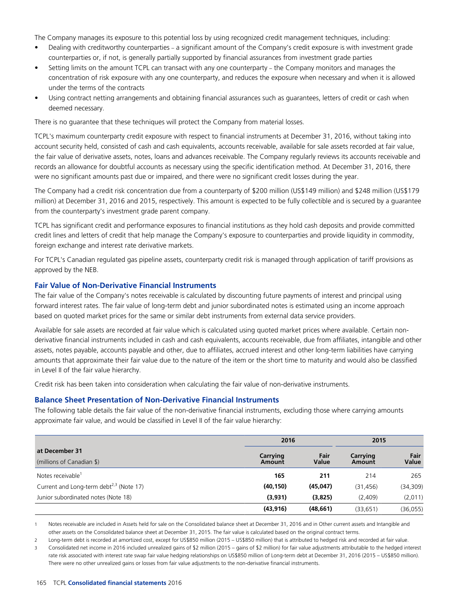The Company manages its exposure to this potential loss by using recognized credit management techniques, including:

- Dealing with creditworthy counterparties a significant amount of the Company's credit exposure is with investment grade counterparties or, if not, is generally partially supported by financial assurances from investment grade parties
- Setting limits on the amount TCPL can transact with any one counterparty the Company monitors and manages the concentration of risk exposure with any one counterparty, and reduces the exposure when necessary and when it is allowed under the terms of the contracts
- Using contract netting arrangements and obtaining financial assurances such as guarantees, letters of credit or cash when deemed necessary.

There is no guarantee that these techniques will protect the Company from material losses.

TCPL's maximum counterparty credit exposure with respect to financial instruments at December 31, 2016, without taking into account security held, consisted of cash and cash equivalents, accounts receivable, available for sale assets recorded at fair value, the fair value of derivative assets, notes, loans and advances receivable. The Company regularly reviews its accounts receivable and records an allowance for doubtful accounts as necessary using the specific identification method. At December 31, 2016, there were no significant amounts past due or impaired, and there were no significant credit losses during the year.

The Company had a credit risk concentration due from a counterparty of \$200 million (US\$149 million) and \$248 million (US\$179 million) at December 31, 2016 and 2015, respectively. This amount is expected to be fully collectible and is secured by a guarantee from the counterparty's investment grade parent company.

TCPL has significant credit and performance exposures to financial institutions as they hold cash deposits and provide committed credit lines and letters of credit that help manage the Company's exposure to counterparties and provide liquidity in commodity, foreign exchange and interest rate derivative markets.

For TCPL's Canadian regulated gas pipeline assets, counterparty credit risk is managed through application of tariff provisions as approved by the NEB.

#### **Fair Value of Non-Derivative Financial Instruments**

The fair value of the Company's notes receivable is calculated by discounting future payments of interest and principal using forward interest rates. The fair value of long-term debt and junior subordinated notes is estimated using an income approach based on quoted market prices for the same or similar debt instruments from external data service providers.

Available for sale assets are recorded at fair value which is calculated using quoted market prices where available. Certain nonderivative financial instruments included in cash and cash equivalents, accounts receivable, due from affiliates, intangible and other assets, notes payable, accounts payable and other, due to affiliates, accrued interest and other long-term liabilities have carrying amounts that approximate their fair value due to the nature of the item or the short time to maturity and would also be classified in Level II of the fair value hierarchy.

Credit risk has been taken into consideration when calculating the fair value of non-derivative instruments.

#### **Balance Sheet Presentation of Non-Derivative Financial Instruments**

The following table details the fair value of the non-derivative financial instruments, excluding those where carrying amounts approximate fair value, and would be classified in Level II of the fair value hierarchy:

|                                                     | 2016      |           |           |           |  |
|-----------------------------------------------------|-----------|-----------|-----------|-----------|--|
| at December 31                                      | Carrying  | Fair      | Carrying  | Fair      |  |
| (millions of Canadian \$)                           | Amount    | Value     | Amount    | Value     |  |
| Notes receivable <sup>1</sup>                       | 165       | 211       | 214       | 265       |  |
| Current and Long-term debt <sup>2,3</sup> (Note 17) | (40, 150) | (45, 047) | (31, 456) | (34, 309) |  |
| Junior subordinated notes (Note 18)                 | (3,931)   | (3,825)   | (2,409)   | (2,011)   |  |
|                                                     | (43, 916) | (48, 661) | (33, 651) | (36, 055) |  |

1 Notes receivable are included in Assets held for sale on the Consolidated balance sheet at December 31, 2016 and in Other current assets and Intangible and other assets on the Consolidated balance sheet at December 31, 2015. The fair value is calculated based on the original contract terms.

2 Long-term debt is recorded at amortized cost, except for US\$850 million (2015 – US\$850 million) that is attributed to hedged risk and recorded at fair value. 3 Consolidated net income in 2016 included unrealized gains of \$2 million (2015 – gains of \$2 million) for fair value adjustments attributable to the hedged interest rate risk associated with interest rate swap fair value hedging relationships on US\$850 million of Long-term debt at December 31, 2016 (2015 – US\$850 million). There were no other unrealized gains or losses from fair value adjustments to the non-derivative financial instruments.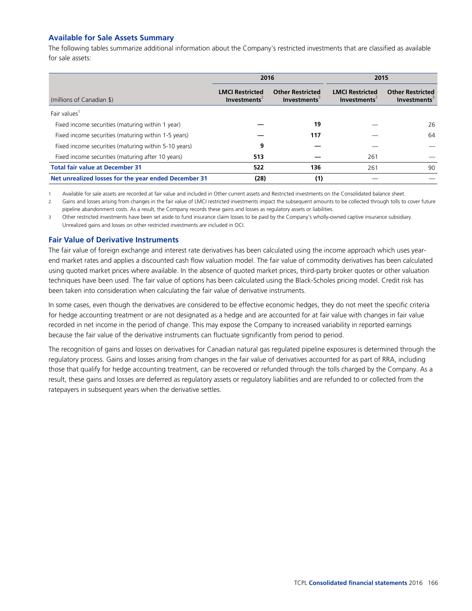#### **Available for Sale Assets Summary**

The following tables summarize additional information about the Company's restricted investments that are classified as available for sale assets:

|                                                      | 2016                                               |                                                            | 2015                                               |                                                            |  |
|------------------------------------------------------|----------------------------------------------------|------------------------------------------------------------|----------------------------------------------------|------------------------------------------------------------|--|
| (millions of Canadian \$)                            | <b>LMCI Restricted</b><br>Investments <sup>2</sup> | <b>Other Restricted</b><br><b>Investments</b> <sup>3</sup> | <b>LMCI Restricted</b><br>Investments <sup>2</sup> | <b>Other Restricted</b><br><b>Investments</b> <sup>3</sup> |  |
| Fair values <sup>1</sup>                             |                                                    |                                                            |                                                    |                                                            |  |
| Fixed income securities (maturing within 1 year)     |                                                    | 19                                                         |                                                    | 26                                                         |  |
| Fixed income securities (maturing within 1-5 years)  |                                                    | 117                                                        |                                                    | 64                                                         |  |
| Fixed income securities (maturing within 5-10 years) | 9                                                  |                                                            |                                                    |                                                            |  |
| Fixed income securities (maturing after 10 years)    | 513                                                |                                                            | 261                                                |                                                            |  |
| <b>Total fair value at December 31</b>               | 522                                                | 136                                                        | 261                                                | 90                                                         |  |
| Net unrealized losses for the year ended December 31 | (28)                                               | (1)                                                        |                                                    |                                                            |  |

1 Available for sale assets are recorded at fair value and included in Other current assets and Restricted investments on the Consolidated balance sheet.

2 Gains and losses arising from changes in the fair value of LMCI restricted investments impact the subsequent amounts to be collected through tolls to cover future pipeline abandonment costs. As a result, the Company records these gains and losses as regulatory assets or liabilities.

3 Other restricted investments have been set aside to fund insurance claim losses to be paid by the Company's wholly-owned captive insurance subsidiary. Unrealized gains and losses on other restricted investments are included in OCI.

#### **Fair Value of Derivative Instruments**

The fair value of foreign exchange and interest rate derivatives has been calculated using the income approach which uses yearend market rates and applies a discounted cash flow valuation model. The fair value of commodity derivatives has been calculated using quoted market prices where available. In the absence of quoted market prices, third-party broker quotes or other valuation techniques have been used. The fair value of options has been calculated using the Black-Scholes pricing model. Credit risk has been taken into consideration when calculating the fair value of derivative instruments.

In some cases, even though the derivatives are considered to be effective economic hedges, they do not meet the specific criteria for hedge accounting treatment or are not designated as a hedge and are accounted for at fair value with changes in fair value recorded in net income in the period of change. This may expose the Company to increased variability in reported earnings because the fair value of the derivative instruments can fluctuate significantly from period to period.

The recognition of gains and losses on derivatives for Canadian natural gas regulated pipeline exposures is determined through the regulatory process. Gains and losses arising from changes in the fair value of derivatives accounted for as part of RRA, including those that qualify for hedge accounting treatment, can be recovered or refunded through the tolls charged by the Company. As a result, these gains and losses are deferred as regulatory assets or regulatory liabilities and are refunded to or collected from the ratepayers in subsequent years when the derivative settles.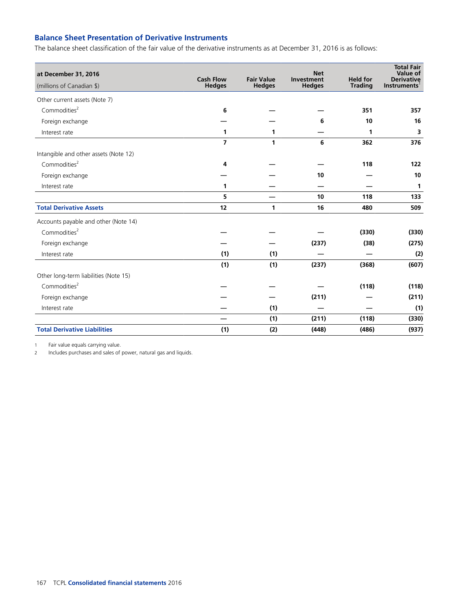### **Balance Sheet Presentation of Derivative Instruments**

The balance sheet classification of the fair value of the derivative instruments as at December 31, 2016 is as follows:

| at December 31, 2016                  |                                   |                                    | <b>Net</b>                  |                                   | <b>Total Fair</b><br>Value of           |
|---------------------------------------|-----------------------------------|------------------------------------|-----------------------------|-----------------------------------|-----------------------------------------|
| (millions of Canadian \$)             | <b>Cash Flow</b><br><b>Hedges</b> | <b>Fair Value</b><br><b>Hedges</b> | Investment<br><b>Hedges</b> | <b>Held for</b><br><b>Trading</b> | <b>Derivative</b><br><b>Instruments</b> |
| Other current assets (Note 7)         |                                   |                                    |                             |                                   |                                         |
| Commodities <sup>2</sup>              | 6                                 |                                    |                             | 351                               | 357                                     |
| Foreign exchange                      |                                   |                                    | 6                           | 10                                | 16                                      |
| Interest rate                         | 1                                 | 1                                  |                             | 1                                 | 3                                       |
|                                       | $\overline{7}$                    | 1                                  | 6                           | 362                               | 376                                     |
| Intangible and other assets (Note 12) |                                   |                                    |                             |                                   |                                         |
| Commodities <sup>2</sup>              | 4                                 |                                    |                             | 118                               | 122                                     |
| Foreign exchange                      |                                   |                                    | 10                          |                                   | 10                                      |
| Interest rate                         | 1                                 |                                    |                             |                                   | $\mathbf{1}$                            |
|                                       | 5                                 |                                    | 10                          | 118                               | 133                                     |
| <b>Total Derivative Assets</b>        | 12                                | 1                                  | 16                          | 480                               | 509                                     |
| Accounts payable and other (Note 14)  |                                   |                                    |                             |                                   |                                         |
| Commodities <sup>2</sup>              |                                   |                                    |                             | (330)                             | (330)                                   |
| Foreign exchange                      |                                   |                                    | (237)                       | (38)                              | (275)                                   |
| Interest rate                         | (1)                               | (1)                                |                             |                                   | (2)                                     |
|                                       | (1)                               | (1)                                | (237)                       | (368)                             | (607)                                   |
| Other long-term liabilities (Note 15) |                                   |                                    |                             |                                   |                                         |
| Commodities <sup>2</sup>              |                                   |                                    |                             | (118)                             | (118)                                   |
| Foreign exchange                      |                                   |                                    | (211)                       |                                   | (211)                                   |
| Interest rate                         |                                   | (1)                                |                             |                                   | (1)                                     |
|                                       |                                   | (1)                                | (211)                       | (118)                             | (330)                                   |
| <b>Total Derivative Liabilities</b>   | (1)                               | (2)                                | (448)                       | (486)                             | (937)                                   |

1 Fair value equals carrying value.

2 Includes purchases and sales of power, natural gas and liquids.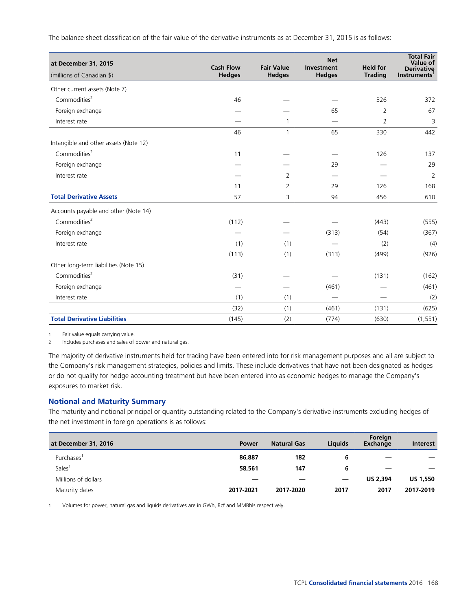The balance sheet classification of the fair value of the derivative instruments as at December 31, 2015 is as follows:

| at December 31, 2015                  | <b>Cash Flow</b> | <b>Fair Value</b> | <b>Net</b><br>Investment | <b>Held for</b> | <b>Total Fair</b><br>Value of<br><b>Derivative</b> |
|---------------------------------------|------------------|-------------------|--------------------------|-----------------|----------------------------------------------------|
| (millions of Canadian \$)             | <b>Hedges</b>    | <b>Hedges</b>     | <b>Hedges</b>            | <b>Trading</b>  | Instruments                                        |
| Other current assets (Note 7)         |                  |                   |                          |                 |                                                    |
| Commodities <sup>2</sup>              | 46               |                   |                          | 326             | 372                                                |
| Foreign exchange                      |                  |                   | 65                       | $\overline{2}$  | 67                                                 |
| Interest rate                         |                  | 1                 |                          | 2               | 3                                                  |
|                                       | 46               | $\mathbf{1}$      | 65                       | 330             | 442                                                |
| Intangible and other assets (Note 12) |                  |                   |                          |                 |                                                    |
| Commodities <sup>2</sup>              | 11               |                   |                          | 126             | 137                                                |
| Foreign exchange                      |                  |                   | 29                       |                 | 29                                                 |
| Interest rate                         |                  | 2                 |                          |                 | $\overline{2}$                                     |
|                                       | 11               | $\overline{2}$    | 29                       | 126             | 168                                                |
| <b>Total Derivative Assets</b>        | 57               | 3                 | 94                       | 456             | 610                                                |
| Accounts payable and other (Note 14)  |                  |                   |                          |                 |                                                    |
| Commodities <sup>2</sup>              | (112)            |                   |                          | (443)           | (555)                                              |
| Foreign exchange                      |                  |                   | (313)                    | (54)            | (367)                                              |
| Interest rate                         | (1)              | (1)               |                          | (2)             | (4)                                                |
|                                       | (113)            | (1)               | (313)                    | (499)           | (926)                                              |
| Other long-term liabilities (Note 15) |                  |                   |                          |                 |                                                    |
| Commodities <sup>2</sup>              | (31)             |                   |                          | (131)           | (162)                                              |
| Foreign exchange                      |                  |                   | (461)                    |                 | (461)                                              |
| Interest rate                         | (1)              | (1)               |                          |                 | (2)                                                |
|                                       | (32)             | (1)               | (461)                    | (131)           | (625)                                              |
| <b>Total Derivative Liabilities</b>   | (145)            | (2)               | (774)                    | (630)           | (1, 551)                                           |

1 Fair value equals carrying value.

2 Includes purchases and sales of power and natural gas.

The majority of derivative instruments held for trading have been entered into for risk management purposes and all are subject to the Company's risk management strategies, policies and limits. These include derivatives that have not been designated as hedges or do not qualify for hedge accounting treatment but have been entered into as economic hedges to manage the Company's exposures to market risk.

#### **Notional and Maturity Summary**

The maturity and notional principal or quantity outstanding related to the Company's derivative instruments excluding hedges of the net investment in foreign operations is as follows:

| at December 31, 2016   | Power     | <b>Natural Gas</b> | Liquids | Foreign<br><b>Exchange</b> | <b>Interest</b> |
|------------------------|-----------|--------------------|---------|----------------------------|-----------------|
| Purchases <sup>1</sup> | 86,887    | 182                |         |                            |                 |
| <b>Sales</b>           | 58,561    | 147                | 6       | $\overline{\phantom{0}}$   |                 |
| Millions of dollars    | _         |                    |         | <b>US 2,394</b>            | <b>US 1,550</b> |
| Maturity dates         | 2017-2021 | 2017-2020          | 2017    | 2017                       | 2017-2019       |

1 Volumes for power, natural gas and liquids derivatives are in GWh, Bcf and MMBbls respectively.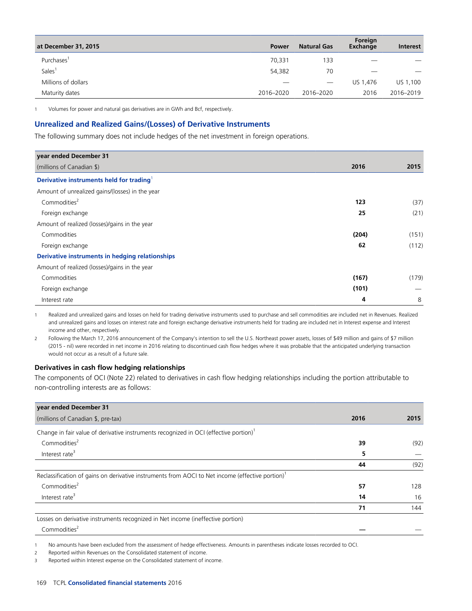| at December 31, 2015   | <b>Power</b> | <b>Natural Gas</b>       | Foreign<br>Exchange | <b>Interest</b> |
|------------------------|--------------|--------------------------|---------------------|-----------------|
| Purchases <sup>1</sup> | 70,331       | 133                      |                     |                 |
| Sales <sup>1</sup>     | 54,382       | 70                       |                     |                 |
| Millions of dollars    |              | $\overline{\phantom{a}}$ | US 1.476            | US 1,100        |
| Maturity dates         | 2016-2020    | 2016-2020                | 2016                | 2016-2019       |

1 Volumes for power and natural gas derivatives are in GWh and Bcf, respectively.

#### **Unrealized and Realized Gains/(Losses) of Derivative Instruments**

The following summary does not include hedges of the net investment in foreign operations.

| year ended December 31                               |       |       |
|------------------------------------------------------|-------|-------|
| (millions of Canadian \$)                            | 2016  | 2015  |
| Derivative instruments held for trading <sup>1</sup> |       |       |
| Amount of unrealized gains/(losses) in the year      |       |       |
| Commodities <sup>2</sup>                             | 123   | (37)  |
| Foreign exchange                                     | 25    | (21)  |
| Amount of realized (losses)/gains in the year        |       |       |
| Commodities                                          | (204) | (151) |
| Foreign exchange                                     | 62    | (112) |
| Derivative instruments in hedging relationships      |       |       |
| Amount of realized (losses)/gains in the year        |       |       |
| Commodities                                          | (167) | (179) |
| Foreign exchange                                     | (101) |       |
| Interest rate                                        | 4     | 8     |

1 Realized and unrealized gains and losses on held for trading derivative instruments used to purchase and sell commodities are included net in Revenues. Realized and unrealized gains and losses on interest rate and foreign exchange derivative instruments held for trading are included net in Interest expense and Interest income and other, respectively.

2 Following the March 17, 2016 announcement of the Company's intention to sell the U.S. Northeast power assets, losses of \$49 million and gains of \$7 million (2015 - nil) were recorded in net income in 2016 relating to discontinued cash flow hedges where it was probable that the anticipated underlying transaction would not occur as a result of a future sale.

#### **Derivatives in cash flow hedging relationships**

The components of OCI (Note 22) related to derivatives in cash flow hedging relationships including the portion attributable to non-controlling interests are as follows:

| year ended December 31                                                                                       |      |      |
|--------------------------------------------------------------------------------------------------------------|------|------|
| (millions of Canadian \$, pre-tax)                                                                           | 2016 | 2015 |
| Change in fair value of derivative instruments recognized in OCI (effective portion) <sup>1</sup>            |      |      |
| Commodities <sup>2</sup>                                                                                     | 39   | (92) |
| Interest rate <sup>3</sup>                                                                                   | 5    |      |
|                                                                                                              | 44   | (92) |
| Reclassification of gains on derivative instruments from AOCI to Net income (effective portion) <sup>1</sup> |      |      |
| Commodities <sup>2</sup>                                                                                     | 57   | 128  |
| Interest rate <sup>3</sup>                                                                                   | 14   | 16   |
|                                                                                                              | 71   | 144  |
| Losses on derivative instruments recognized in Net income (ineffective portion)                              |      |      |
| Commodities <sup>2</sup>                                                                                     |      |      |

1 No amounts have been excluded from the assessment of hedge effectiveness. Amounts in parentheses indicate losses recorded to OCI.

2 Reported within Revenues on the Consolidated statement of income.

3 Reported within Interest expense on the Consolidated statement of income.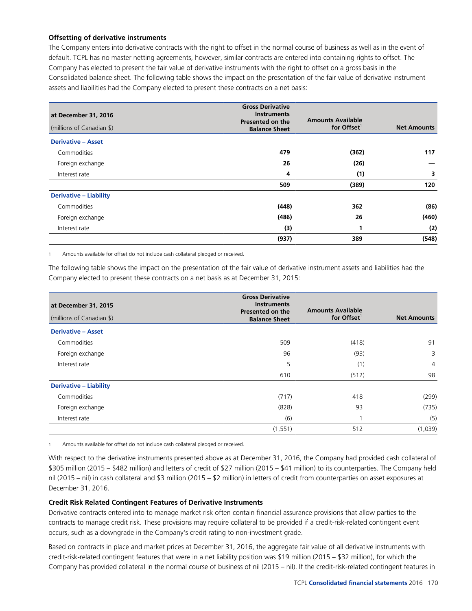#### **Offsetting of derivative instruments**

The Company enters into derivative contracts with the right to offset in the normal course of business as well as in the event of default. TCPL has no master netting agreements, however, similar contracts are entered into containing rights to offset. The Company has elected to present the fair value of derivative instruments with the right to offset on a gross basis in the Consolidated balance sheet. The following table shows the impact on the presentation of the fair value of derivative instrument assets and liabilities had the Company elected to present these contracts on a net basis:

| at December 31, 2016          | <b>Gross Derivative</b><br><b>Instruments</b> |                                                     |                    |
|-------------------------------|-----------------------------------------------|-----------------------------------------------------|--------------------|
| (millions of Canadian \$)     | Presented on the                              | <b>Amounts Available</b><br>for Offset <sup>1</sup> | <b>Net Amounts</b> |
|                               | <b>Balance Sheet</b>                          |                                                     |                    |
| <b>Derivative - Asset</b>     |                                               |                                                     |                    |
| Commodities                   | 479                                           | (362)                                               | 117                |
| Foreign exchange              | 26                                            | (26)                                                |                    |
| Interest rate                 | 4                                             | (1)                                                 | 3                  |
|                               | 509                                           | (389)                                               | 120                |
| <b>Derivative - Liability</b> |                                               |                                                     |                    |
| Commodities                   | (448)                                         | 362                                                 | (86)               |
| Foreign exchange              | (486)                                         | 26                                                  | (460)              |
| Interest rate                 | (3)                                           |                                                     | (2)                |
|                               | (937)                                         | 389                                                 | (548)              |

Amounts available for offset do not include cash collateral pledged or received.

The following table shows the impact on the presentation of the fair value of derivative instrument assets and liabilities had the Company elected to present these contracts on a net basis as at December 31, 2015:

| at December 31, 2015          | <b>Gross Derivative</b><br><b>Instruments</b>   |                                                     |                    |
|-------------------------------|-------------------------------------------------|-----------------------------------------------------|--------------------|
| (millions of Canadian \$)     | <b>Presented on the</b><br><b>Balance Sheet</b> | <b>Amounts Available</b><br>for Offset <sup>1</sup> | <b>Net Amounts</b> |
| <b>Derivative - Asset</b>     |                                                 |                                                     |                    |
| Commodities                   | 509                                             | (418)                                               | 91                 |
| Foreign exchange              | 96                                              | (93)                                                | 3                  |
| Interest rate                 | 5                                               | (1)                                                 | $\overline{4}$     |
|                               | 610                                             | (512)                                               | 98                 |
| <b>Derivative - Liability</b> |                                                 |                                                     |                    |
| Commodities                   | (717)                                           | 418                                                 | (299)              |
| Foreign exchange              | (828)                                           | 93                                                  | (735)              |
| Interest rate                 | (6)                                             |                                                     | (5)                |
|                               | (1, 551)                                        | 512                                                 | (1,039)            |

1 Amounts available for offset do not include cash collateral pledged or received.

With respect to the derivative instruments presented above as at December 31, 2016, the Company had provided cash collateral of \$305 million (2015 – \$482 million) and letters of credit of \$27 million (2015 – \$41 million) to its counterparties. The Company held nil (2015 – nil) in cash collateral and \$3 million (2015 – \$2 million) in letters of credit from counterparties on asset exposures at December 31, 2016.

#### **Credit Risk Related Contingent Features of Derivative Instruments**

Derivative contracts entered into to manage market risk often contain financial assurance provisions that allow parties to the contracts to manage credit risk. These provisions may require collateral to be provided if a credit-risk-related contingent event occurs, such as a downgrade in the Company's credit rating to non-investment grade.

Based on contracts in place and market prices at December 31, 2016, the aggregate fair value of all derivative instruments with credit-risk-related contingent features that were in a net liability position was \$19 million (2015 – \$32 million), for which the Company has provided collateral in the normal course of business of nil (2015 – nil). If the credit-risk-related contingent features in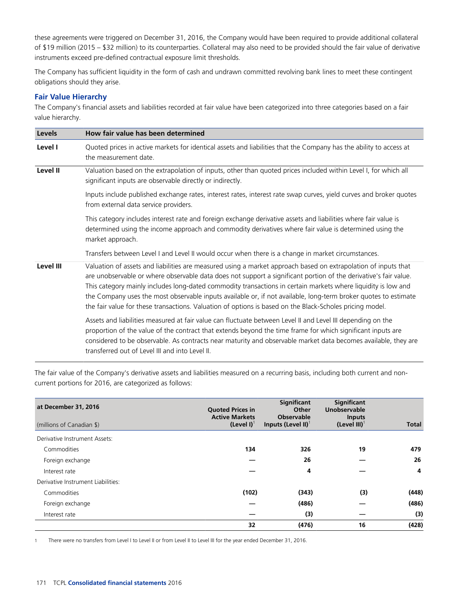these agreements were triggered on December 31, 2016, the Company would have been required to provide additional collateral of \$19 million (2015 – \$32 million) to its counterparties. Collateral may also need to be provided should the fair value of derivative instruments exceed pre-defined contractual exposure limit thresholds.

The Company has sufficient liquidity in the form of cash and undrawn committed revolving bank lines to meet these contingent obligations should they arise.

### **Fair Value Hierarchy**

The Company's financial assets and liabilities recorded at fair value have been categorized into three categories based on a fair value hierarchy.

| Levels    | How fair value has been determined                                                                                                                                                                                                                                                                                                                                                                                                                                                                                                                                                 |
|-----------|------------------------------------------------------------------------------------------------------------------------------------------------------------------------------------------------------------------------------------------------------------------------------------------------------------------------------------------------------------------------------------------------------------------------------------------------------------------------------------------------------------------------------------------------------------------------------------|
| Level I   | Quoted prices in active markets for identical assets and liabilities that the Company has the ability to access at<br>the measurement date.                                                                                                                                                                                                                                                                                                                                                                                                                                        |
| Level II  | Valuation based on the extrapolation of inputs, other than quoted prices included within Level I, for which all<br>significant inputs are observable directly or indirectly.                                                                                                                                                                                                                                                                                                                                                                                                       |
|           | Inputs include published exchange rates, interest rates, interest rate swap curves, yield curves and broker quotes<br>from external data service providers.                                                                                                                                                                                                                                                                                                                                                                                                                        |
|           | This category includes interest rate and foreign exchange derivative assets and liabilities where fair value is<br>determined using the income approach and commodity derivatives where fair value is determined using the<br>market approach.                                                                                                                                                                                                                                                                                                                                     |
|           | Transfers between Level I and Level II would occur when there is a change in market circumstances.                                                                                                                                                                                                                                                                                                                                                                                                                                                                                 |
| Level III | Valuation of assets and liabilities are measured using a market approach based on extrapolation of inputs that<br>are unobservable or where observable data does not support a significant portion of the derivative's fair value.<br>This category mainly includes long-dated commodity transactions in certain markets where liquidity is low and<br>the Company uses the most observable inputs available or, if not available, long-term broker quotes to estimate<br>the fair value for these transactions. Valuation of options is based on the Black-Scholes pricing model. |
|           | Assets and liabilities measured at fair value can fluctuate between Level II and Level III depending on the<br>proportion of the value of the contract that extends beyond the time frame for which significant inputs are<br>considered to be observable. As contracts near maturity and observable market data becomes available, they are<br>transferred out of Level III and into Level II.                                                                                                                                                                                    |

The fair value of the Company's derivative assets and liabilities measured on a recurring basis, including both current and noncurrent portions for 2016, are categorized as follows:

| at December 31, 2016               | <b>Quoted Prices in</b><br><b>Active Markets</b> | Significant<br>Other<br>Observable | Significant<br>Unobservable<br><b>Inputs</b> |              |
|------------------------------------|--------------------------------------------------|------------------------------------|----------------------------------------------|--------------|
| (millions of Canadian \$)          | $(Level I)^T$                                    | Inputs (Level II) $^1$             | $(Level III)^{T}$                            | <b>Total</b> |
| Derivative Instrument Assets:      |                                                  |                                    |                                              |              |
| Commodities                        | 134                                              | 326                                | 19                                           | 479          |
| Foreign exchange                   |                                                  | 26                                 |                                              | 26           |
| Interest rate                      |                                                  | 4                                  |                                              | 4            |
| Derivative Instrument Liabilities: |                                                  |                                    |                                              |              |
| Commodities                        | (102)                                            | (343)                              | (3)                                          | (448)        |
| Foreign exchange                   |                                                  | (486)                              |                                              | (486)        |
| Interest rate                      |                                                  | (3)                                |                                              | (3)          |
|                                    | 32                                               | (476)                              | 16                                           | (428)        |

1 There were no transfers from Level I to Level II or from Level II to Level III for the year ended December 31, 2016.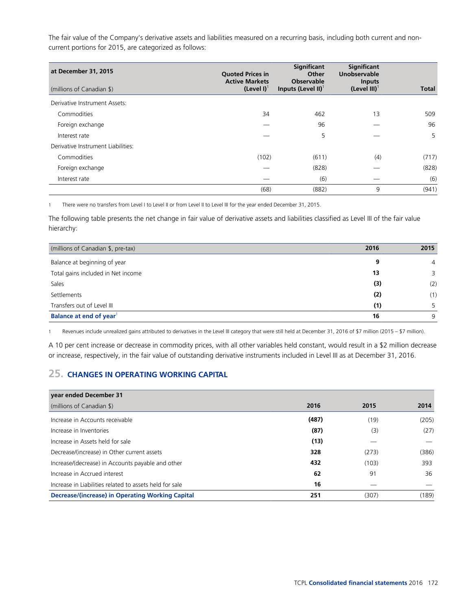The fair value of the Company's derivative assets and liabilities measured on a recurring basis, including both current and noncurrent portions for 2015, are categorized as follows:

| at December 31, 2015               | <b>Quoted Prices in</b><br><b>Active Markets</b> | Significant<br>Other<br>Observable | Significant<br>Unobservable<br><b>Inputs</b> |              |
|------------------------------------|--------------------------------------------------|------------------------------------|----------------------------------------------|--------------|
| (millions of Canadian \$)          | $(Level I)^T$                                    | Inputs (Level II) $^1$             | (Level III) $^1$                             | <b>Total</b> |
| Derivative Instrument Assets:      |                                                  |                                    |                                              |              |
| Commodities                        | 34                                               | 462                                | 13                                           | 509          |
| Foreign exchange                   |                                                  | 96                                 |                                              | 96           |
| Interest rate                      |                                                  | 5                                  |                                              | 5            |
| Derivative Instrument Liabilities: |                                                  |                                    |                                              |              |
| Commodities                        | (102)                                            | (611)                              | (4)                                          | (717)        |
| Foreign exchange                   |                                                  | (828)                              |                                              | (828)        |
| Interest rate                      |                                                  | (6)                                |                                              | (6)          |
|                                    | (68)                                             | (882)                              | 9                                            | (941)        |

1 There were no transfers from Level I to Level II or from Level II to Level III for the year ended December 31, 2015.

The following table presents the net change in fair value of derivative assets and liabilities classified as Level III of the fair value hierarchy:

| (millions of Canadian \$, pre-tax)  | 2016 | 2015           |
|-------------------------------------|------|----------------|
| Balance at beginning of year        | 9    | $\overline{4}$ |
| Total gains included in Net income  | 13   | 3              |
| Sales                               | (3)  | (2)            |
| Settlements                         | (2)  | (1)            |
| Transfers out of Level III          | (1)  | 5.             |
| Balance at end of year <sup>1</sup> | 16   | 9              |

1 Revenues include unrealized gains attributed to derivatives in the Level III category that were still held at December 31, 2016 of \$7 million (2015 – \$7 million).

A 10 per cent increase or decrease in commodity prices, with all other variables held constant, would result in a \$2 million decrease or increase, respectively, in the fair value of outstanding derivative instruments included in Level III as at December 31, 2016.

## **25. CHANGES IN OPERATING WORKING CAPITAL**

| year ended December 31                                  |       |       |       |
|---------------------------------------------------------|-------|-------|-------|
| (millions of Canadian \$)                               | 2016  | 2015  | 2014  |
| Increase in Accounts receivable                         | (487) | (19)  | (205) |
| Increase in Inventories                                 | (87)  | (3)   | (27)  |
| Increase in Assets held for sale                        | (13)  |       |       |
| Decrease/(increase) in Other current assets             | 328   | (273) | (386) |
| Increase/(decrease) in Accounts payable and other       | 432   | (103) | 393   |
| Increase in Accrued interest                            | 62    | 91    | 36    |
| Increase in Liabilities related to assets held for sale | 16    |       |       |
| Decrease/(increase) in Operating Working Capital        | 251   | (307) | (189) |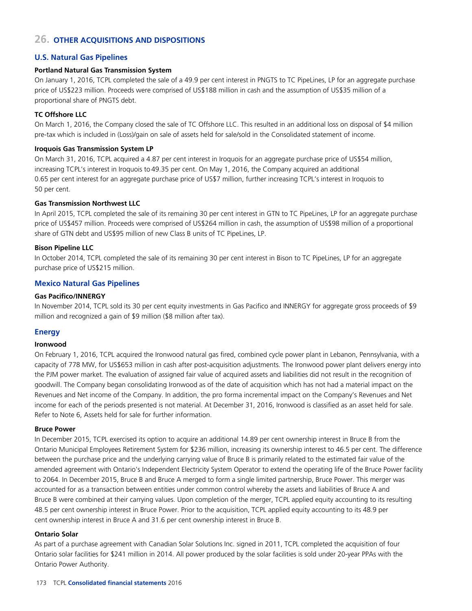## **26. OTHER ACQUISITIONS AND DISPOSITIONS**

#### **U.S. Natural Gas Pipelines**

#### **Portland Natural Gas Transmission System**

On January 1, 2016, TCPL completed the sale of a 49.9 per cent interest in PNGTS to TC PipeLines, LP for an aggregate purchase price of US\$223 million. Proceeds were comprised of US\$188 million in cash and the assumption of US\$35 million of a proportional share of PNGTS debt.

#### **TC Offshore LLC**

On March 1, 2016, the Company closed the sale of TC Offshore LLC. This resulted in an additional loss on disposal of \$4 million pre-tax which is included in (Loss)/gain on sale of assets held for sale/sold in the Consolidated statement of income.

#### **Iroquois Gas Transmission System LP**

On March 31, 2016, TCPL acquired a 4.87 per cent interest in Iroquois for an aggregate purchase price of US\$54 million, increasing TCPL's interest in Iroquois to 49.35 per cent. On May 1, 2016, the Company acquired an additional 0.65 per cent interest for an aggregate purchase price of US\$7 million, further increasing TCPL's interest in Iroquois to 50 per cent.

#### **Gas Transmission Northwest LLC**

In April 2015, TCPL completed the sale of its remaining 30 per cent interest in GTN to TC PipeLines, LP for an aggregate purchase price of US\$457 million. Proceeds were comprised of US\$264 million in cash, the assumption of US\$98 million of a proportional share of GTN debt and US\$95 million of new Class B units of TC PipeLines, LP.

#### **Bison Pipeline LLC**

In October 2014, TCPL completed the sale of its remaining 30 per cent interest in Bison to TC PipeLines, LP for an aggregate purchase price of US\$215 million.

#### **Mexico Natural Gas Pipelines**

#### **Gas Pacifico/INNERGY**

In November 2014, TCPL sold its 30 per cent equity investments in Gas Pacifico and INNERGY for aggregate gross proceeds of \$9 million and recognized a gain of \$9 million (\$8 million after tax).

#### **Energy**

#### **Ironwood**

On February 1, 2016, TCPL acquired the Ironwood natural gas fired, combined cycle power plant in Lebanon, Pennsylvania, with a capacity of 778 MW, for US\$653 million in cash after post-acquisition adjustments. The Ironwood power plant delivers energy into the PJM power market. The evaluation of assigned fair value of acquired assets and liabilities did not result in the recognition of goodwill. The Company began consolidating Ironwood as of the date of acquisition which has not had a material impact on the Revenues and Net income of the Company. In addition, the pro forma incremental impact on the Company's Revenues and Net income for each of the periods presented is not material. At December 31, 2016, Ironwood is classified as an asset held for sale. Refer to Note 6, Assets held for sale for further information.

#### **Bruce Power**

In December 2015, TCPL exercised its option to acquire an additional 14.89 per cent ownership interest in Bruce B from the Ontario Municipal Employees Retirement System for \$236 million, increasing its ownership interest to 46.5 per cent. The difference between the purchase price and the underlying carrying value of Bruce B is primarily related to the estimated fair value of the amended agreement with Ontario's Independent Electricity System Operator to extend the operating life of the Bruce Power facility to 2064. In December 2015, Bruce B and Bruce A merged to form a single limited partnership, Bruce Power. This merger was accounted for as a transaction between entities under common control whereby the assets and liabilities of Bruce A and Bruce B were combined at their carrying values. Upon completion of the merger, TCPL applied equity accounting to its resulting 48.5 per cent ownership interest in Bruce Power. Prior to the acquisition, TCPL applied equity accounting to its 48.9 per cent ownership interest in Bruce A and 31.6 per cent ownership interest in Bruce B.

#### **Ontario Solar**

As part of a purchase agreement with Canadian Solar Solutions Inc. signed in 2011, TCPL completed the acquisition of four Ontario solar facilities for \$241 million in 2014. All power produced by the solar facilities is sold under 20-year PPAs with the Ontario Power Authority.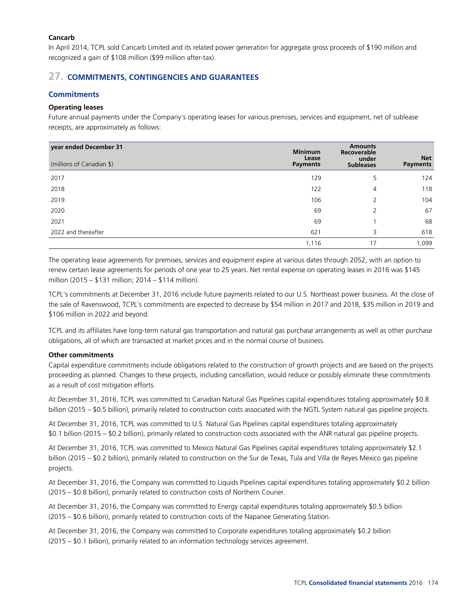#### **Cancarb**

In April 2014, TCPL sold Cancarb Limited and its related power generation for aggregate gross proceeds of \$190 million and recognized a gain of \$108 million (\$99 million after-tax).

## **27. COMMITMENTS, CONTINGENCIES AND GUARANTEES**

#### **Commitments**

#### **Operating leases**

Future annual payments under the Company's operating leases for various premises, services and equipment, net of sublease receipts, are approximately as follows:

| year ended December 31<br>(millions of Canadian \$) | <b>Minimum</b><br>Lease<br><b>Payments</b> | <b>Amounts</b><br><b>Recoverable</b><br>under<br><b>Subleases</b> | <b>Net</b><br><b>Payments</b> |
|-----------------------------------------------------|--------------------------------------------|-------------------------------------------------------------------|-------------------------------|
| 2017                                                | 129                                        | 5                                                                 | 124                           |
| 2018                                                | 122                                        | 4                                                                 | 118                           |
| 2019                                                | 106                                        | C.                                                                | 104                           |
| 2020                                                | 69                                         | C.                                                                | 67                            |
| 2021                                                | 69                                         |                                                                   | 68                            |
| 2022 and thereafter                                 | 621                                        | 3                                                                 | 618                           |
|                                                     | 1,116                                      | 17                                                                | 1,099                         |

The operating lease agreements for premises, services and equipment expire at various dates through 2052, with an option to renew certain lease agreements for periods of one year to 25 years. Net rental expense on operating leases in 2016 was \$145 million (2015 – \$131 million; 2014 – \$114 million).

TCPL's commitments at December 31, 2016 include future payments related to our U.S. Northeast power business. At the close of the sale of Ravenswood, TCPL's commitments are expected to decrease by \$54 million in 2017 and 2018, \$35 million in 2019 and \$106 million in 2022 and beyond.

TCPL and its affiliates have long-term natural gas transportation and natural gas purchase arrangements as well as other purchase obligations, all of which are transacted at market prices and in the normal course of business.

#### **Other commitments**

Capital expenditure commitments include obligations related to the construction of growth projects and are based on the projects proceeding as planned. Changes to these projects, including cancellation, would reduce or possibly eliminate these commitments as a result of cost mitigation efforts.

At December 31, 2016, TCPL was committed to Canadian Natural Gas Pipelines capital expenditures totaling approximately \$0.8 billion (2015 – \$0.5 billion), primarily related to construction costs associated with the NGTL System natural gas pipeline projects.

At December 31, 2016, TCPL was committed to U.S. Natural Gas Pipelines capital expenditures totaling approximately \$0.1 billion (2015 – \$0.2 billion), primarily related to construction costs associated with the ANR natural gas pipeline projects.

At December 31, 2016, TCPL was committed to Mexico Natural Gas Pipelines capital expenditures totaling approximately \$2.1 billion (2015 – \$0.2 billion), primarily related to construction on the Sur de Texas, Tula and Villa de Reyes Mexico gas pipeline projects.

At December 31, 2016, the Company was committed to Liquids Pipelines capital expenditures totaling approximately \$0.2 billion (2015 – \$0.8 billion), primarily related to construction costs of Northern Courier.

At December 31, 2016, the Company was committed to Energy capital expenditures totaling approximately \$0.5 billion (2015 – \$0.6 billion), primarily related to construction costs of the Napanee Generating Station.

At December 31, 2016, the Company was committed to Corporate expenditures totaling approximately \$0.2 billion (2015 – \$0.1 billion), primarily related to an information technology services agreement.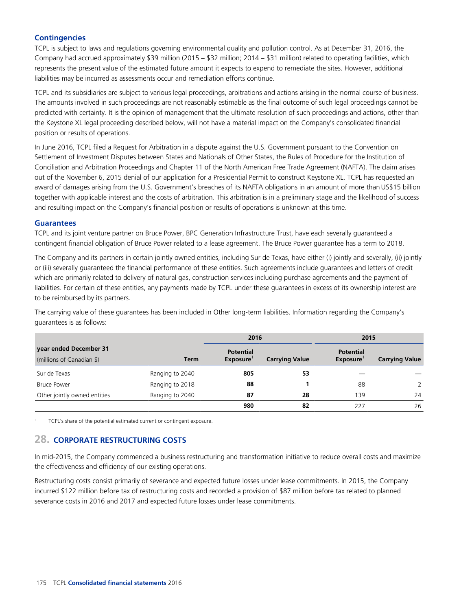### **Contingencies**

TCPL is subject to laws and regulations governing environmental quality and pollution control. As at December 31, 2016, the Company had accrued approximately \$39 million (2015 – \$32 million; 2014 – \$31 million) related to operating facilities, which represents the present value of the estimated future amount it expects to expend to remediate the sites. However, additional liabilities may be incurred as assessments occur and remediation efforts continue.

TCPL and its subsidiaries are subject to various legal proceedings, arbitrations and actions arising in the normal course of business. The amounts involved in such proceedings are not reasonably estimable as the final outcome of such legal proceedings cannot be predicted with certainty. It is the opinion of management that the ultimate resolution of such proceedings and actions, other than the Keystone XL legal proceeding described below, will not have a material impact on the Company's consolidated financial position or results of operations.

In June 2016, TCPL filed a Request for Arbitration in a dispute against the U.S. Government pursuant to the Convention on Settlement of Investment Disputes between States and Nationals of Other States, the Rules of Procedure for the Institution of Conciliation and Arbitration Proceedings and Chapter 11 of the North American Free Trade Agreement (NAFTA). The claim arises out of the November 6, 2015 denial of our application for a Presidential Permit to construct Keystone XL. TCPL has requested an award of damages arising from the U.S. Government's breaches of its NAFTA obligations in an amount of more than US\$15 billion together with applicable interest and the costs of arbitration. This arbitration is in a preliminary stage and the likelihood of success and resulting impact on the Company's financial position or results of operations is unknown at this time.

#### **Guarantees**

TCPL and its joint venture partner on Bruce Power, BPC Generation Infrastructure Trust, have each severally guaranteed a contingent financial obligation of Bruce Power related to a lease agreement. The Bruce Power guarantee has a term to 2018.

The Company and its partners in certain jointly owned entities, including Sur de Texas, have either (i) jointly and severally, (ii) jointly or (iii) severally guaranteed the financial performance of these entities. Such agreements include guarantees and letters of credit which are primarily related to delivery of natural gas, construction services including purchase agreements and the payment of liabilities. For certain of these entities, any payments made by TCPL under these guarantees in excess of its ownership interest are to be reimbursed by its partners.

The carrying value of these guarantees has been included in Other long-term liabilities. Information regarding the Company's guarantees is as follows:

|                              |                 | 2016             |                       | 2015             |                       |
|------------------------------|-----------------|------------------|-----------------------|------------------|-----------------------|
| year ended December 31       |                 | <b>Potential</b> |                       | <b>Potential</b> |                       |
| (millions of Canadian \$)    | Term            | Exposure         | <b>Carrying Value</b> | <b>Exposure</b>  | <b>Carrying Value</b> |
| Sur de Texas                 | Ranging to 2040 | 805              | 53                    |                  |                       |
| <b>Bruce Power</b>           | Ranging to 2018 | 88               |                       | 88               | $\overline{2}$        |
| Other jointly owned entities | Ranging to 2040 | 87               | 28                    | 139              | 24                    |
|                              |                 | 980              | 82                    | 227              | 26                    |

1 TCPL's share of the potential estimated current or contingent exposure.

## **28. CORPORATE RESTRUCTURING COSTS**

In mid-2015, the Company commenced a business restructuring and transformation initiative to reduce overall costs and maximize the effectiveness and efficiency of our existing operations.

Restructuring costs consist primarily of severance and expected future losses under lease commitments. In 2015, the Company incurred \$122 million before tax of restructuring costs and recorded a provision of \$87 million before tax related to planned severance costs in 2016 and 2017 and expected future losses under lease commitments.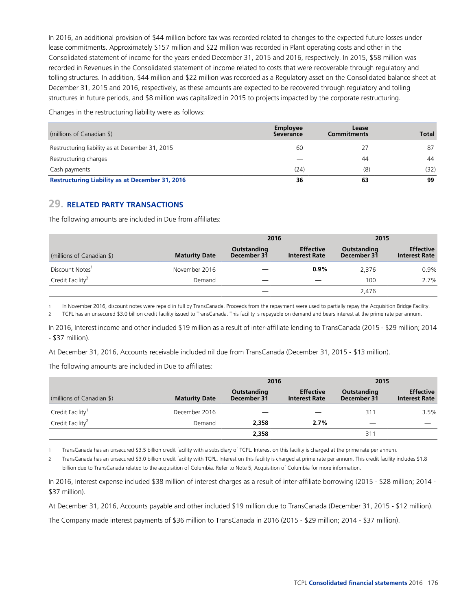In 2016, an additional provision of \$44 million before tax was recorded related to changes to the expected future losses under lease commitments. Approximately \$157 million and \$22 million was recorded in Plant operating costs and other in the Consolidated statement of income for the years ended December 31, 2015 and 2016, respectively. In 2015, \$58 million was recorded in Revenues in the Consolidated statement of income related to costs that were recoverable through regulatory and tolling structures. In addition, \$44 million and \$22 million was recorded as a Regulatory asset on the Consolidated balance sheet at December 31, 2015 and 2016, respectively, as these amounts are expected to be recovered through regulatory and tolling structures in future periods, and \$8 million was capitalized in 2015 to projects impacted by the corporate restructuring.

Changes in the restructuring liability were as follows:

| (millions of Canadian \$)                              | <b>Employee</b><br><b>Severance</b> | Lease<br><b>Commitments</b> | <b>Total</b> |
|--------------------------------------------------------|-------------------------------------|-----------------------------|--------------|
| Restructuring liability as at December 31, 2015        | 60                                  |                             | 87           |
| Restructuring charges                                  |                                     | 44                          | 44           |
| Cash payments                                          | (24)                                | (8)                         | (32)         |
| <b>Restructuring Liability as at December 31, 2016</b> | 36                                  | 63                          | 99           |

## **29. RELATED PARTY TRANSACTIONS**

The following amounts are included in Due from affiliates:

|                              |                      | 2016                       |                                          | 2015                       |                                          |
|------------------------------|----------------------|----------------------------|------------------------------------------|----------------------------|------------------------------------------|
| (millions of Canadian \$)    | <b>Maturity Date</b> | Outstanding<br>December 31 | <b>Effective</b><br><b>Interest Rate</b> | Outstanding<br>December 31 | <b>Effective</b><br><b>Interest Rate</b> |
| Discount Notes <sup>1</sup>  | November 2016        |                            | $0.9\%$                                  | 2.376                      | 0.9%                                     |
| Credit Facility <sup>2</sup> | Demand               | _                          |                                          | 100                        | 2.7%                                     |
|                              |                      |                            |                                          | 2,476                      |                                          |

1 In November 2016, discount notes were repaid in full by TransCanada. Proceeds from the repayment were used to partially repay the Acquisition Bridge Facility. 2 TCPL has an unsecured \$3.0 billion credit facility issued to TransCanada. This facility is repayable on demand and bears interest at the prime rate per annum.

In 2016, Interest income and other included \$19 million as a result of inter-affiliate lending to TransCanada (2015 - \$29 million; 2014 - \$37 million).

At December 31, 2016, Accounts receivable included nil due from TransCanada (December 31, 2015 - \$13 million).

The following amounts are included in Due to affiliates:

| (millions of Canadian \$)    |                      | 2016                       |                                          | 2015                       |                                          |
|------------------------------|----------------------|----------------------------|------------------------------------------|----------------------------|------------------------------------------|
|                              | <b>Maturity Date</b> | Outstanding<br>December 31 | <b>Effective</b><br><b>Interest Rate</b> | Outstanding<br>December 31 | <b>Effective</b><br><b>Interest Rate</b> |
| Credit Facility <sup>1</sup> | December 2016        |                            |                                          | 311                        | 3.5%                                     |
| Credit Facility <sup>2</sup> | Demand               | 2.358                      | 2.7%                                     | $\overline{\phantom{a}}$   |                                          |
|                              |                      | 2,358                      |                                          | 31'                        |                                          |

TransCanada has an unsecured \$3.5 billion credit facility with a subsidiary of TCPL. Interest on this facility is charged at the prime rate per annum.

2 TransCanada has an unsecured \$3.0 billion credit facility with TCPL. Interest on this facility is charged at prime rate per annum. This credit facility includes \$1.8 billion due to TransCanada related to the acquisition of Columbia. Refer to Note 5, Acquisition of Columbia for more information.

In 2016, Interest expense included \$38 million of interest charges as a result of inter-affiliate borrowing (2015 - \$28 million; 2014 - \$37 million).

At December 31, 2016, Accounts payable and other included \$19 million due to TransCanada (December 31, 2015 - \$12 million).

The Company made interest payments of \$36 million to TransCanada in 2016 (2015 - \$29 million; 2014 - \$37 million).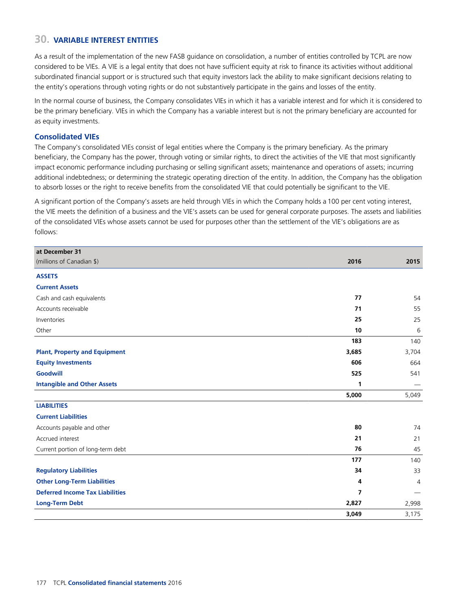## **30. VARIABLE INTEREST ENTITIES**

As a result of the implementation of the new FASB guidance on consolidation, a number of entities controlled by TCPL are now considered to be VIEs. A VIE is a legal entity that does not have sufficient equity at risk to finance its activities without additional subordinated financial support or is structured such that equity investors lack the ability to make significant decisions relating to the entity's operations through voting rights or do not substantively participate in the gains and losses of the entity.

In the normal course of business, the Company consolidates VIEs in which it has a variable interest and for which it is considered to be the primary beneficiary. VIEs in which the Company has a variable interest but is not the primary beneficiary are accounted for as equity investments.

#### **Consolidated VIEs**

The Company's consolidated VIEs consist of legal entities where the Company is the primary beneficiary. As the primary beneficiary, the Company has the power, through voting or similar rights, to direct the activities of the VIE that most significantly impact economic performance including purchasing or selling significant assets; maintenance and operations of assets; incurring additional indebtedness; or determining the strategic operating direction of the entity. In addition, the Company has the obligation to absorb losses or the right to receive benefits from the consolidated VIE that could potentially be significant to the VIE.

A significant portion of the Company's assets are held through VIEs in which the Company holds a 100 per cent voting interest, the VIE meets the definition of a business and the VIE's assets can be used for general corporate purposes. The assets and liabilities of the consolidated VIEs whose assets cannot be used for purposes other than the settlement of the VIE's obligations are as follows:

| at December 31                         |       |                |
|----------------------------------------|-------|----------------|
| (millions of Canadian \$)              | 2016  | 2015           |
| <b>ASSETS</b>                          |       |                |
| <b>Current Assets</b>                  |       |                |
| Cash and cash equivalents              | 77    | 54             |
| Accounts receivable                    | 71    | 55             |
| Inventories                            | 25    | 25             |
| Other                                  | 10    | 6              |
|                                        | 183   | 140            |
| <b>Plant, Property and Equipment</b>   | 3,685 | 3,704          |
| <b>Equity Investments</b>              | 606   | 664            |
| Goodwill                               | 525   | 541            |
| <b>Intangible and Other Assets</b>     | 1     |                |
|                                        | 5,000 | 5,049          |
| <b>LIABILITIES</b>                     |       |                |
| <b>Current Liabilities</b>             |       |                |
| Accounts payable and other             | 80    | 74             |
| Accrued interest                       | 21    | 21             |
| Current portion of long-term debt      | 76    | 45             |
|                                        | 177   | 140            |
| <b>Regulatory Liabilities</b>          | 34    | 33             |
| <b>Other Long-Term Liabilities</b>     | 4     | $\overline{4}$ |
| <b>Deferred Income Tax Liabilities</b> | 7     |                |
| <b>Long-Term Debt</b>                  | 2,827 | 2,998          |
|                                        | 3,049 | 3,175          |